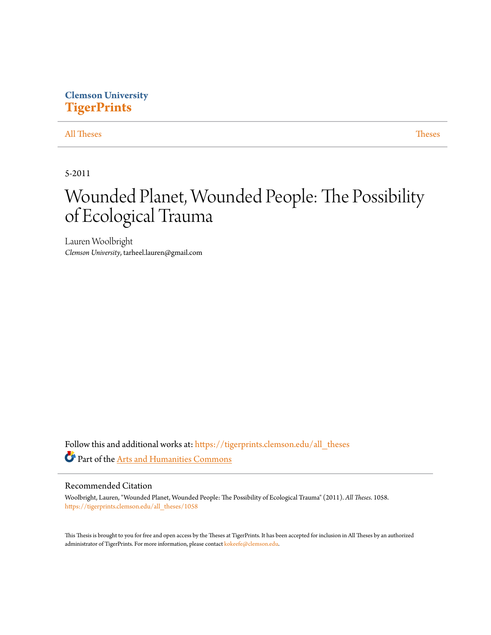# **Clemson University [TigerPrints](https://tigerprints.clemson.edu?utm_source=tigerprints.clemson.edu%2Fall_theses%2F1058&utm_medium=PDF&utm_campaign=PDFCoverPages)**

# [All Theses](https://tigerprints.clemson.edu/all_theses?utm_source=tigerprints.clemson.edu%2Fall_theses%2F1058&utm_medium=PDF&utm_campaign=PDFCoverPages) **[Theses](https://tigerprints.clemson.edu/theses?utm_source=tigerprints.clemson.edu%2Fall_theses%2F1058&utm_medium=PDF&utm_campaign=PDFCoverPages)**

5-2011

# Wounded Planet, Wounded People: The Possibility of Ecological Trauma

Lauren Woolbright *Clemson University*, tarheel.lauren@gmail.com

Follow this and additional works at: [https://tigerprints.clemson.edu/all\\_theses](https://tigerprints.clemson.edu/all_theses?utm_source=tigerprints.clemson.edu%2Fall_theses%2F1058&utm_medium=PDF&utm_campaign=PDFCoverPages) Part of the [Arts and Humanities Commons](http://network.bepress.com/hgg/discipline/438?utm_source=tigerprints.clemson.edu%2Fall_theses%2F1058&utm_medium=PDF&utm_campaign=PDFCoverPages)

## Recommended Citation

Woolbright, Lauren, "Wounded Planet, Wounded People: The Possibility of Ecological Trauma" (2011). *All Theses*. 1058. [https://tigerprints.clemson.edu/all\\_theses/1058](https://tigerprints.clemson.edu/all_theses/1058?utm_source=tigerprints.clemson.edu%2Fall_theses%2F1058&utm_medium=PDF&utm_campaign=PDFCoverPages)

This Thesis is brought to you for free and open access by the Theses at TigerPrints. It has been accepted for inclusion in All Theses by an authorized administrator of TigerPrints. For more information, please contact [kokeefe@clemson.edu](mailto:kokeefe@clemson.edu).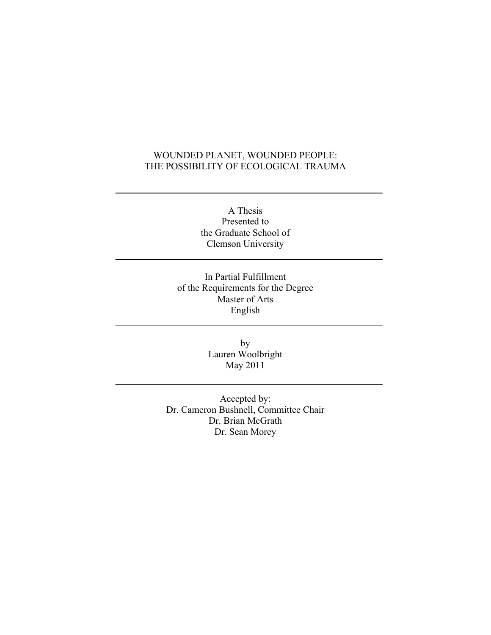# WOUNDED PLANET, WOUNDED PEOPLE: THE POSSIBILITY OF ECOLOGICAL TRAUMA

A Thesis Presented to the Graduate School of Clemson University

In Partial Fulfillment of the Requirements for the Degree Master of Arts English

> by Lauren Woolbright May 2011

Accepted by: Dr. Cameron Bushnell, Committee Chair Dr. Brian McGrath Dr. Sean Morey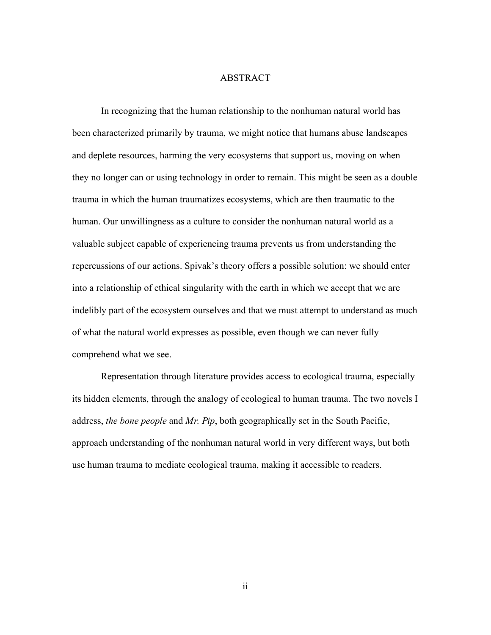## ABSTRACT

In recognizing that the human relationship to the nonhuman natural world has been characterized primarily by trauma, we might notice that humans abuse landscapes and deplete resources, harming the very ecosystems that support us, moving on when they no longer can or using technology in order to remain. This might be seen as a double trauma in which the human traumatizes ecosystems, which are then traumatic to the human. Our unwillingness as a culture to consider the nonhuman natural world as a valuable subject capable of experiencing trauma prevents us from understanding the repercussions of our actions. Spivak's theory offers a possible solution: we should enter into a relationship of ethical singularity with the earth in which we accept that we are indelibly part of the ecosystem ourselves and that we must attempt to understand as much of what the natural world expresses as possible, even though we can never fully comprehend what we see.

Representation through literature provides access to ecological trauma, especially its hidden elements, through the analogy of ecological to human trauma. The two novels I address, *the bone people* and *Mr. Pip*, both geographically set in the South Pacific, approach understanding of the nonhuman natural world in very different ways, but both use human trauma to mediate ecological trauma, making it accessible to readers.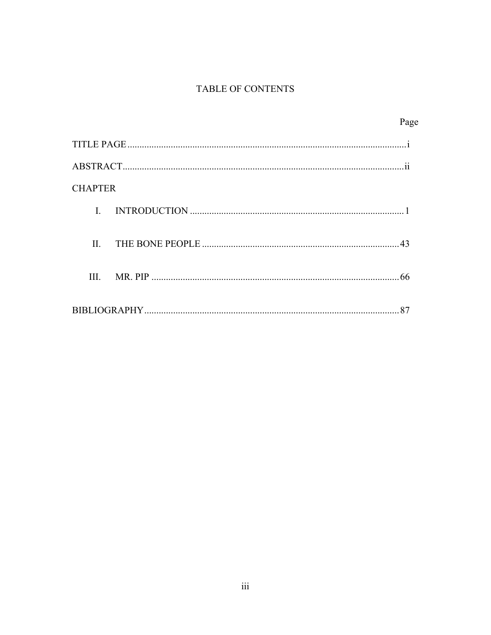# TABLE OF CONTENTS

| Page           |  |
|----------------|--|
|                |  |
|                |  |
| <b>CHAPTER</b> |  |
| L              |  |
| Н.             |  |
| III.<br>66     |  |
| 87             |  |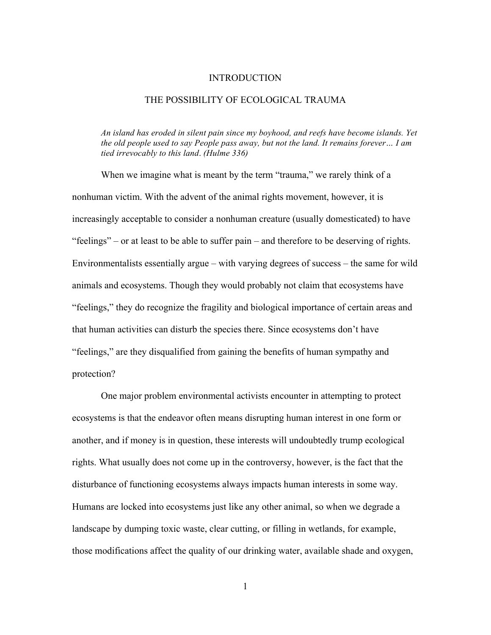#### INTRODUCTION

## THE POSSIBILITY OF ECOLOGICAL TRAUMA

*An island has eroded in silent pain since my boyhood, and reefs have become islands. Yet the old people used to say People pass away, but not the land. It remains forever… I am tied irrevocably to this land*. *(Hulme 336)*

When we imagine what is meant by the term "trauma," we rarely think of a nonhuman victim. With the advent of the animal rights movement, however, it is increasingly acceptable to consider a nonhuman creature (usually domesticated) to have "feelings" – or at least to be able to suffer pain – and therefore to be deserving of rights. Environmentalists essentially argue – with varying degrees of success – the same for wild animals and ecosystems. Though they would probably not claim that ecosystems have "feelings," they do recognize the fragility and biological importance of certain areas and that human activities can disturb the species there. Since ecosystems don't have "feelings," are they disqualified from gaining the benefits of human sympathy and protection?

One major problem environmental activists encounter in attempting to protect ecosystems is that the endeavor often means disrupting human interest in one form or another, and if money is in question, these interests will undoubtedly trump ecological rights. What usually does not come up in the controversy, however, is the fact that the disturbance of functioning ecosystems always impacts human interests in some way. Humans are locked into ecosystems just like any other animal, so when we degrade a landscape by dumping toxic waste, clear cutting, or filling in wetlands, for example, those modifications affect the quality of our drinking water, available shade and oxygen,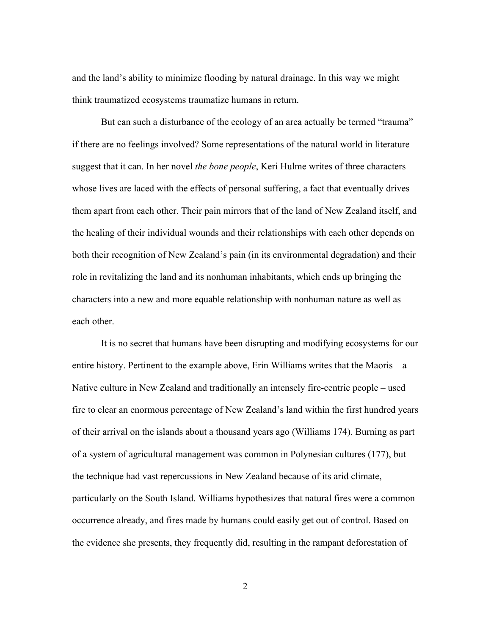and the land's ability to minimize flooding by natural drainage. In this way we might think traumatized ecosystems traumatize humans in return.

But can such a disturbance of the ecology of an area actually be termed "trauma" if there are no feelings involved? Some representations of the natural world in literature suggest that it can. In her novel *the bone people*, Keri Hulme writes of three characters whose lives are laced with the effects of personal suffering, a fact that eventually drives them apart from each other. Their pain mirrors that of the land of New Zealand itself, and the healing of their individual wounds and their relationships with each other depends on both their recognition of New Zealand's pain (in its environmental degradation) and their role in revitalizing the land and its nonhuman inhabitants, which ends up bringing the characters into a new and more equable relationship with nonhuman nature as well as each other.

It is no secret that humans have been disrupting and modifying ecosystems for our entire history. Pertinent to the example above, Erin Williams writes that the Maoris – a Native culture in New Zealand and traditionally an intensely fire-centric people – used fire to clear an enormous percentage of New Zealand's land within the first hundred years of their arrival on the islands about a thousand years ago (Williams 174). Burning as part of a system of agricultural management was common in Polynesian cultures (177), but the technique had vast repercussions in New Zealand because of its arid climate, particularly on the South Island. Williams hypothesizes that natural fires were a common occurrence already, and fires made by humans could easily get out of control. Based on the evidence she presents, they frequently did, resulting in the rampant deforestation of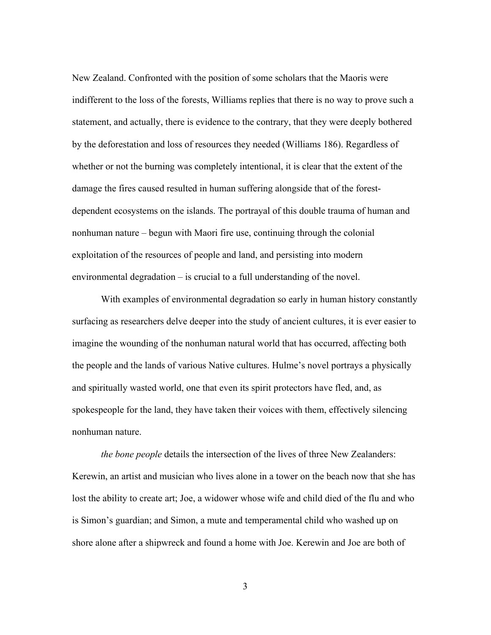New Zealand. Confronted with the position of some scholars that the Maoris were indifferent to the loss of the forests, Williams replies that there is no way to prove such a statement, and actually, there is evidence to the contrary, that they were deeply bothered by the deforestation and loss of resources they needed (Williams 186). Regardless of whether or not the burning was completely intentional, it is clear that the extent of the damage the fires caused resulted in human suffering alongside that of the forestdependent ecosystems on the islands. The portrayal of this double trauma of human and nonhuman nature – begun with Maori fire use, continuing through the colonial exploitation of the resources of people and land, and persisting into modern environmental degradation – is crucial to a full understanding of the novel.

With examples of environmental degradation so early in human history constantly surfacing as researchers delve deeper into the study of ancient cultures, it is ever easier to imagine the wounding of the nonhuman natural world that has occurred, affecting both the people and the lands of various Native cultures. Hulme's novel portrays a physically and spiritually wasted world, one that even its spirit protectors have fled, and, as spokespeople for the land, they have taken their voices with them, effectively silencing nonhuman nature.

*the bone people* details the intersection of the lives of three New Zealanders: Kerewin, an artist and musician who lives alone in a tower on the beach now that she has lost the ability to create art; Joe, a widower whose wife and child died of the flu and who is Simon's guardian; and Simon, a mute and temperamental child who washed up on shore alone after a shipwreck and found a home with Joe. Kerewin and Joe are both of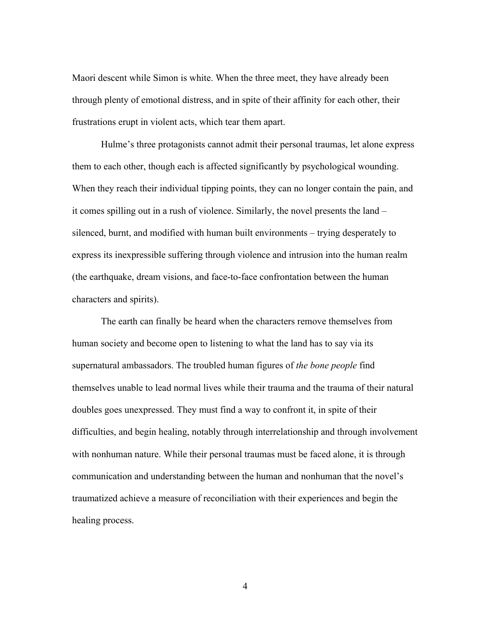Maori descent while Simon is white. When the three meet, they have already been through plenty of emotional distress, and in spite of their affinity for each other, their frustrations erupt in violent acts, which tear them apart.

Hulme's three protagonists cannot admit their personal traumas, let alone express them to each other, though each is affected significantly by psychological wounding. When they reach their individual tipping points, they can no longer contain the pain, and it comes spilling out in a rush of violence. Similarly, the novel presents the land – silenced, burnt, and modified with human built environments – trying desperately to express its inexpressible suffering through violence and intrusion into the human realm (the earthquake, dream visions, and face-to-face confrontation between the human characters and spirits).

The earth can finally be heard when the characters remove themselves from human society and become open to listening to what the land has to say via its supernatural ambassadors. The troubled human figures of *the bone people* find themselves unable to lead normal lives while their trauma and the trauma of their natural doubles goes unexpressed. They must find a way to confront it, in spite of their difficulties, and begin healing, notably through interrelationship and through involvement with nonhuman nature. While their personal traumas must be faced alone, it is through communication and understanding between the human and nonhuman that the novel's traumatized achieve a measure of reconciliation with their experiences and begin the healing process.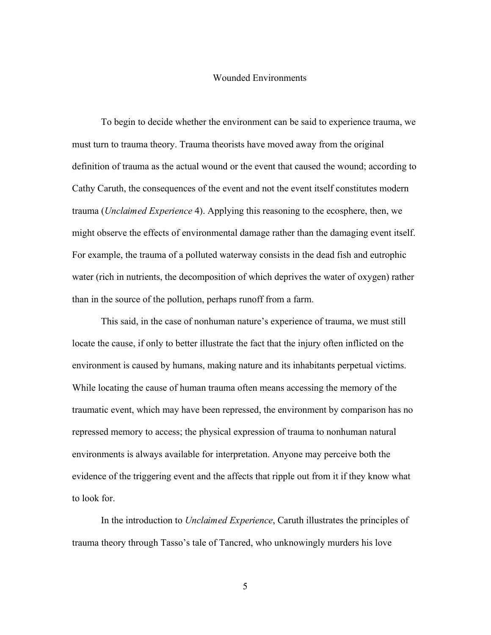## Wounded Environments

To begin to decide whether the environment can be said to experience trauma, we must turn to trauma theory. Trauma theorists have moved away from the original definition of trauma as the actual wound or the event that caused the wound; according to Cathy Caruth, the consequences of the event and not the event itself constitutes modern trauma (*Unclaimed Experience* 4). Applying this reasoning to the ecosphere, then, we might observe the effects of environmental damage rather than the damaging event itself. For example, the trauma of a polluted waterway consists in the dead fish and eutrophic water (rich in nutrients, the decomposition of which deprives the water of oxygen) rather than in the source of the pollution, perhaps runoff from a farm.

This said, in the case of nonhuman nature's experience of trauma, we must still locate the cause, if only to better illustrate the fact that the injury often inflicted on the environment is caused by humans, making nature and its inhabitants perpetual victims. While locating the cause of human trauma often means accessing the memory of the traumatic event, which may have been repressed, the environment by comparison has no repressed memory to access; the physical expression of trauma to nonhuman natural environments is always available for interpretation. Anyone may perceive both the evidence of the triggering event and the affects that ripple out from it if they know what to look for.

In the introduction to *Unclaimed Experience*, Caruth illustrates the principles of trauma theory through Tasso's tale of Tancred, who unknowingly murders his love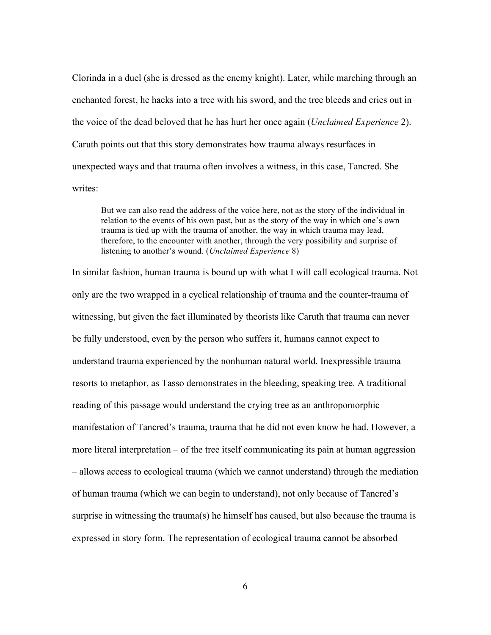Clorinda in a duel (she is dressed as the enemy knight). Later, while marching through an enchanted forest, he hacks into a tree with his sword, and the tree bleeds and cries out in the voice of the dead beloved that he has hurt her once again (*Unclaimed Experience* 2). Caruth points out that this story demonstrates how trauma always resurfaces in unexpected ways and that trauma often involves a witness, in this case, Tancred. She writes:

But we can also read the address of the voice here, not as the story of the individual in relation to the events of his own past, but as the story of the way in which one's own trauma is tied up with the trauma of another, the way in which trauma may lead, therefore, to the encounter with another, through the very possibility and surprise of listening to another's wound. (*Unclaimed Experience* 8)

In similar fashion, human trauma is bound up with what I will call ecological trauma. Not only are the two wrapped in a cyclical relationship of trauma and the counter-trauma of witnessing, but given the fact illuminated by theorists like Caruth that trauma can never be fully understood, even by the person who suffers it, humans cannot expect to understand trauma experienced by the nonhuman natural world. Inexpressible trauma resorts to metaphor, as Tasso demonstrates in the bleeding, speaking tree. A traditional reading of this passage would understand the crying tree as an anthropomorphic manifestation of Tancred's trauma, trauma that he did not even know he had. However, a more literal interpretation – of the tree itself communicating its pain at human aggression – allows access to ecological trauma (which we cannot understand) through the mediation of human trauma (which we can begin to understand), not only because of Tancred's surprise in witnessing the trauma(s) he himself has caused, but also because the trauma is expressed in story form. The representation of ecological trauma cannot be absorbed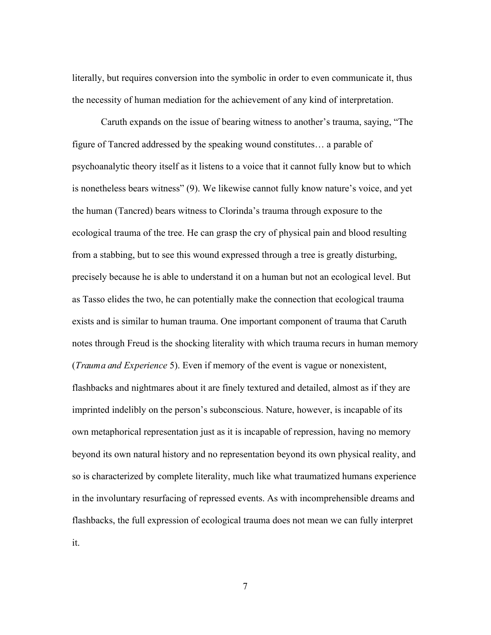literally, but requires conversion into the symbolic in order to even communicate it, thus the necessity of human mediation for the achievement of any kind of interpretation.

Caruth expands on the issue of bearing witness to another's trauma, saying, "The figure of Tancred addressed by the speaking wound constitutes… a parable of psychoanalytic theory itself as it listens to a voice that it cannot fully know but to which is nonetheless bears witness" (9). We likewise cannot fully know nature's voice, and yet the human (Tancred) bears witness to Clorinda's trauma through exposure to the ecological trauma of the tree. He can grasp the cry of physical pain and blood resulting from a stabbing, but to see this wound expressed through a tree is greatly disturbing, precisely because he is able to understand it on a human but not an ecological level. But as Tasso elides the two, he can potentially make the connection that ecological trauma exists and is similar to human trauma. One important component of trauma that Caruth notes through Freud is the shocking literality with which trauma recurs in human memory (*Trauma and Experience* 5). Even if memory of the event is vague or nonexistent, flashbacks and nightmares about it are finely textured and detailed, almost as if they are imprinted indelibly on the person's subconscious. Nature, however, is incapable of its own metaphorical representation just as it is incapable of repression, having no memory beyond its own natural history and no representation beyond its own physical reality, and so is characterized by complete literality, much like what traumatized humans experience in the involuntary resurfacing of repressed events. As with incomprehensible dreams and flashbacks, the full expression of ecological trauma does not mean we can fully interpret it.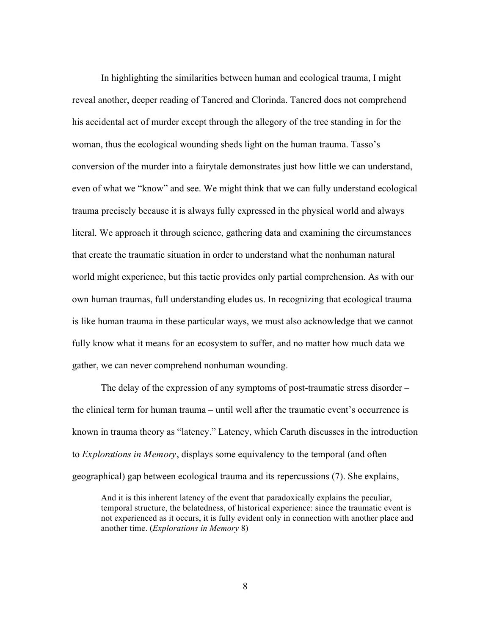In highlighting the similarities between human and ecological trauma, I might reveal another, deeper reading of Tancred and Clorinda. Tancred does not comprehend his accidental act of murder except through the allegory of the tree standing in for the woman, thus the ecological wounding sheds light on the human trauma. Tasso's conversion of the murder into a fairytale demonstrates just how little we can understand, even of what we "know" and see. We might think that we can fully understand ecological trauma precisely because it is always fully expressed in the physical world and always literal. We approach it through science, gathering data and examining the circumstances that create the traumatic situation in order to understand what the nonhuman natural world might experience, but this tactic provides only partial comprehension. As with our own human traumas, full understanding eludes us. In recognizing that ecological trauma is like human trauma in these particular ways, we must also acknowledge that we cannot fully know what it means for an ecosystem to suffer, and no matter how much data we gather, we can never comprehend nonhuman wounding.

The delay of the expression of any symptoms of post-traumatic stress disorder – the clinical term for human trauma – until well after the traumatic event's occurrence is known in trauma theory as "latency." Latency, which Caruth discusses in the introduction to *Explorations in Memory*, displays some equivalency to the temporal (and often geographical) gap between ecological trauma and its repercussions (7). She explains,

And it is this inherent latency of the event that paradoxically explains the peculiar, temporal structure, the belatedness, of historical experience: since the traumatic event is not experienced as it occurs, it is fully evident only in connection with another place and another time. (*Explorations in Memory* 8)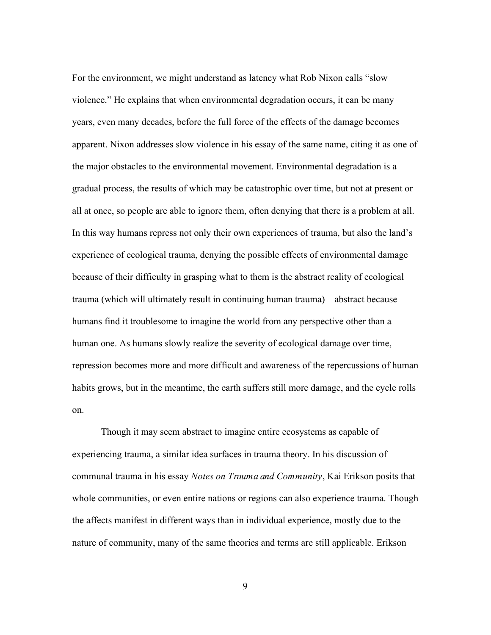For the environment, we might understand as latency what Rob Nixon calls "slow violence." He explains that when environmental degradation occurs, it can be many years, even many decades, before the full force of the effects of the damage becomes apparent. Nixon addresses slow violence in his essay of the same name, citing it as one of the major obstacles to the environmental movement. Environmental degradation is a gradual process, the results of which may be catastrophic over time, but not at present or all at once, so people are able to ignore them, often denying that there is a problem at all. In this way humans repress not only their own experiences of trauma, but also the land's experience of ecological trauma, denying the possible effects of environmental damage because of their difficulty in grasping what to them is the abstract reality of ecological trauma (which will ultimately result in continuing human trauma) – abstract because humans find it troublesome to imagine the world from any perspective other than a human one. As humans slowly realize the severity of ecological damage over time, repression becomes more and more difficult and awareness of the repercussions of human habits grows, but in the meantime, the earth suffers still more damage, and the cycle rolls on.

Though it may seem abstract to imagine entire ecosystems as capable of experiencing trauma, a similar idea surfaces in trauma theory. In his discussion of communal trauma in his essay *Notes on Trauma and Community*, Kai Erikson posits that whole communities, or even entire nations or regions can also experience trauma. Though the affects manifest in different ways than in individual experience, mostly due to the nature of community, many of the same theories and terms are still applicable. Erikson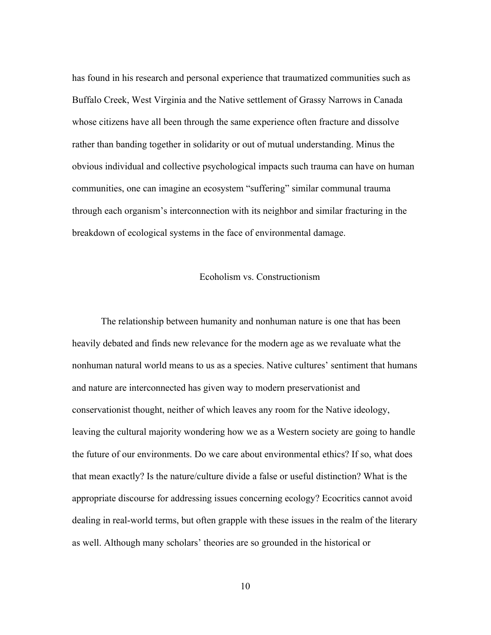has found in his research and personal experience that traumatized communities such as Buffalo Creek, West Virginia and the Native settlement of Grassy Narrows in Canada whose citizens have all been through the same experience often fracture and dissolve rather than banding together in solidarity or out of mutual understanding. Minus the obvious individual and collective psychological impacts such trauma can have on human communities, one can imagine an ecosystem "suffering" similar communal trauma through each organism's interconnection with its neighbor and similar fracturing in the breakdown of ecological systems in the face of environmental damage.

# Ecoholism vs. Constructionism

The relationship between humanity and nonhuman nature is one that has been heavily debated and finds new relevance for the modern age as we revaluate what the nonhuman natural world means to us as a species. Native cultures' sentiment that humans and nature are interconnected has given way to modern preservationist and conservationist thought, neither of which leaves any room for the Native ideology, leaving the cultural majority wondering how we as a Western society are going to handle the future of our environments. Do we care about environmental ethics? If so, what does that mean exactly? Is the nature/culture divide a false or useful distinction? What is the appropriate discourse for addressing issues concerning ecology? Ecocritics cannot avoid dealing in real-world terms, but often grapple with these issues in the realm of the literary as well. Although many scholars' theories are so grounded in the historical or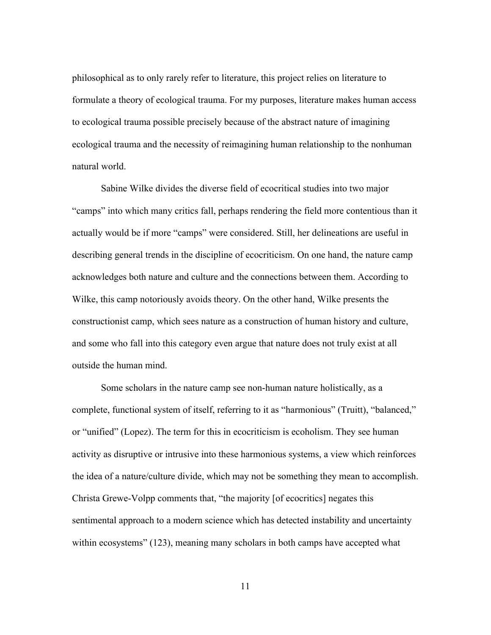philosophical as to only rarely refer to literature, this project relies on literature to formulate a theory of ecological trauma. For my purposes, literature makes human access to ecological trauma possible precisely because of the abstract nature of imagining ecological trauma and the necessity of reimagining human relationship to the nonhuman natural world.

Sabine Wilke divides the diverse field of ecocritical studies into two major "camps" into which many critics fall, perhaps rendering the field more contentious than it actually would be if more "camps" were considered. Still, her delineations are useful in describing general trends in the discipline of ecocriticism. On one hand, the nature camp acknowledges both nature and culture and the connections between them. According to Wilke, this camp notoriously avoids theory. On the other hand, Wilke presents the constructionist camp, which sees nature as a construction of human history and culture, and some who fall into this category even argue that nature does not truly exist at all outside the human mind.

Some scholars in the nature camp see non-human nature holistically, as a complete, functional system of itself, referring to it as "harmonious" (Truitt), "balanced," or "unified" (Lopez). The term for this in ecocriticism is ecoholism. They see human activity as disruptive or intrusive into these harmonious systems, a view which reinforces the idea of a nature/culture divide, which may not be something they mean to accomplish. Christa Grewe-Volpp comments that, "the majority [of ecocritics] negates this sentimental approach to a modern science which has detected instability and uncertainty within ecosystems" (123), meaning many scholars in both camps have accepted what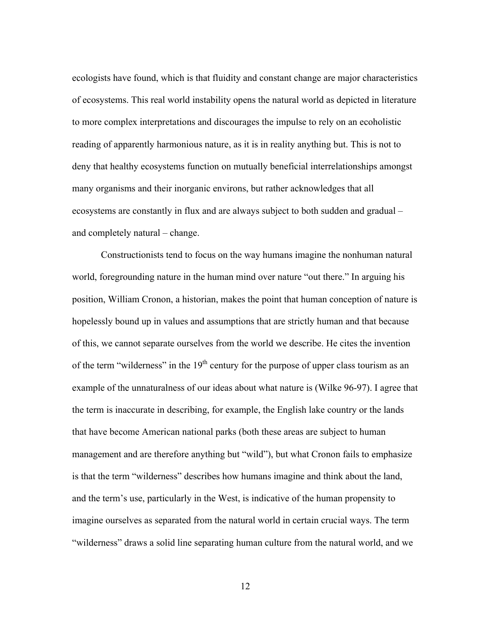ecologists have found, which is that fluidity and constant change are major characteristics of ecosystems. This real world instability opens the natural world as depicted in literature to more complex interpretations and discourages the impulse to rely on an ecoholistic reading of apparently harmonious nature, as it is in reality anything but. This is not to deny that healthy ecosystems function on mutually beneficial interrelationships amongst many organisms and their inorganic environs, but rather acknowledges that all ecosystems are constantly in flux and are always subject to both sudden and gradual – and completely natural – change.

Constructionists tend to focus on the way humans imagine the nonhuman natural world, foregrounding nature in the human mind over nature "out there." In arguing his position, William Cronon, a historian, makes the point that human conception of nature is hopelessly bound up in values and assumptions that are strictly human and that because of this, we cannot separate ourselves from the world we describe. He cites the invention of the term "wilderness" in the  $19<sup>th</sup>$  century for the purpose of upper class tourism as an example of the unnaturalness of our ideas about what nature is (Wilke 96-97). I agree that the term is inaccurate in describing, for example, the English lake country or the lands that have become American national parks (both these areas are subject to human management and are therefore anything but "wild"), but what Cronon fails to emphasize is that the term "wilderness" describes how humans imagine and think about the land, and the term's use, particularly in the West, is indicative of the human propensity to imagine ourselves as separated from the natural world in certain crucial ways. The term "wilderness" draws a solid line separating human culture from the natural world, and we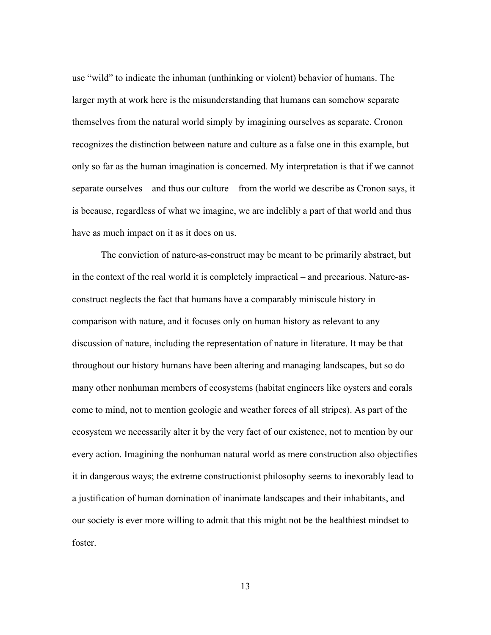use "wild" to indicate the inhuman (unthinking or violent) behavior of humans. The larger myth at work here is the misunderstanding that humans can somehow separate themselves from the natural world simply by imagining ourselves as separate. Cronon recognizes the distinction between nature and culture as a false one in this example, but only so far as the human imagination is concerned. My interpretation is that if we cannot separate ourselves – and thus our culture – from the world we describe as Cronon says, it is because, regardless of what we imagine, we are indelibly a part of that world and thus have as much impact on it as it does on us.

The conviction of nature-as-construct may be meant to be primarily abstract, but in the context of the real world it is completely impractical – and precarious. Nature-asconstruct neglects the fact that humans have a comparably miniscule history in comparison with nature, and it focuses only on human history as relevant to any discussion of nature, including the representation of nature in literature. It may be that throughout our history humans have been altering and managing landscapes, but so do many other nonhuman members of ecosystems (habitat engineers like oysters and corals come to mind, not to mention geologic and weather forces of all stripes). As part of the ecosystem we necessarily alter it by the very fact of our existence, not to mention by our every action. Imagining the nonhuman natural world as mere construction also objectifies it in dangerous ways; the extreme constructionist philosophy seems to inexorably lead to a justification of human domination of inanimate landscapes and their inhabitants, and our society is ever more willing to admit that this might not be the healthiest mindset to foster.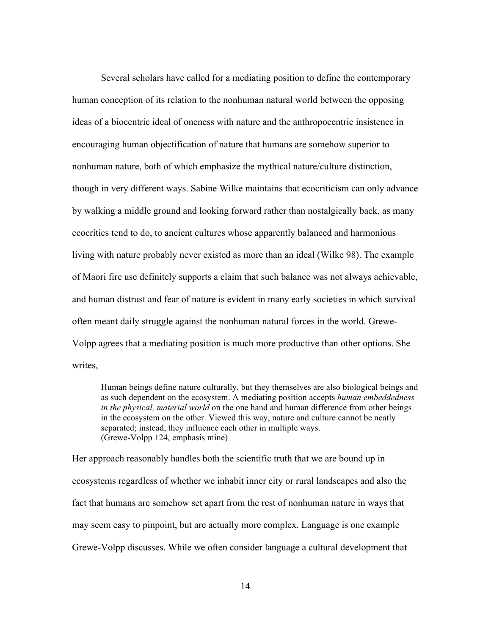Several scholars have called for a mediating position to define the contemporary human conception of its relation to the nonhuman natural world between the opposing ideas of a biocentric ideal of oneness with nature and the anthropocentric insistence in encouraging human objectification of nature that humans are somehow superior to nonhuman nature, both of which emphasize the mythical nature/culture distinction, though in very different ways. Sabine Wilke maintains that ecocriticism can only advance by walking a middle ground and looking forward rather than nostalgically back, as many ecocritics tend to do, to ancient cultures whose apparently balanced and harmonious living with nature probably never existed as more than an ideal (Wilke 98). The example of Maori fire use definitely supports a claim that such balance was not always achievable, and human distrust and fear of nature is evident in many early societies in which survival often meant daily struggle against the nonhuman natural forces in the world. Grewe-Volpp agrees that a mediating position is much more productive than other options. She writes,

Human beings define nature culturally, but they themselves are also biological beings and as such dependent on the ecosystem. A mediating position accepts *human embeddedness in the physical, material world* on the one hand and human difference from other beings in the ecosystem on the other. Viewed this way, nature and culture cannot be neatly separated; instead, they influence each other in multiple ways. (Grewe-Volpp 124, emphasis mine)

Her approach reasonably handles both the scientific truth that we are bound up in ecosystems regardless of whether we inhabit inner city or rural landscapes and also the fact that humans are somehow set apart from the rest of nonhuman nature in ways that may seem easy to pinpoint, but are actually more complex. Language is one example Grewe-Volpp discusses. While we often consider language a cultural development that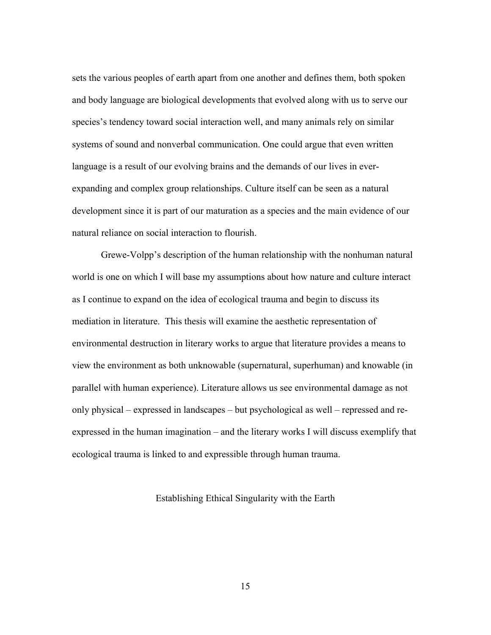sets the various peoples of earth apart from one another and defines them, both spoken and body language are biological developments that evolved along with us to serve our species's tendency toward social interaction well, and many animals rely on similar systems of sound and nonverbal communication. One could argue that even written language is a result of our evolving brains and the demands of our lives in everexpanding and complex group relationships. Culture itself can be seen as a natural development since it is part of our maturation as a species and the main evidence of our natural reliance on social interaction to flourish.

Grewe-Volpp's description of the human relationship with the nonhuman natural world is one on which I will base my assumptions about how nature and culture interact as I continue to expand on the idea of ecological trauma and begin to discuss its mediation in literature. This thesis will examine the aesthetic representation of environmental destruction in literary works to argue that literature provides a means to view the environment as both unknowable (supernatural, superhuman) and knowable (in parallel with human experience). Literature allows us see environmental damage as not only physical – expressed in landscapes – but psychological as well – repressed and reexpressed in the human imagination – and the literary works I will discuss exemplify that ecological trauma is linked to and expressible through human trauma.

# Establishing Ethical Singularity with the Earth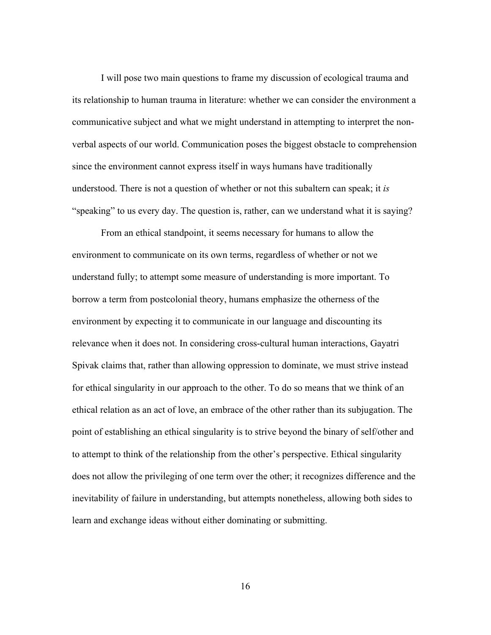I will pose two main questions to frame my discussion of ecological trauma and its relationship to human trauma in literature: whether we can consider the environment a communicative subject and what we might understand in attempting to interpret the nonverbal aspects of our world. Communication poses the biggest obstacle to comprehension since the environment cannot express itself in ways humans have traditionally understood. There is not a question of whether or not this subaltern can speak; it *is* "speaking" to us every day. The question is, rather, can we understand what it is saying?

From an ethical standpoint, it seems necessary for humans to allow the environment to communicate on its own terms, regardless of whether or not we understand fully; to attempt some measure of understanding is more important. To borrow a term from postcolonial theory, humans emphasize the otherness of the environment by expecting it to communicate in our language and discounting its relevance when it does not. In considering cross-cultural human interactions, Gayatri Spivak claims that, rather than allowing oppression to dominate, we must strive instead for ethical singularity in our approach to the other. To do so means that we think of an ethical relation as an act of love, an embrace of the other rather than its subjugation. The point of establishing an ethical singularity is to strive beyond the binary of self/other and to attempt to think of the relationship from the other's perspective. Ethical singularity does not allow the privileging of one term over the other; it recognizes difference and the inevitability of failure in understanding, but attempts nonetheless, allowing both sides to learn and exchange ideas without either dominating or submitting.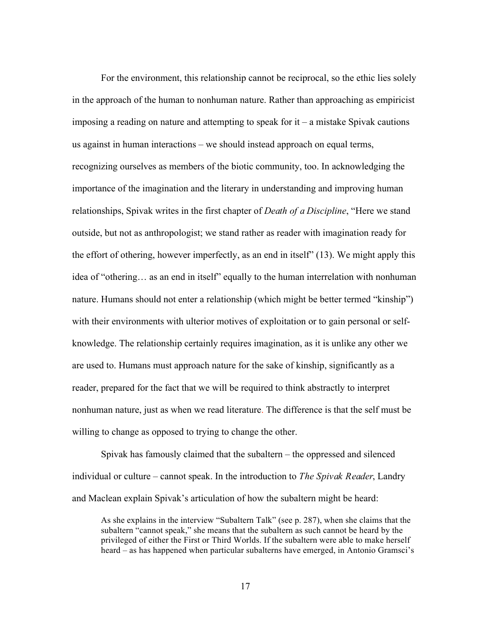For the environment, this relationship cannot be reciprocal, so the ethic lies solely in the approach of the human to nonhuman nature. Rather than approaching as empiricist imposing a reading on nature and attempting to speak for  $it - a$  mistake Spivak cautions us against in human interactions – we should instead approach on equal terms, recognizing ourselves as members of the biotic community, too. In acknowledging the importance of the imagination and the literary in understanding and improving human relationships, Spivak writes in the first chapter of *Death of a Discipline*, "Here we stand outside, but not as anthropologist; we stand rather as reader with imagination ready for the effort of othering, however imperfectly, as an end in itself" (13). We might apply this idea of "othering… as an end in itself" equally to the human interrelation with nonhuman nature. Humans should not enter a relationship (which might be better termed "kinship") with their environments with ulterior motives of exploitation or to gain personal or selfknowledge. The relationship certainly requires imagination, as it is unlike any other we are used to. Humans must approach nature for the sake of kinship, significantly as a reader, prepared for the fact that we will be required to think abstractly to interpret nonhuman nature, just as when we read literature. The difference is that the self must be willing to change as opposed to trying to change the other.

Spivak has famously claimed that the subaltern – the oppressed and silenced individual or culture – cannot speak. In the introduction to *The Spivak Reader*, Landry and Maclean explain Spivak's articulation of how the subaltern might be heard:

As she explains in the interview "Subaltern Talk" (see p. 287), when she claims that the subaltern "cannot speak," she means that the subaltern as such cannot be heard by the privileged of either the First or Third Worlds. If the subaltern were able to make herself heard – as has happened when particular subalterns have emerged, in Antonio Gramsci's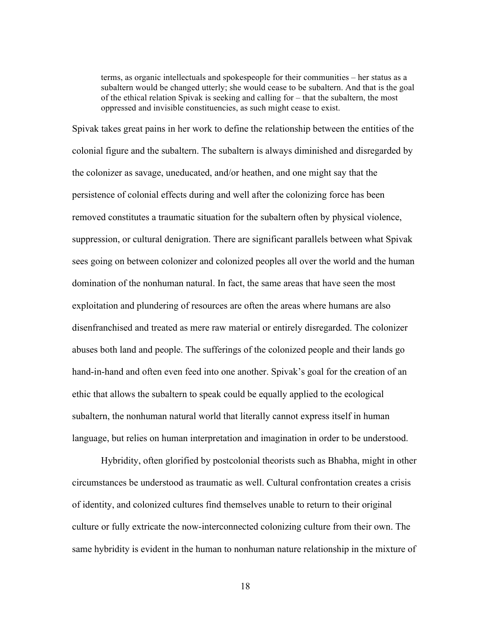terms, as organic intellectuals and spokespeople for their communities – her status as a subaltern would be changed utterly; she would cease to be subaltern. And that is the goal of the ethical relation Spivak is seeking and calling for – that the subaltern, the most oppressed and invisible constituencies, as such might cease to exist.

Spivak takes great pains in her work to define the relationship between the entities of the colonial figure and the subaltern. The subaltern is always diminished and disregarded by the colonizer as savage, uneducated, and/or heathen, and one might say that the persistence of colonial effects during and well after the colonizing force has been removed constitutes a traumatic situation for the subaltern often by physical violence, suppression, or cultural denigration. There are significant parallels between what Spivak sees going on between colonizer and colonized peoples all over the world and the human domination of the nonhuman natural. In fact, the same areas that have seen the most exploitation and plundering of resources are often the areas where humans are also disenfranchised and treated as mere raw material or entirely disregarded. The colonizer abuses both land and people. The sufferings of the colonized people and their lands go hand-in-hand and often even feed into one another. Spivak's goal for the creation of an ethic that allows the subaltern to speak could be equally applied to the ecological subaltern, the nonhuman natural world that literally cannot express itself in human language, but relies on human interpretation and imagination in order to be understood.

Hybridity, often glorified by postcolonial theorists such as Bhabha, might in other circumstances be understood as traumatic as well. Cultural confrontation creates a crisis of identity, and colonized cultures find themselves unable to return to their original culture or fully extricate the now-interconnected colonizing culture from their own. The same hybridity is evident in the human to nonhuman nature relationship in the mixture of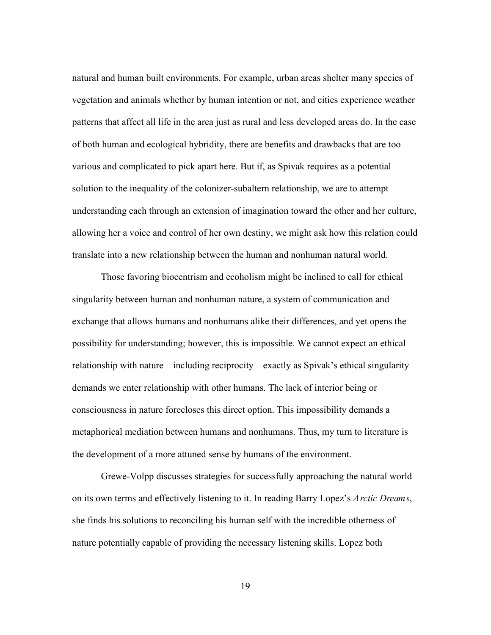natural and human built environments. For example, urban areas shelter many species of vegetation and animals whether by human intention or not, and cities experience weather patterns that affect all life in the area just as rural and less developed areas do. In the case of both human and ecological hybridity, there are benefits and drawbacks that are too various and complicated to pick apart here. But if, as Spivak requires as a potential solution to the inequality of the colonizer-subaltern relationship, we are to attempt understanding each through an extension of imagination toward the other and her culture, allowing her a voice and control of her own destiny, we might ask how this relation could translate into a new relationship between the human and nonhuman natural world.

Those favoring biocentrism and ecoholism might be inclined to call for ethical singularity between human and nonhuman nature, a system of communication and exchange that allows humans and nonhumans alike their differences, and yet opens the possibility for understanding; however, this is impossible. We cannot expect an ethical relationship with nature – including reciprocity – exactly as Spivak's ethical singularity demands we enter relationship with other humans. The lack of interior being or consciousness in nature forecloses this direct option. This impossibility demands a metaphorical mediation between humans and nonhumans. Thus, my turn to literature is the development of a more attuned sense by humans of the environment.

Grewe-Volpp discusses strategies for successfully approaching the natural world on its own terms and effectively listening to it. In reading Barry Lopez's *Arctic Dreams*, she finds his solutions to reconciling his human self with the incredible otherness of nature potentially capable of providing the necessary listening skills. Lopez both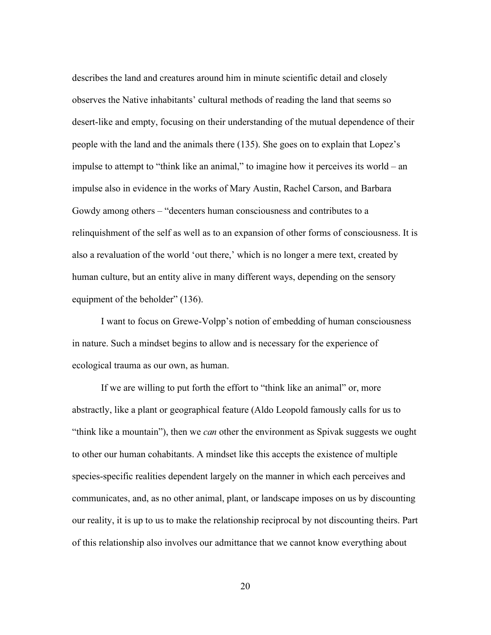describes the land and creatures around him in minute scientific detail and closely observes the Native inhabitants' cultural methods of reading the land that seems so desert-like and empty, focusing on their understanding of the mutual dependence of their people with the land and the animals there (135). She goes on to explain that Lopez's impulse to attempt to "think like an animal," to imagine how it perceives its world – an impulse also in evidence in the works of Mary Austin, Rachel Carson, and Barbara Gowdy among others – "decenters human consciousness and contributes to a relinquishment of the self as well as to an expansion of other forms of consciousness. It is also a revaluation of the world 'out there,' which is no longer a mere text, created by human culture, but an entity alive in many different ways, depending on the sensory equipment of the beholder" (136).

I want to focus on Grewe-Volpp's notion of embedding of human consciousness in nature. Such a mindset begins to allow and is necessary for the experience of ecological trauma as our own, as human.

If we are willing to put forth the effort to "think like an animal" or, more abstractly, like a plant or geographical feature (Aldo Leopold famously calls for us to "think like a mountain"), then we *can* other the environment as Spivak suggests we ought to other our human cohabitants. A mindset like this accepts the existence of multiple species-specific realities dependent largely on the manner in which each perceives and communicates, and, as no other animal, plant, or landscape imposes on us by discounting our reality, it is up to us to make the relationship reciprocal by not discounting theirs. Part of this relationship also involves our admittance that we cannot know everything about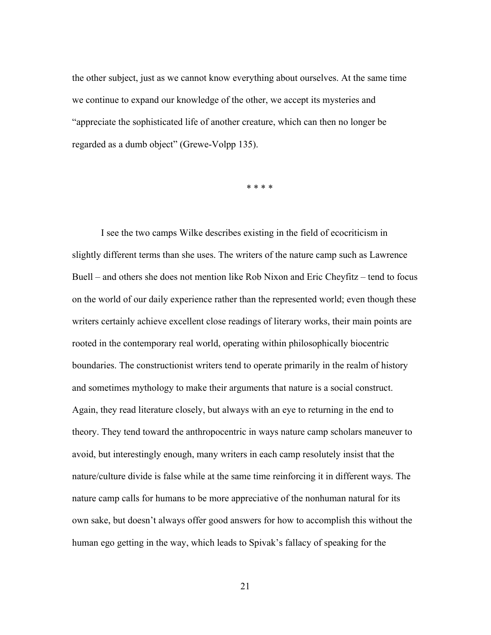the other subject, just as we cannot know everything about ourselves. At the same time we continue to expand our knowledge of the other, we accept its mysteries and "appreciate the sophisticated life of another creature, which can then no longer be regarded as a dumb object" (Grewe-Volpp 135).

\* \* \* \*

I see the two camps Wilke describes existing in the field of ecocriticism in slightly different terms than she uses. The writers of the nature camp such as Lawrence Buell – and others she does not mention like Rob Nixon and Eric Cheyfitz – tend to focus on the world of our daily experience rather than the represented world; even though these writers certainly achieve excellent close readings of literary works, their main points are rooted in the contemporary real world, operating within philosophically biocentric boundaries. The constructionist writers tend to operate primarily in the realm of history and sometimes mythology to make their arguments that nature is a social construct. Again, they read literature closely, but always with an eye to returning in the end to theory. They tend toward the anthropocentric in ways nature camp scholars maneuver to avoid, but interestingly enough, many writers in each camp resolutely insist that the nature/culture divide is false while at the same time reinforcing it in different ways. The nature camp calls for humans to be more appreciative of the nonhuman natural for its own sake, but doesn't always offer good answers for how to accomplish this without the human ego getting in the way, which leads to Spivak's fallacy of speaking for the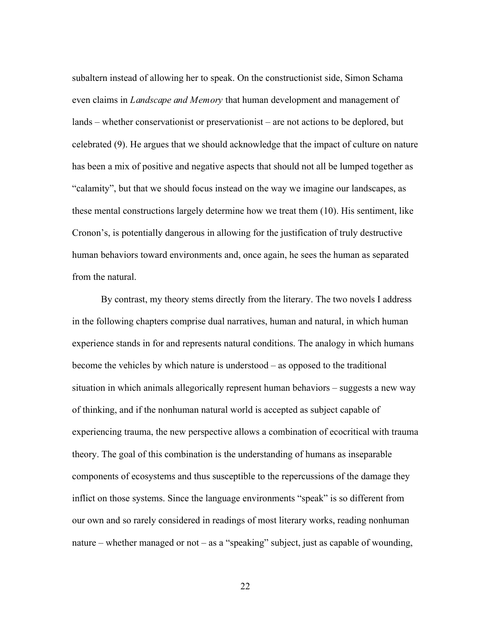subaltern instead of allowing her to speak. On the constructionist side, Simon Schama even claims in *Landscape and Memory* that human development and management of lands – whether conservationist or preservationist – are not actions to be deplored, but celebrated (9). He argues that we should acknowledge that the impact of culture on nature has been a mix of positive and negative aspects that should not all be lumped together as "calamity", but that we should focus instead on the way we imagine our landscapes, as these mental constructions largely determine how we treat them (10). His sentiment, like Cronon's, is potentially dangerous in allowing for the justification of truly destructive human behaviors toward environments and, once again, he sees the human as separated from the natural.

By contrast, my theory stems directly from the literary. The two novels I address in the following chapters comprise dual narratives, human and natural, in which human experience stands in for and represents natural conditions. The analogy in which humans become the vehicles by which nature is understood – as opposed to the traditional situation in which animals allegorically represent human behaviors – suggests a new way of thinking, and if the nonhuman natural world is accepted as subject capable of experiencing trauma, the new perspective allows a combination of ecocritical with trauma theory. The goal of this combination is the understanding of humans as inseparable components of ecosystems and thus susceptible to the repercussions of the damage they inflict on those systems. Since the language environments "speak" is so different from our own and so rarely considered in readings of most literary works, reading nonhuman nature – whether managed or not – as a "speaking" subject, just as capable of wounding,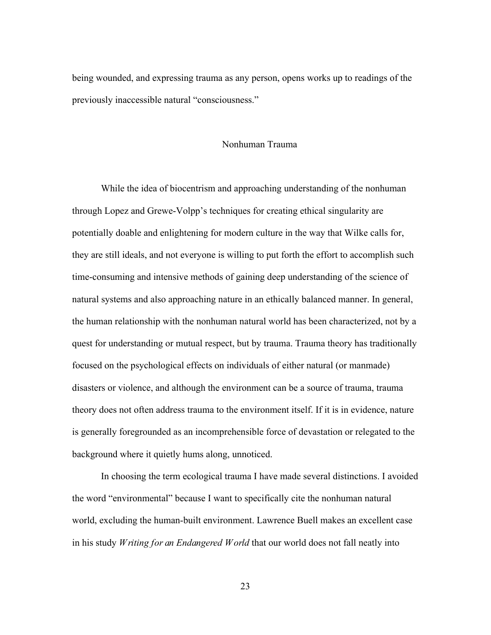being wounded, and expressing trauma as any person, opens works up to readings of the previously inaccessible natural "consciousness."

## Nonhuman Trauma

While the idea of biocentrism and approaching understanding of the nonhuman through Lopez and Grewe-Volpp's techniques for creating ethical singularity are potentially doable and enlightening for modern culture in the way that Wilke calls for, they are still ideals, and not everyone is willing to put forth the effort to accomplish such time-consuming and intensive methods of gaining deep understanding of the science of natural systems and also approaching nature in an ethically balanced manner. In general, the human relationship with the nonhuman natural world has been characterized, not by a quest for understanding or mutual respect, but by trauma. Trauma theory has traditionally focused on the psychological effects on individuals of either natural (or manmade) disasters or violence, and although the environment can be a source of trauma, trauma theory does not often address trauma to the environment itself. If it is in evidence, nature is generally foregrounded as an incomprehensible force of devastation or relegated to the background where it quietly hums along, unnoticed.

In choosing the term ecological trauma I have made several distinctions. I avoided the word "environmental" because I want to specifically cite the nonhuman natural world, excluding the human-built environment. Lawrence Buell makes an excellent case in his study *Writing for an Endangered World* that our world does not fall neatly into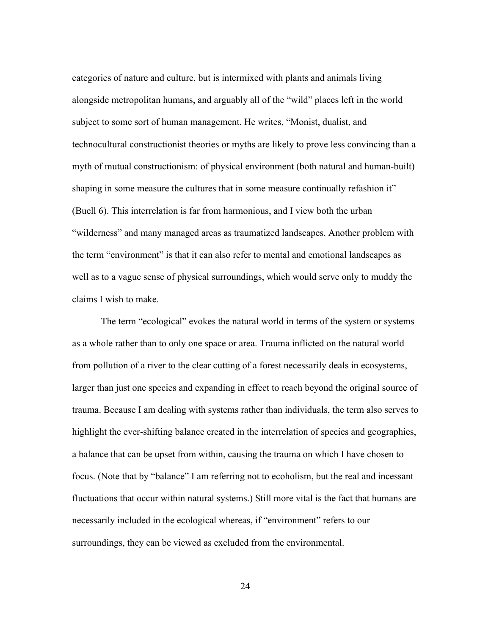categories of nature and culture, but is intermixed with plants and animals living alongside metropolitan humans, and arguably all of the "wild" places left in the world subject to some sort of human management. He writes, "Monist, dualist, and technocultural constructionist theories or myths are likely to prove less convincing than a myth of mutual constructionism: of physical environment (both natural and human-built) shaping in some measure the cultures that in some measure continually refashion it" (Buell 6). This interrelation is far from harmonious, and I view both the urban "wilderness" and many managed areas as traumatized landscapes. Another problem with the term "environment" is that it can also refer to mental and emotional landscapes as well as to a vague sense of physical surroundings, which would serve only to muddy the claims I wish to make.

The term "ecological" evokes the natural world in terms of the system or systems as a whole rather than to only one space or area. Trauma inflicted on the natural world from pollution of a river to the clear cutting of a forest necessarily deals in ecosystems, larger than just one species and expanding in effect to reach beyond the original source of trauma. Because I am dealing with systems rather than individuals, the term also serves to highlight the ever-shifting balance created in the interrelation of species and geographies, a balance that can be upset from within, causing the trauma on which I have chosen to focus. (Note that by "balance" I am referring not to ecoholism, but the real and incessant fluctuations that occur within natural systems.) Still more vital is the fact that humans are necessarily included in the ecological whereas, if "environment" refers to our surroundings, they can be viewed as excluded from the environmental.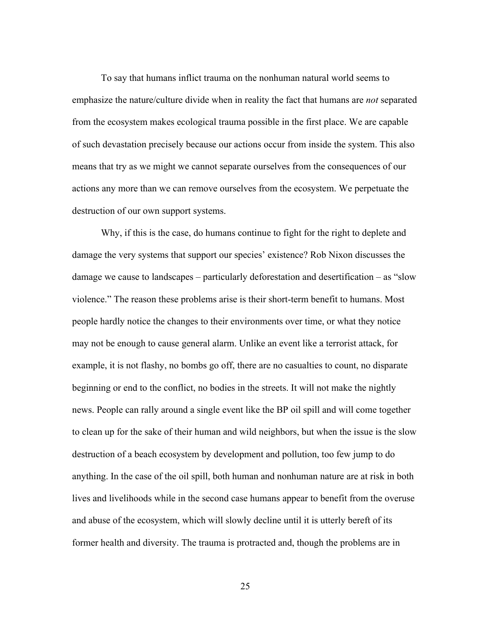To say that humans inflict trauma on the nonhuman natural world seems to emphasize the nature/culture divide when in reality the fact that humans are *not* separated from the ecosystem makes ecological trauma possible in the first place. We are capable of such devastation precisely because our actions occur from inside the system. This also means that try as we might we cannot separate ourselves from the consequences of our actions any more than we can remove ourselves from the ecosystem. We perpetuate the destruction of our own support systems.

Why, if this is the case, do humans continue to fight for the right to deplete and damage the very systems that support our species' existence? Rob Nixon discusses the damage we cause to landscapes – particularly deforestation and desertification – as "slow violence." The reason these problems arise is their short-term benefit to humans. Most people hardly notice the changes to their environments over time, or what they notice may not be enough to cause general alarm. Unlike an event like a terrorist attack, for example, it is not flashy, no bombs go off, there are no casualties to count, no disparate beginning or end to the conflict, no bodies in the streets. It will not make the nightly news. People can rally around a single event like the BP oil spill and will come together to clean up for the sake of their human and wild neighbors, but when the issue is the slow destruction of a beach ecosystem by development and pollution, too few jump to do anything. In the case of the oil spill, both human and nonhuman nature are at risk in both lives and livelihoods while in the second case humans appear to benefit from the overuse and abuse of the ecosystem, which will slowly decline until it is utterly bereft of its former health and diversity. The trauma is protracted and, though the problems are in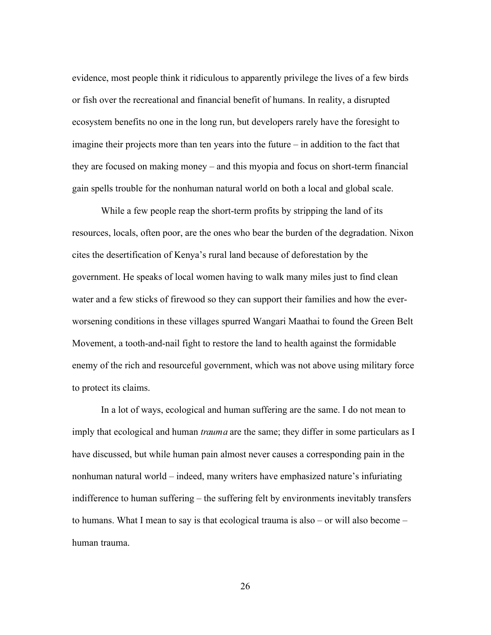evidence, most people think it ridiculous to apparently privilege the lives of a few birds or fish over the recreational and financial benefit of humans. In reality, a disrupted ecosystem benefits no one in the long run, but developers rarely have the foresight to imagine their projects more than ten years into the future – in addition to the fact that they are focused on making money – and this myopia and focus on short-term financial gain spells trouble for the nonhuman natural world on both a local and global scale.

While a few people reap the short-term profits by stripping the land of its resources, locals, often poor, are the ones who bear the burden of the degradation. Nixon cites the desertification of Kenya's rural land because of deforestation by the government. He speaks of local women having to walk many miles just to find clean water and a few sticks of firewood so they can support their families and how the everworsening conditions in these villages spurred Wangari Maathai to found the Green Belt Movement, a tooth-and-nail fight to restore the land to health against the formidable enemy of the rich and resourceful government, which was not above using military force to protect its claims.

In a lot of ways, ecological and human suffering are the same. I do not mean to imply that ecological and human *trauma* are the same; they differ in some particulars as I have discussed, but while human pain almost never causes a corresponding pain in the nonhuman natural world – indeed, many writers have emphasized nature's infuriating indifference to human suffering – the suffering felt by environments inevitably transfers to humans. What I mean to say is that ecological trauma is also – or will also become – human trauma.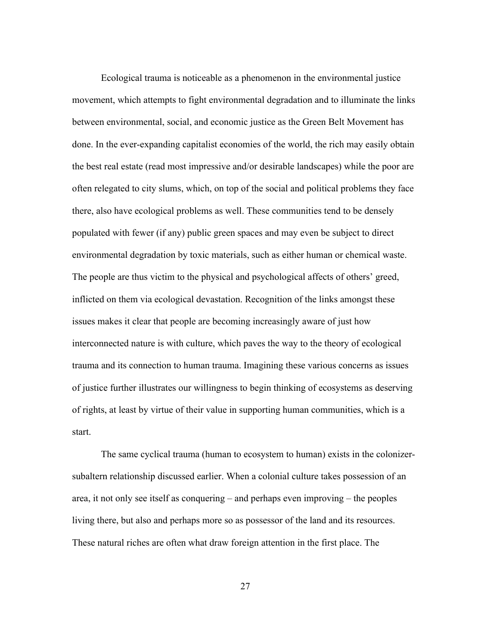Ecological trauma is noticeable as a phenomenon in the environmental justice movement, which attempts to fight environmental degradation and to illuminate the links between environmental, social, and economic justice as the Green Belt Movement has done. In the ever-expanding capitalist economies of the world, the rich may easily obtain the best real estate (read most impressive and/or desirable landscapes) while the poor are often relegated to city slums, which, on top of the social and political problems they face there, also have ecological problems as well. These communities tend to be densely populated with fewer (if any) public green spaces and may even be subject to direct environmental degradation by toxic materials, such as either human or chemical waste. The people are thus victim to the physical and psychological affects of others' greed, inflicted on them via ecological devastation. Recognition of the links amongst these issues makes it clear that people are becoming increasingly aware of just how interconnected nature is with culture, which paves the way to the theory of ecological trauma and its connection to human trauma. Imagining these various concerns as issues of justice further illustrates our willingness to begin thinking of ecosystems as deserving of rights, at least by virtue of their value in supporting human communities, which is a start.

The same cyclical trauma (human to ecosystem to human) exists in the colonizersubaltern relationship discussed earlier. When a colonial culture takes possession of an area, it not only see itself as conquering – and perhaps even improving – the peoples living there, but also and perhaps more so as possessor of the land and its resources. These natural riches are often what draw foreign attention in the first place. The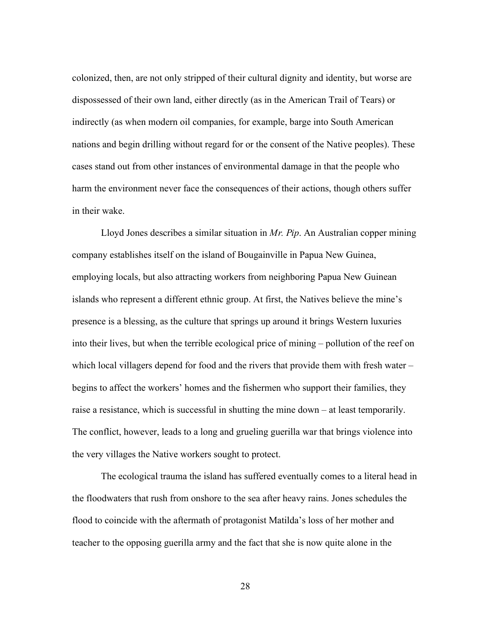colonized, then, are not only stripped of their cultural dignity and identity, but worse are dispossessed of their own land, either directly (as in the American Trail of Tears) or indirectly (as when modern oil companies, for example, barge into South American nations and begin drilling without regard for or the consent of the Native peoples). These cases stand out from other instances of environmental damage in that the people who harm the environment never face the consequences of their actions, though others suffer in their wake.

Lloyd Jones describes a similar situation in *Mr. Pip*. An Australian copper mining company establishes itself on the island of Bougainville in Papua New Guinea, employing locals, but also attracting workers from neighboring Papua New Guinean islands who represent a different ethnic group. At first, the Natives believe the mine's presence is a blessing, as the culture that springs up around it brings Western luxuries into their lives, but when the terrible ecological price of mining – pollution of the reef on which local villagers depend for food and the rivers that provide them with fresh water – begins to affect the workers' homes and the fishermen who support their families, they raise a resistance, which is successful in shutting the mine down – at least temporarily. The conflict, however, leads to a long and grueling guerilla war that brings violence into the very villages the Native workers sought to protect.

The ecological trauma the island has suffered eventually comes to a literal head in the floodwaters that rush from onshore to the sea after heavy rains. Jones schedules the flood to coincide with the aftermath of protagonist Matilda's loss of her mother and teacher to the opposing guerilla army and the fact that she is now quite alone in the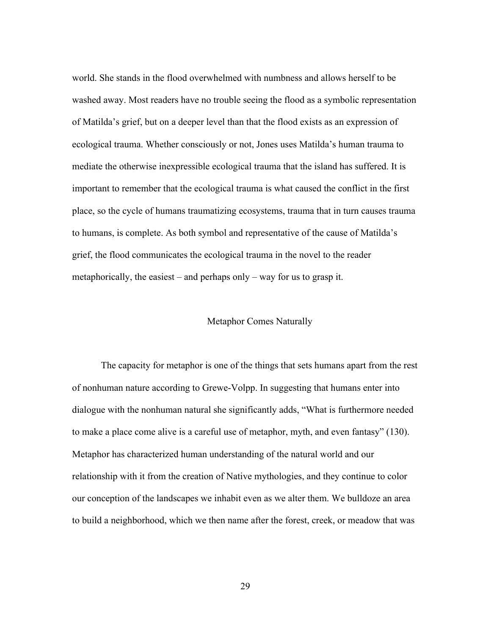world. She stands in the flood overwhelmed with numbness and allows herself to be washed away. Most readers have no trouble seeing the flood as a symbolic representation of Matilda's grief, but on a deeper level than that the flood exists as an expression of ecological trauma. Whether consciously or not, Jones uses Matilda's human trauma to mediate the otherwise inexpressible ecological trauma that the island has suffered. It is important to remember that the ecological trauma is what caused the conflict in the first place, so the cycle of humans traumatizing ecosystems, trauma that in turn causes trauma to humans, is complete. As both symbol and representative of the cause of Matilda's grief, the flood communicates the ecological trauma in the novel to the reader metaphorically, the easiest – and perhaps only – way for us to grasp it.

# Metaphor Comes Naturally

The capacity for metaphor is one of the things that sets humans apart from the rest of nonhuman nature according to Grewe-Volpp. In suggesting that humans enter into dialogue with the nonhuman natural she significantly adds, "What is furthermore needed to make a place come alive is a careful use of metaphor, myth, and even fantasy" (130). Metaphor has characterized human understanding of the natural world and our relationship with it from the creation of Native mythologies, and they continue to color our conception of the landscapes we inhabit even as we alter them. We bulldoze an area to build a neighborhood, which we then name after the forest, creek, or meadow that was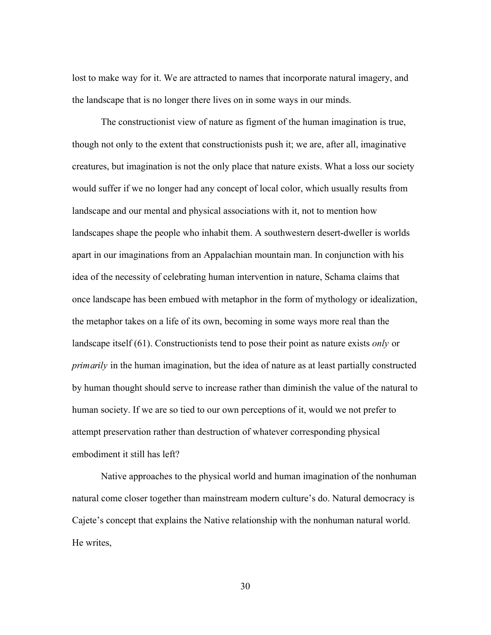lost to make way for it. We are attracted to names that incorporate natural imagery, and the landscape that is no longer there lives on in some ways in our minds.

The constructionist view of nature as figment of the human imagination is true, though not only to the extent that constructionists push it; we are, after all, imaginative creatures, but imagination is not the only place that nature exists. What a loss our society would suffer if we no longer had any concept of local color, which usually results from landscape and our mental and physical associations with it, not to mention how landscapes shape the people who inhabit them. A southwestern desert-dweller is worlds apart in our imaginations from an Appalachian mountain man. In conjunction with his idea of the necessity of celebrating human intervention in nature, Schama claims that once landscape has been embued with metaphor in the form of mythology or idealization, the metaphor takes on a life of its own, becoming in some ways more real than the landscape itself (61). Constructionists tend to pose their point as nature exists *only* or *primarily* in the human imagination, but the idea of nature as at least partially constructed by human thought should serve to increase rather than diminish the value of the natural to human society. If we are so tied to our own perceptions of it, would we not prefer to attempt preservation rather than destruction of whatever corresponding physical embodiment it still has left?

Native approaches to the physical world and human imagination of the nonhuman natural come closer together than mainstream modern culture's do. Natural democracy is Cajete's concept that explains the Native relationship with the nonhuman natural world. He writes,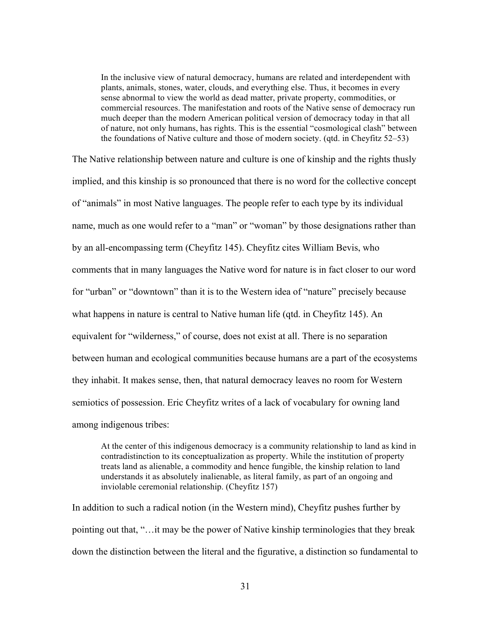In the inclusive view of natural democracy, humans are related and interdependent with plants, animals, stones, water, clouds, and everything else. Thus, it becomes in every sense abnormal to view the world as dead matter, private property, commodities, or commercial resources. The manifestation and roots of the Native sense of democracy run much deeper than the modern American political version of democracy today in that all of nature, not only humans, has rights. This is the essential "cosmological clash" between the foundations of Native culture and those of modern society. (qtd. in Cheyfitz 52–53)

The Native relationship between nature and culture is one of kinship and the rights thusly implied, and this kinship is so pronounced that there is no word for the collective concept of "animals" in most Native languages. The people refer to each type by its individual name, much as one would refer to a "man" or "woman" by those designations rather than by an all-encompassing term (Cheyfitz 145). Cheyfitz cites William Bevis, who comments that in many languages the Native word for nature is in fact closer to our word for "urban" or "downtown" than it is to the Western idea of "nature" precisely because what happens in nature is central to Native human life (qtd. in Cheyfitz 145). An equivalent for "wilderness," of course, does not exist at all. There is no separation between human and ecological communities because humans are a part of the ecosystems they inhabit. It makes sense, then, that natural democracy leaves no room for Western semiotics of possession. Eric Cheyfitz writes of a lack of vocabulary for owning land among indigenous tribes:

At the center of this indigenous democracy is a community relationship to land as kind in contradistinction to its conceptualization as property. While the institution of property treats land as alienable, a commodity and hence fungible, the kinship relation to land understands it as absolutely inalienable, as literal family, as part of an ongoing and inviolable ceremonial relationship. (Cheyfitz 157)

In addition to such a radical notion (in the Western mind), Cheyfitz pushes further by pointing out that, "…it may be the power of Native kinship terminologies that they break down the distinction between the literal and the figurative, a distinction so fundamental to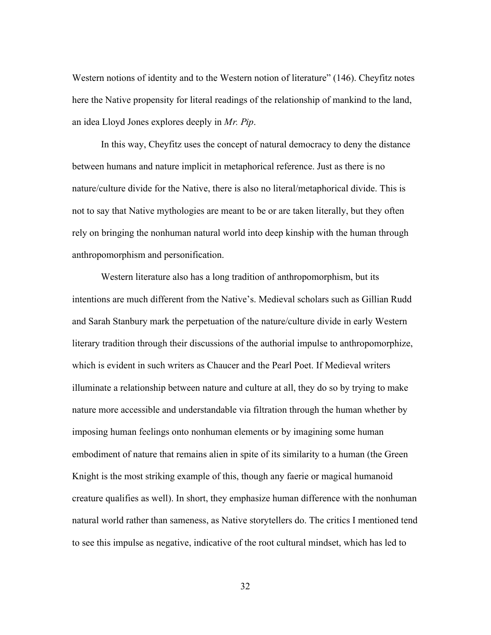Western notions of identity and to the Western notion of literature" (146). Cheyfitz notes here the Native propensity for literal readings of the relationship of mankind to the land, an idea Lloyd Jones explores deeply in *Mr. Pip*.

In this way, Cheyfitz uses the concept of natural democracy to deny the distance between humans and nature implicit in metaphorical reference. Just as there is no nature/culture divide for the Native, there is also no literal/metaphorical divide. This is not to say that Native mythologies are meant to be or are taken literally, but they often rely on bringing the nonhuman natural world into deep kinship with the human through anthropomorphism and personification.

Western literature also has a long tradition of anthropomorphism, but its intentions are much different from the Native's. Medieval scholars such as Gillian Rudd and Sarah Stanbury mark the perpetuation of the nature/culture divide in early Western literary tradition through their discussions of the authorial impulse to anthropomorphize, which is evident in such writers as Chaucer and the Pearl Poet. If Medieval writers illuminate a relationship between nature and culture at all, they do so by trying to make nature more accessible and understandable via filtration through the human whether by imposing human feelings onto nonhuman elements or by imagining some human embodiment of nature that remains alien in spite of its similarity to a human (the Green Knight is the most striking example of this, though any faerie or magical humanoid creature qualifies as well). In short, they emphasize human difference with the nonhuman natural world rather than sameness, as Native storytellers do. The critics I mentioned tend to see this impulse as negative, indicative of the root cultural mindset, which has led to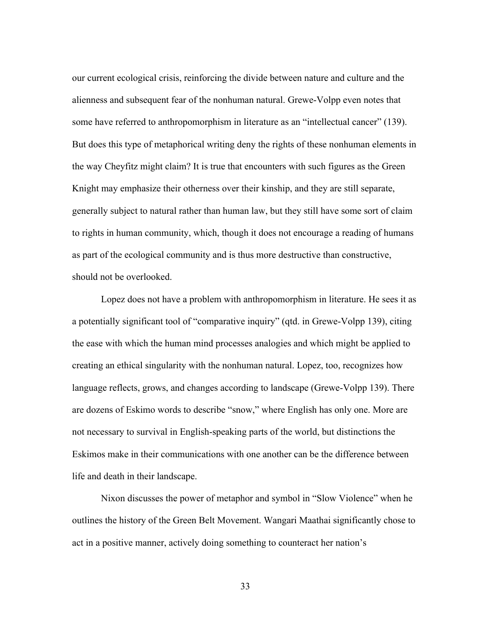our current ecological crisis, reinforcing the divide between nature and culture and the alienness and subsequent fear of the nonhuman natural. Grewe-Volpp even notes that some have referred to anthropomorphism in literature as an "intellectual cancer" (139). But does this type of metaphorical writing deny the rights of these nonhuman elements in the way Cheyfitz might claim? It is true that encounters with such figures as the Green Knight may emphasize their otherness over their kinship, and they are still separate, generally subject to natural rather than human law, but they still have some sort of claim to rights in human community, which, though it does not encourage a reading of humans as part of the ecological community and is thus more destructive than constructive, should not be overlooked.

Lopez does not have a problem with anthropomorphism in literature. He sees it as a potentially significant tool of "comparative inquiry" (qtd. in Grewe-Volpp 139), citing the ease with which the human mind processes analogies and which might be applied to creating an ethical singularity with the nonhuman natural. Lopez, too, recognizes how language reflects, grows, and changes according to landscape (Grewe-Volpp 139). There are dozens of Eskimo words to describe "snow," where English has only one. More are not necessary to survival in English-speaking parts of the world, but distinctions the Eskimos make in their communications with one another can be the difference between life and death in their landscape.

Nixon discusses the power of metaphor and symbol in "Slow Violence" when he outlines the history of the Green Belt Movement. Wangari Maathai significantly chose to act in a positive manner, actively doing something to counteract her nation's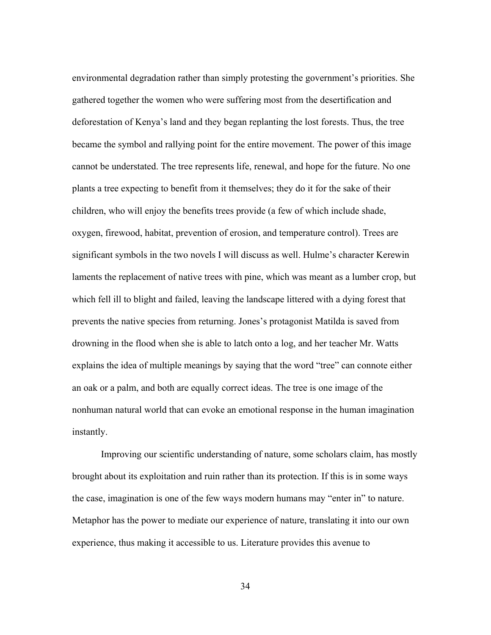environmental degradation rather than simply protesting the government's priorities. She gathered together the women who were suffering most from the desertification and deforestation of Kenya's land and they began replanting the lost forests. Thus, the tree became the symbol and rallying point for the entire movement. The power of this image cannot be understated. The tree represents life, renewal, and hope for the future. No one plants a tree expecting to benefit from it themselves; they do it for the sake of their children, who will enjoy the benefits trees provide (a few of which include shade, oxygen, firewood, habitat, prevention of erosion, and temperature control). Trees are significant symbols in the two novels I will discuss as well. Hulme's character Kerewin laments the replacement of native trees with pine, which was meant as a lumber crop, but which fell ill to blight and failed, leaving the landscape littered with a dying forest that prevents the native species from returning. Jones's protagonist Matilda is saved from drowning in the flood when she is able to latch onto a log, and her teacher Mr. Watts explains the idea of multiple meanings by saying that the word "tree" can connote either an oak or a palm, and both are equally correct ideas. The tree is one image of the nonhuman natural world that can evoke an emotional response in the human imagination instantly.

Improving our scientific understanding of nature, some scholars claim, has mostly brought about its exploitation and ruin rather than its protection. If this is in some ways the case, imagination is one of the few ways modern humans may "enter in" to nature. Metaphor has the power to mediate our experience of nature, translating it into our own experience, thus making it accessible to us. Literature provides this avenue to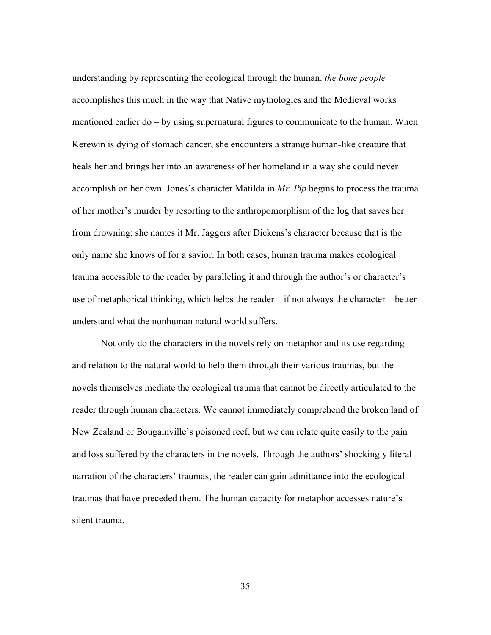understanding by representing the ecological through the human. *the bone people* accomplishes this much in the way that Native mythologies and the Medieval works mentioned earlier do – by using supernatural figures to communicate to the human. When Kerewin is dying of stomach cancer, she encounters a strange human-like creature that heals her and brings her into an awareness of her homeland in a way she could never accomplish on her own. Jones's character Matilda in *Mr. Pip* begins to process the trauma of her mother's murder by resorting to the anthropomorphism of the log that saves her from drowning; she names it Mr. Jaggers after Dickens's character because that is the only name she knows of for a savior. In both cases, human trauma makes ecological trauma accessible to the reader by paralleling it and through the author's or character's use of metaphorical thinking, which helps the reader – if not always the character – better understand what the nonhuman natural world suffers.

Not only do the characters in the novels rely on metaphor and its use regarding and relation to the natural world to help them through their various traumas, but the novels themselves mediate the ecological trauma that cannot be directly articulated to the reader through human characters. We cannot immediately comprehend the broken land of New Zealand or Bougainville's poisoned reef, but we can relate quite easily to the pain and loss suffered by the characters in the novels. Through the authors' shockingly literal narration of the characters' traumas, the reader can gain admittance into the ecological traumas that have preceded them. The human capacity for metaphor accesses nature's silent trauma.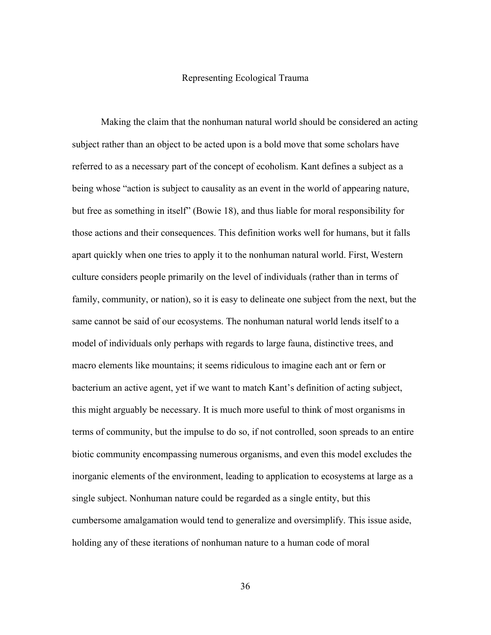#### Representing Ecological Trauma

Making the claim that the nonhuman natural world should be considered an acting subject rather than an object to be acted upon is a bold move that some scholars have referred to as a necessary part of the concept of ecoholism. Kant defines a subject as a being whose "action is subject to causality as an event in the world of appearing nature, but free as something in itself" (Bowie 18), and thus liable for moral responsibility for those actions and their consequences. This definition works well for humans, but it falls apart quickly when one tries to apply it to the nonhuman natural world. First, Western culture considers people primarily on the level of individuals (rather than in terms of family, community, or nation), so it is easy to delineate one subject from the next, but the same cannot be said of our ecosystems. The nonhuman natural world lends itself to a model of individuals only perhaps with regards to large fauna, distinctive trees, and macro elements like mountains; it seems ridiculous to imagine each ant or fern or bacterium an active agent, yet if we want to match Kant's definition of acting subject, this might arguably be necessary. It is much more useful to think of most organisms in terms of community, but the impulse to do so, if not controlled, soon spreads to an entire biotic community encompassing numerous organisms, and even this model excludes the inorganic elements of the environment, leading to application to ecosystems at large as a single subject. Nonhuman nature could be regarded as a single entity, but this cumbersome amalgamation would tend to generalize and oversimplify. This issue aside, holding any of these iterations of nonhuman nature to a human code of moral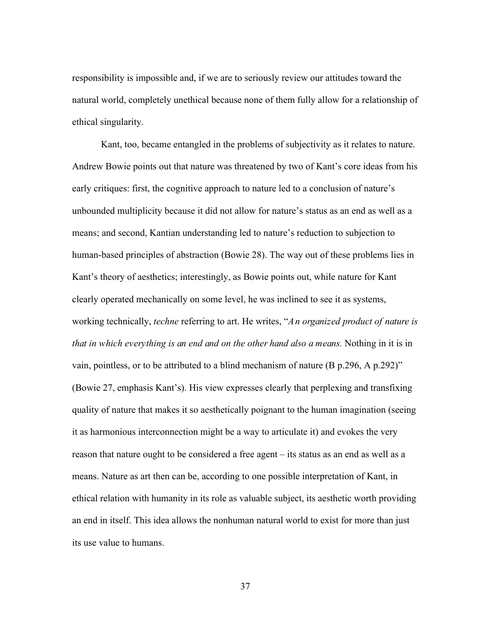responsibility is impossible and, if we are to seriously review our attitudes toward the natural world, completely unethical because none of them fully allow for a relationship of ethical singularity.

Kant, too, became entangled in the problems of subjectivity as it relates to nature. Andrew Bowie points out that nature was threatened by two of Kant's core ideas from his early critiques: first, the cognitive approach to nature led to a conclusion of nature's unbounded multiplicity because it did not allow for nature's status as an end as well as a means; and second, Kantian understanding led to nature's reduction to subjection to human-based principles of abstraction (Bowie 28). The way out of these problems lies in Kant's theory of aesthetics; interestingly, as Bowie points out, while nature for Kant clearly operated mechanically on some level, he was inclined to see it as systems, working technically, *techne* referring to art. He writes, "*An organized product of nature is that in which everything is an end and on the other hand also a means.* Nothing in it is in vain, pointless, or to be attributed to a blind mechanism of nature (B p.296, A p.292)" (Bowie 27, emphasis Kant's). His view expresses clearly that perplexing and transfixing quality of nature that makes it so aesthetically poignant to the human imagination (seeing it as harmonious interconnection might be a way to articulate it) and evokes the very reason that nature ought to be considered a free agent – its status as an end as well as a means. Nature as art then can be, according to one possible interpretation of Kant, in ethical relation with humanity in its role as valuable subject, its aesthetic worth providing an end in itself. This idea allows the nonhuman natural world to exist for more than just its use value to humans.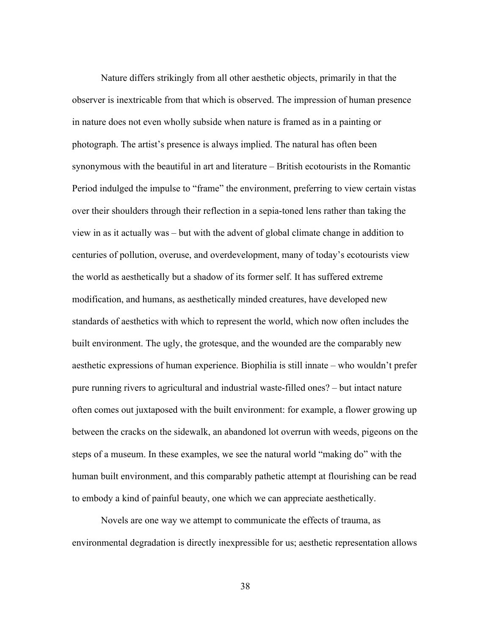Nature differs strikingly from all other aesthetic objects, primarily in that the observer is inextricable from that which is observed. The impression of human presence in nature does not even wholly subside when nature is framed as in a painting or photograph. The artist's presence is always implied. The natural has often been synonymous with the beautiful in art and literature – British ecotourists in the Romantic Period indulged the impulse to "frame" the environment, preferring to view certain vistas over their shoulders through their reflection in a sepia-toned lens rather than taking the view in as it actually was – but with the advent of global climate change in addition to centuries of pollution, overuse, and overdevelopment, many of today's ecotourists view the world as aesthetically but a shadow of its former self. It has suffered extreme modification, and humans, as aesthetically minded creatures, have developed new standards of aesthetics with which to represent the world, which now often includes the built environment. The ugly, the grotesque, and the wounded are the comparably new aesthetic expressions of human experience. Biophilia is still innate – who wouldn't prefer pure running rivers to agricultural and industrial waste-filled ones? – but intact nature often comes out juxtaposed with the built environment: for example, a flower growing up between the cracks on the sidewalk, an abandoned lot overrun with weeds, pigeons on the steps of a museum. In these examples, we see the natural world "making do" with the human built environment, and this comparably pathetic attempt at flourishing can be read to embody a kind of painful beauty, one which we can appreciate aesthetically.

Novels are one way we attempt to communicate the effects of trauma, as environmental degradation is directly inexpressible for us; aesthetic representation allows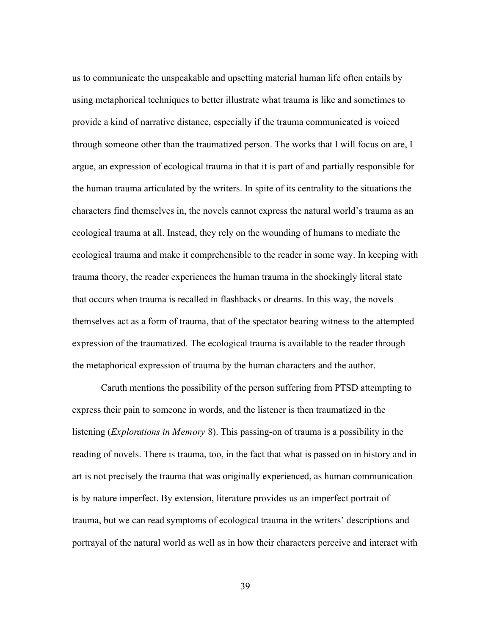us to communicate the unspeakable and upsetting material human life often entails by using metaphorical techniques to better illustrate what trauma is like and sometimes to provide a kind of narrative distance, especially if the trauma communicated is voiced through someone other than the traumatized person. The works that I will focus on are, I argue, an expression of ecological trauma in that it is part of and partially responsible for the human trauma articulated by the writers. In spite of its centrality to the situations the characters find themselves in, the novels cannot express the natural world's trauma as an ecological trauma at all. Instead, they rely on the wounding of humans to mediate the ecological trauma and make it comprehensible to the reader in some way. In keeping with trauma theory, the reader experiences the human trauma in the shockingly literal state that occurs when trauma is recalled in flashbacks or dreams. In this way, the novels themselves act as a form of trauma, that of the spectator bearing witness to the attempted expression of the traumatized. The ecological trauma is available to the reader through the metaphorical expression of trauma by the human characters and the author.

Caruth mentions the possibility of the person suffering from PTSD attempting to express their pain to someone in words, and the listener is then traumatized in the listening (*Explorations in Memory* 8). This passing-on of trauma is a possibility in the reading of novels. There is trauma, too, in the fact that what is passed on in history and in art is not precisely the trauma that was originally experienced, as human communication is by nature imperfect. By extension, literature provides us an imperfect portrait of trauma, but we can read symptoms of ecological trauma in the writers' descriptions and portrayal of the natural world as well as in how their characters perceive and interact with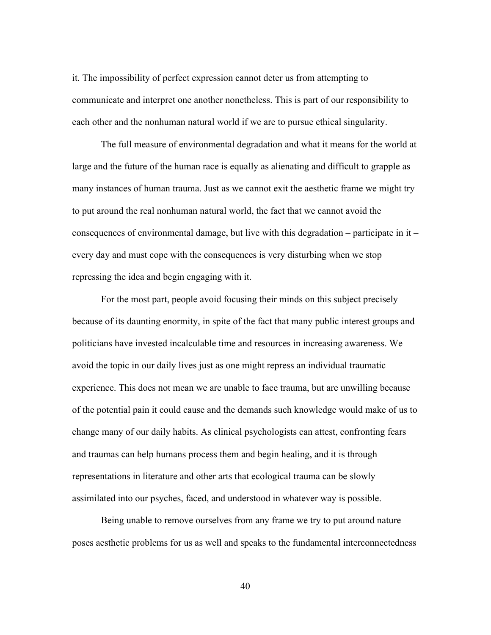it. The impossibility of perfect expression cannot deter us from attempting to communicate and interpret one another nonetheless. This is part of our responsibility to each other and the nonhuman natural world if we are to pursue ethical singularity.

The full measure of environmental degradation and what it means for the world at large and the future of the human race is equally as alienating and difficult to grapple as many instances of human trauma. Just as we cannot exit the aesthetic frame we might try to put around the real nonhuman natural world, the fact that we cannot avoid the consequences of environmental damage, but live with this degradation – participate in  $it$  – every day and must cope with the consequences is very disturbing when we stop repressing the idea and begin engaging with it.

For the most part, people avoid focusing their minds on this subject precisely because of its daunting enormity, in spite of the fact that many public interest groups and politicians have invested incalculable time and resources in increasing awareness. We avoid the topic in our daily lives just as one might repress an individual traumatic experience. This does not mean we are unable to face trauma, but are unwilling because of the potential pain it could cause and the demands such knowledge would make of us to change many of our daily habits. As clinical psychologists can attest, confronting fears and traumas can help humans process them and begin healing, and it is through representations in literature and other arts that ecological trauma can be slowly assimilated into our psyches, faced, and understood in whatever way is possible.

Being unable to remove ourselves from any frame we try to put around nature poses aesthetic problems for us as well and speaks to the fundamental interconnectedness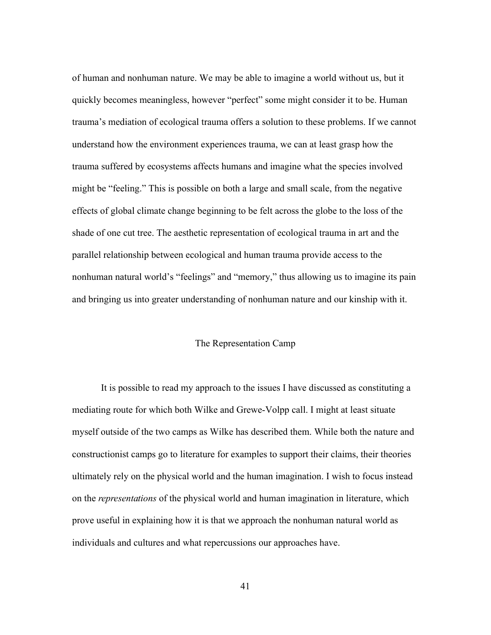of human and nonhuman nature. We may be able to imagine a world without us, but it quickly becomes meaningless, however "perfect" some might consider it to be. Human trauma's mediation of ecological trauma offers a solution to these problems. If we cannot understand how the environment experiences trauma, we can at least grasp how the trauma suffered by ecosystems affects humans and imagine what the species involved might be "feeling." This is possible on both a large and small scale, from the negative effects of global climate change beginning to be felt across the globe to the loss of the shade of one cut tree. The aesthetic representation of ecological trauma in art and the parallel relationship between ecological and human trauma provide access to the nonhuman natural world's "feelings" and "memory," thus allowing us to imagine its pain and bringing us into greater understanding of nonhuman nature and our kinship with it.

# The Representation Camp

It is possible to read my approach to the issues I have discussed as constituting a mediating route for which both Wilke and Grewe-Volpp call. I might at least situate myself outside of the two camps as Wilke has described them. While both the nature and constructionist camps go to literature for examples to support their claims, their theories ultimately rely on the physical world and the human imagination. I wish to focus instead on the *representations* of the physical world and human imagination in literature, which prove useful in explaining how it is that we approach the nonhuman natural world as individuals and cultures and what repercussions our approaches have.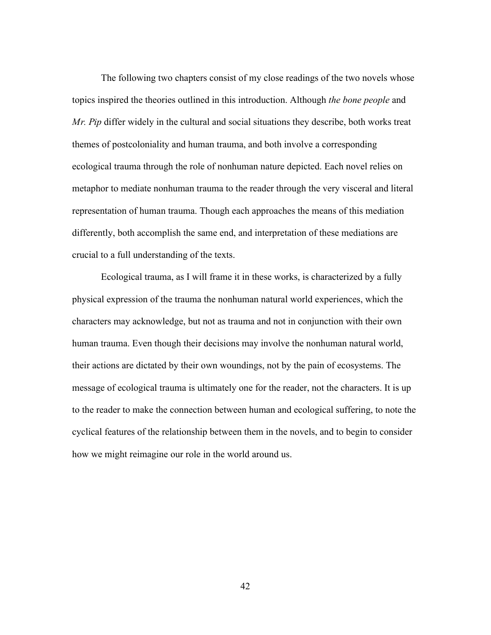The following two chapters consist of my close readings of the two novels whose topics inspired the theories outlined in this introduction. Although *the bone people* and *Mr. Pip* differ widely in the cultural and social situations they describe, both works treat themes of postcoloniality and human trauma, and both involve a corresponding ecological trauma through the role of nonhuman nature depicted. Each novel relies on metaphor to mediate nonhuman trauma to the reader through the very visceral and literal representation of human trauma. Though each approaches the means of this mediation differently, both accomplish the same end, and interpretation of these mediations are crucial to a full understanding of the texts.

Ecological trauma, as I will frame it in these works, is characterized by a fully physical expression of the trauma the nonhuman natural world experiences, which the characters may acknowledge, but not as trauma and not in conjunction with their own human trauma. Even though their decisions may involve the nonhuman natural world, their actions are dictated by their own woundings, not by the pain of ecosystems. The message of ecological trauma is ultimately one for the reader, not the characters. It is up to the reader to make the connection between human and ecological suffering, to note the cyclical features of the relationship between them in the novels, and to begin to consider how we might reimagine our role in the world around us.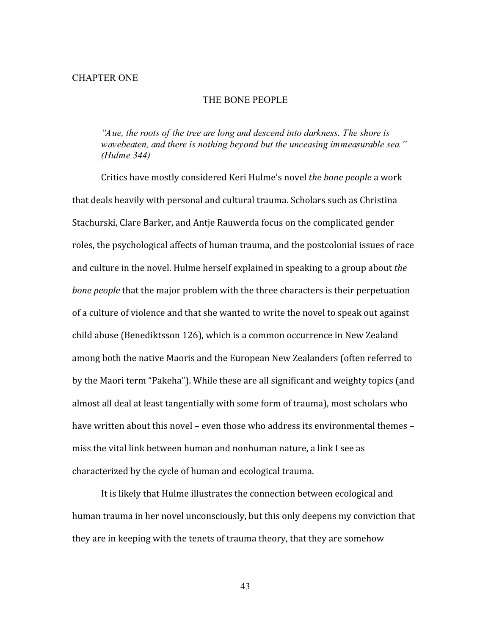#### CHAPTER ONE

### THE BONE PEOPLE

*"Aue, the roots of the tree are long and descend into darkness. The shore is wavebeaten, and there is nothing beyond but the unceasing immeasurable sea." (Hulme 344)*

Critics have mostly considered Keri Hulme's novel *the bone people* a work that deals heavily with personal and cultural trauma. Scholars such as Christina Stachurski, Clare Barker, and Antje Rauwerda focus on the complicated gender roles, the psychological affects of human trauma, and the postcolonial issues of race and culture in the novel. Hulme herself explained in speaking to a group about *the bone people* that the major problem with the three characters is their perpetuation of a culture of violence and that she wanted to write the novel to speak out against child abuse (Benediktsson 126), which is a common occurrence in New Zealand among both the native Maoris and the European New Zealanders (often referred to by the Maori term "Pakeha"). While these are all significant and weighty topics (and almost all deal at least tangentially with some form of trauma), most scholars who have written about this novel – even those who address its environmental themes – miss the vital link between human and nonhuman nature, a link I see as characterized by the cycle of human and ecological trauma.

It is likely that Hulme illustrates the connection between ecological and human trauma in her novel unconsciously, but this only deepens my conviction that they are in keeping with the tenets of trauma theory, that they are somehow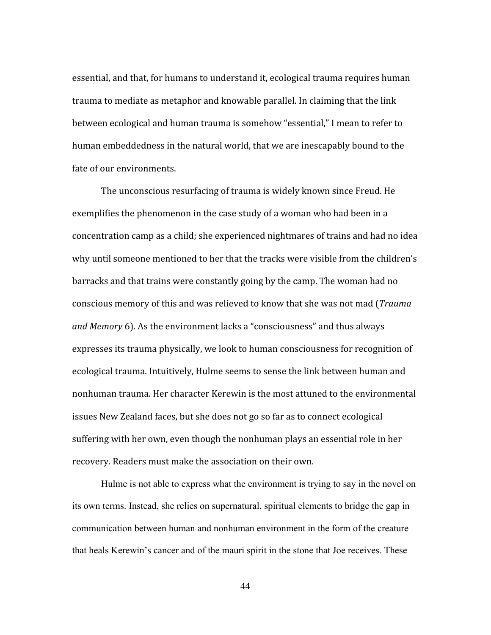essential, and that, for humans to understand it, ecological trauma requires human trauma to mediate as metaphor and knowable parallel. In claiming that the link between ecological and human trauma is somehow "essential," I mean to refer to human embeddedness in the natural world, that we are inescapably bound to the fate of our environments.

The unconscious resurfacing of trauma is widely known since Freud. He exemplifies the phenomenon in the case study of a woman who had been in a concentration camp as a child; she experienced nightmares of trains and had no idea why until someone mentioned to her that the tracks were visible from the children's barracks and that trains were constantly going by the camp. The woman had no conscious memory of this and was relieved to know that she was not mad (*Trauma and Memory* 6). As the environment lacks a "consciousness" and thus always expresses its trauma physically, we look to human consciousness for recognition of ecological trauma. Intuitively, Hulme seems to sense the link between human and nonhuman trauma. Her character Kerewin is the most attuned to the environmental issues New Zealand faces, but she does not go so far as to connect ecological suffering with her own, even though the nonhuman plays an essential role in her recovery. Readers must make the association on their own.

Hulme is not able to express what the environment is trying to say in the novel on its own terms. Instead, she relies on supernatural, spiritual elements to bridge the gap in communication between human and nonhuman environment in the form of the creature that heals Kerewin's cancer and of the mauri spirit in the stone that Joe receives. These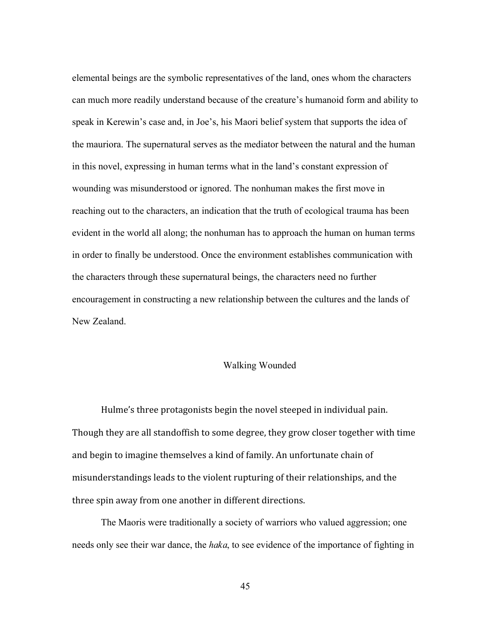elemental beings are the symbolic representatives of the land, ones whom the characters can much more readily understand because of the creature's humanoid form and ability to speak in Kerewin's case and, in Joe's, his Maori belief system that supports the idea of the mauriora. The supernatural serves as the mediator between the natural and the human in this novel, expressing in human terms what in the land's constant expression of wounding was misunderstood or ignored. The nonhuman makes the first move in reaching out to the characters, an indication that the truth of ecological trauma has been evident in the world all along; the nonhuman has to approach the human on human terms in order to finally be understood. Once the environment establishes communication with the characters through these supernatural beings, the characters need no further encouragement in constructing a new relationship between the cultures and the lands of New Zealand.

## Walking Wounded

Hulme's three protagonists begin the novel steeped in individual pain. Though they are all standoffish to some degree, they grow closer together with time and begin to imagine themselves a kind of family. An unfortunate chain of misunderstandings leads to the violent rupturing of their relationships, and the three spin away from one another in different directions.

The Maoris were traditionally a society of warriors who valued aggression; one needs only see their war dance, the *haka*, to see evidence of the importance of fighting in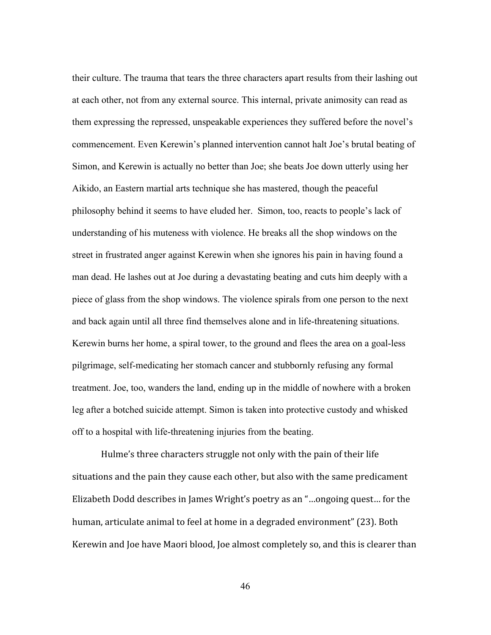their culture. The trauma that tears the three characters apart results from their lashing out at each other, not from any external source. This internal, private animosity can read as them expressing the repressed, unspeakable experiences they suffered before the novel's commencement. Even Kerewin's planned intervention cannot halt Joe's brutal beating of Simon, and Kerewin is actually no better than Joe; she beats Joe down utterly using her Aikido, an Eastern martial arts technique she has mastered, though the peaceful philosophy behind it seems to have eluded her. Simon, too, reacts to people's lack of understanding of his muteness with violence. He breaks all the shop windows on the street in frustrated anger against Kerewin when she ignores his pain in having found a man dead. He lashes out at Joe during a devastating beating and cuts him deeply with a piece of glass from the shop windows. The violence spirals from one person to the next and back again until all three find themselves alone and in life-threatening situations. Kerewin burns her home, a spiral tower, to the ground and flees the area on a goal-less pilgrimage, self-medicating her stomach cancer and stubbornly refusing any formal treatment. Joe, too, wanders the land, ending up in the middle of nowhere with a broken leg after a botched suicide attempt. Simon is taken into protective custody and whisked off to a hospital with life-threatening injuries from the beating.

Hulme's three characters struggle not only with the pain of their life situations and the pain they cause each other, but also with the same predicament Elizabeth Dodd describes in James Wright's poetry as an "…ongoing quest… for the human, articulate animal to feel at home in a degraded environment" (23). Both Kerewin and Joe have Maori blood, Joe almost completely so, and this is clearer than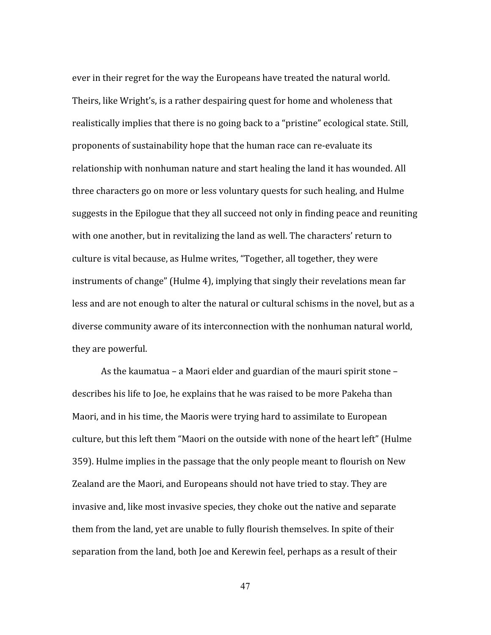ever in their regret for the way the Europeans have treated the natural world. Theirs, like Wright's, is a rather despairing quest for home and wholeness that realistically implies that there is no going back to a "pristine" ecological state. Still, proponents of sustainability hope that the human race can re‐evaluate its relationship with nonhuman nature and start healing the land it has wounded. All three characters go on more or less voluntary quests for such healing, and Hulme suggests in the Epilogue that they all succeed not only in finding peace and reuniting with one another, but in revitalizing the land as well. The characters' return to culture is vital because, as Hulme writes, "Together, all together, they were instruments of change" (Hulme 4), implying that singly their revelations mean far less and are not enough to alter the natural or cultural schisms in the novel, but as a diverse community aware of its interconnection with the nonhuman natural world, they are powerful.

As the kaumatua – a Maori elder and guardian of the mauri spirit stone – describes his life to Joe, he explains that he was raised to be more Pakeha than Maori, and in his time, the Maoris were trying hard to assimilate to European culture, but this left them "Maori on the outside with none of the heart left" (Hulme 359). Hulme implies in the passage that the only people meant to flourish on New Zealand are the Maori, and Europeans should not have tried to stay. They are invasive and, like most invasive species, they choke out the native and separate them from the land, yet are unable to fully flourish themselves. In spite of their separation from the land, both Joe and Kerewin feel, perhaps as a result of their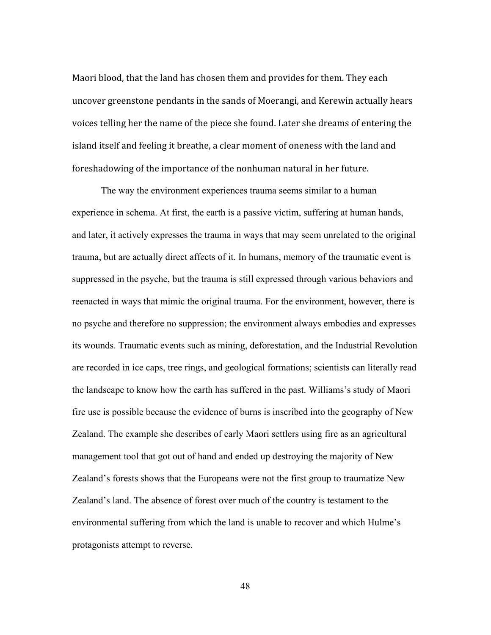Maori blood, that the land has chosen them and provides for them. They each uncover greenstone pendants in the sands of Moerangi, and Kerewin actually hears voices telling her the name of the piece she found. Later she dreams of entering the island itself and feeling it breathe, a clear moment of oneness with the land and foreshadowing of the importance of the nonhuman natural in her future.

The way the environment experiences trauma seems similar to a human experience in schema. At first, the earth is a passive victim, suffering at human hands, and later, it actively expresses the trauma in ways that may seem unrelated to the original trauma, but are actually direct affects of it. In humans, memory of the traumatic event is suppressed in the psyche, but the trauma is still expressed through various behaviors and reenacted in ways that mimic the original trauma. For the environment, however, there is no psyche and therefore no suppression; the environment always embodies and expresses its wounds. Traumatic events such as mining, deforestation, and the Industrial Revolution are recorded in ice caps, tree rings, and geological formations; scientists can literally read the landscape to know how the earth has suffered in the past. Williams's study of Maori fire use is possible because the evidence of burns is inscribed into the geography of New Zealand. The example she describes of early Maori settlers using fire as an agricultural management tool that got out of hand and ended up destroying the majority of New Zealand's forests shows that the Europeans were not the first group to traumatize New Zealand's land. The absence of forest over much of the country is testament to the environmental suffering from which the land is unable to recover and which Hulme's protagonists attempt to reverse.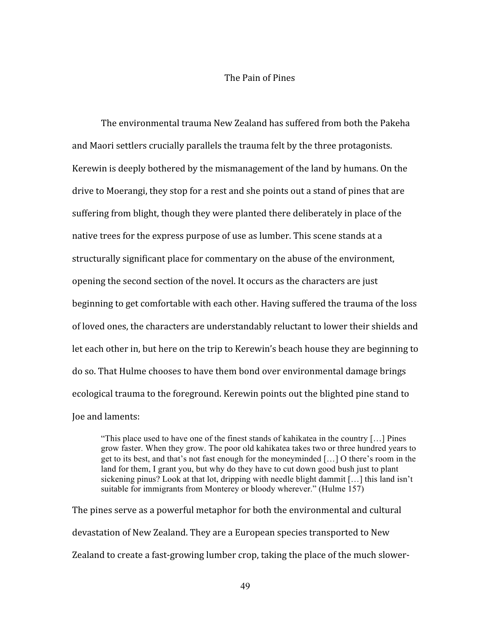#### The Pain of Pines

The environmental trauma New Zealand has suffered from both the Pakeha and Maori settlers crucially parallels the trauma felt by the three protagonists. Kerewin is deeply bothered by the mismanagement of the land by humans. On the drive to Moerangi, they stop for a rest and she points out a stand of pines that are suffering from blight, though they were planted there deliberately in place of the native trees for the express purpose of use as lumber. This scene stands at a structurally significant place for commentary on the abuse of the environment, opening the second section of the novel. It occurs as the characters are just beginning to get comfortable with each other. Having suffered the trauma of the loss of loved ones, the characters are understandably reluctant to lower their shields and let each other in, but here on the trip to Kerewin's beach house they are beginning to do so. That Hulme chooses to have them bond over environmental damage brings ecological trauma to the foreground. Kerewin points out the blighted pine stand to Joe and laments:

"This place used to have one of the finest stands of kahikatea in the country […] Pines grow faster. When they grow. The poor old kahikatea takes two or three hundred years to get to its best, and that's not fast enough for the moneyminded […] O there's room in the land for them, I grant you, but why do they have to cut down good bush just to plant sickening pinus? Look at that lot, dripping with needle blight dammit […] this land isn't suitable for immigrants from Monterey or bloody wherever." (Hulme 157)

The pines serve as a powerful metaphor for both the environmental and cultural devastation of New Zealand. They are a European species transported to New Zealand to create a fast‐growing lumber crop, taking the place of the much slower‐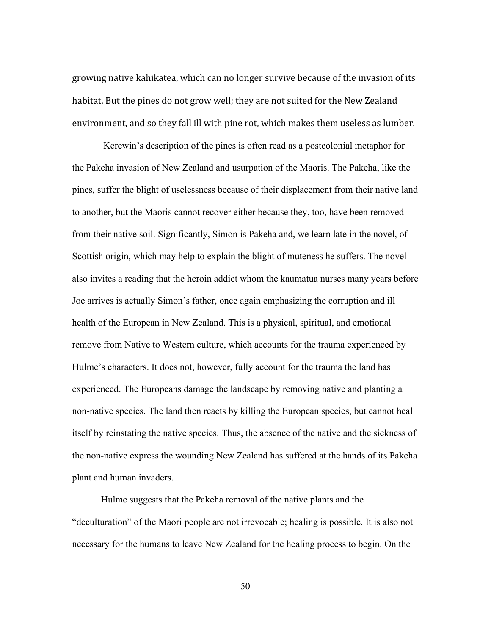growing native kahikatea, which can no longer survive because of the invasion of its habitat. But the pines do not grow well; they are not suited for the New Zealand environment, and so they fall ill with pine rot, which makes them useless as lumber.

Kerewin's description of the pines is often read as a postcolonial metaphor for the Pakeha invasion of New Zealand and usurpation of the Maoris. The Pakeha, like the pines, suffer the blight of uselessness because of their displacement from their native land to another, but the Maoris cannot recover either because they, too, have been removed from their native soil. Significantly, Simon is Pakeha and, we learn late in the novel, of Scottish origin, which may help to explain the blight of muteness he suffers. The novel also invites a reading that the heroin addict whom the kaumatua nurses many years before Joe arrives is actually Simon's father, once again emphasizing the corruption and ill health of the European in New Zealand. This is a physical, spiritual, and emotional remove from Native to Western culture, which accounts for the trauma experienced by Hulme's characters. It does not, however, fully account for the trauma the land has experienced. The Europeans damage the landscape by removing native and planting a non-native species. The land then reacts by killing the European species, but cannot heal itself by reinstating the native species. Thus, the absence of the native and the sickness of the non-native express the wounding New Zealand has suffered at the hands of its Pakeha plant and human invaders.

Hulme suggests that the Pakeha removal of the native plants and the "deculturation" of the Maori people are not irrevocable; healing is possible. It is also not necessary for the humans to leave New Zealand for the healing process to begin. On the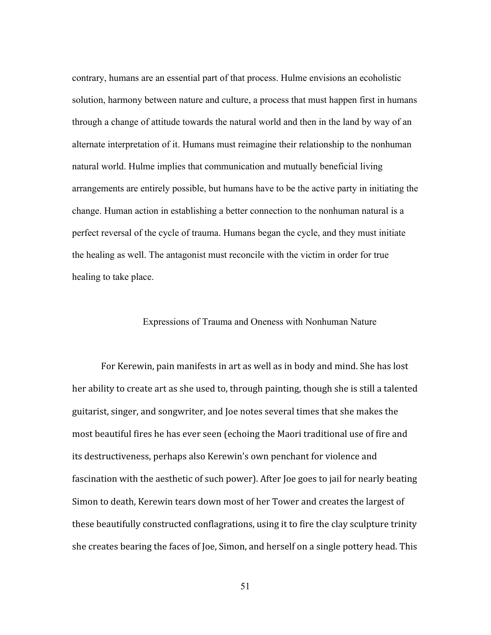contrary, humans are an essential part of that process. Hulme envisions an ecoholistic solution, harmony between nature and culture, a process that must happen first in humans through a change of attitude towards the natural world and then in the land by way of an alternate interpretation of it. Humans must reimagine their relationship to the nonhuman natural world. Hulme implies that communication and mutually beneficial living arrangements are entirely possible, but humans have to be the active party in initiating the change. Human action in establishing a better connection to the nonhuman natural is a perfect reversal of the cycle of trauma. Humans began the cycle, and they must initiate the healing as well. The antagonist must reconcile with the victim in order for true healing to take place.

## Expressions of Trauma and Oneness with Nonhuman Nature

For Kerewin, pain manifests in art as well as in body and mind. She has lost her ability to create art as she used to, through painting, though she is still a talented guitarist, singer, and songwriter, and Joe notes several times that she makes the most beautiful fires he has ever seen (echoing the Maori traditional use of fire and its destructiveness, perhaps also Kerewin's own penchant for violence and fascination with the aesthetic of such power). After Joe goes to jail for nearly beating Simon to death, Kerewin tears down most of her Tower and creates the largest of these beautifully constructed conflagrations, using it to fire the clay sculpture trinity she creates bearing the faces of Joe, Simon, and herself on a single pottery head. This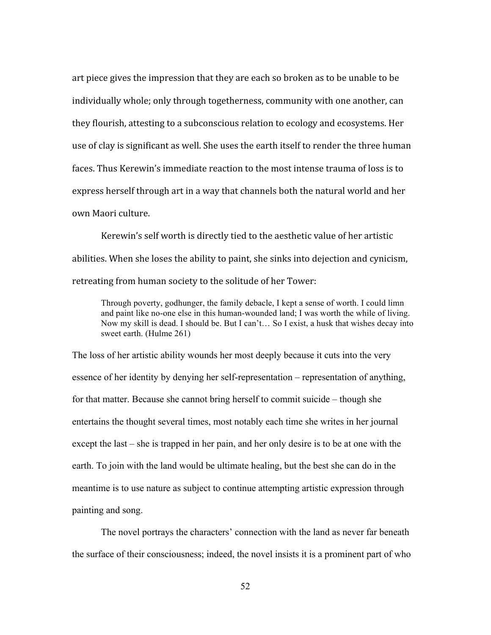art piece gives the impression that they are each so broken as to be unable to be individually whole; only through togetherness, community with one another, can they flourish, attesting to a subconscious relation to ecology and ecosystems. Her use of clay is significant as well. She uses the earth itself to render the three human faces. Thus Kerewin's immediate reaction to the most intense trauma of loss is to express herself through art in a way that channels both the natural world and her own Maori culture.

Kerewin's self worth is directly tied to the aesthetic value of her artistic abilities. When she loses the ability to paint, she sinks into dejection and cynicism, retreating from human society to the solitude of her Tower:

Through poverty, godhunger, the family debacle, I kept a sense of worth. I could limn and paint like no-one else in this human-wounded land; I was worth the while of living. Now my skill is dead. I should be. But I can't… So I exist, a husk that wishes decay into sweet earth. (Hulme 261)

The loss of her artistic ability wounds her most deeply because it cuts into the very essence of her identity by denying her self-representation – representation of anything, for that matter. Because she cannot bring herself to commit suicide – though she entertains the thought several times, most notably each time she writes in her journal except the last – she is trapped in her pain, and her only desire is to be at one with the earth. To join with the land would be ultimate healing, but the best she can do in the meantime is to use nature as subject to continue attempting artistic expression through painting and song.

The novel portrays the characters' connection with the land as never far beneath the surface of their consciousness; indeed, the novel insists it is a prominent part of who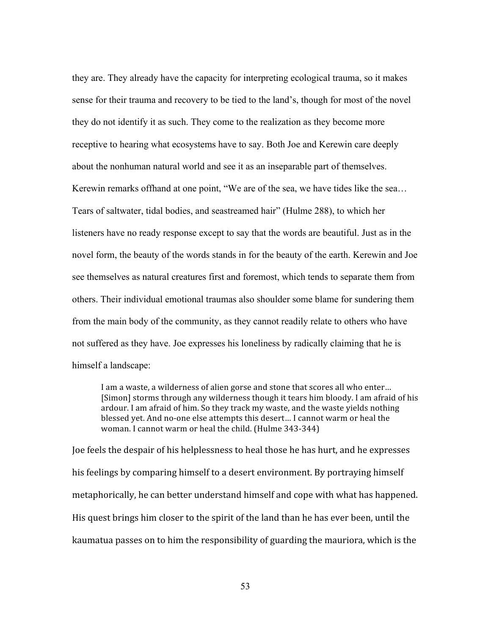they are. They already have the capacity for interpreting ecological trauma, so it makes sense for their trauma and recovery to be tied to the land's, though for most of the novel they do not identify it as such. They come to the realization as they become more receptive to hearing what ecosystems have to say. Both Joe and Kerewin care deeply about the nonhuman natural world and see it as an inseparable part of themselves. Kerewin remarks offhand at one point, "We are of the sea, we have tides like the sea… Tears of saltwater, tidal bodies, and seastreamed hair" (Hulme 288), to which her listeners have no ready response except to say that the words are beautiful. Just as in the novel form, the beauty of the words stands in for the beauty of the earth. Kerewin and Joe see themselves as natural creatures first and foremost, which tends to separate them from others. Their individual emotional traumas also shoulder some blame for sundering them from the main body of the community, as they cannot readily relate to others who have not suffered as they have. Joe expresses his loneliness by radically claiming that he is himself a landscape:

I am a waste, a wilderness of alien gorse and stone that scores all who enter… [Simon] storms through any wilderness though it tears him bloody. I am afraid of his ardour. I am afraid of him. So they track my waste, and the waste yields nothing blessed yet. And no‐one else attempts this desert… I cannot warm or heal the woman. I cannot warm or heal the child. (Hulme 343‐344)

Joe feels the despair of his helplessness to heal those he has hurt, and he expresses his feelings by comparing himself to a desert environment. By portraying himself metaphorically, he can better understand himself and cope with what has happened. His quest brings him closer to the spirit of the land than he has ever been, until the kaumatua passes on to him the responsibility of guarding the mauriora, which is the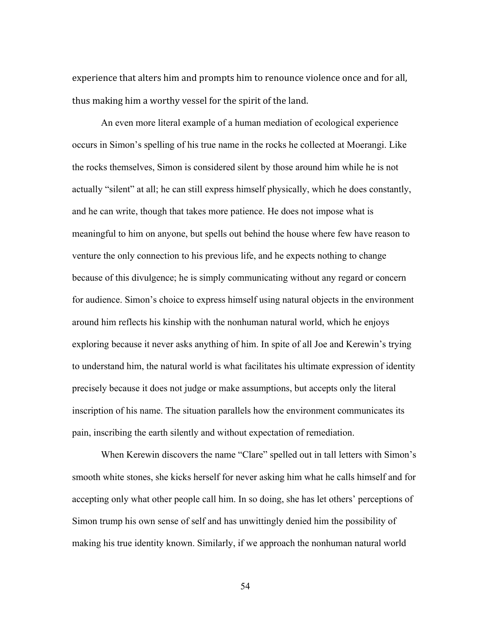experience that alters him and prompts him to renounce violence once and for all, thus making him a worthy vessel for the spirit of the land.

An even more literal example of a human mediation of ecological experience occurs in Simon's spelling of his true name in the rocks he collected at Moerangi. Like the rocks themselves, Simon is considered silent by those around him while he is not actually "silent" at all; he can still express himself physically, which he does constantly, and he can write, though that takes more patience. He does not impose what is meaningful to him on anyone, but spells out behind the house where few have reason to venture the only connection to his previous life, and he expects nothing to change because of this divulgence; he is simply communicating without any regard or concern for audience. Simon's choice to express himself using natural objects in the environment around him reflects his kinship with the nonhuman natural world, which he enjoys exploring because it never asks anything of him. In spite of all Joe and Kerewin's trying to understand him, the natural world is what facilitates his ultimate expression of identity precisely because it does not judge or make assumptions, but accepts only the literal inscription of his name. The situation parallels how the environment communicates its pain, inscribing the earth silently and without expectation of remediation.

When Kerewin discovers the name "Clare" spelled out in tall letters with Simon's smooth white stones, she kicks herself for never asking him what he calls himself and for accepting only what other people call him. In so doing, she has let others' perceptions of Simon trump his own sense of self and has unwittingly denied him the possibility of making his true identity known. Similarly, if we approach the nonhuman natural world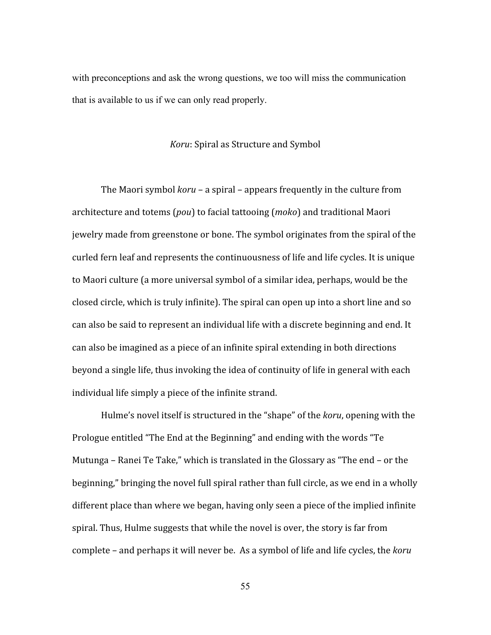with preconceptions and ask the wrong questions, we too will miss the communication that is available to us if we can only read properly.

#### *Koru*: Spiral as Structure and Symbol

The Maori symbol *koru* – a spiral – appears frequently in the culture from architecture and totems (*pou*) to facial tattooing (*moko*) and traditional Maori jewelry made from greenstone or bone. The symbol originates from the spiral of the curled fern leaf and represents the continuousness of life and life cycles. It is unique to Maori culture (a more universal symbol of a similar idea, perhaps, would be the closed circle, which is truly infinite). The spiral can open up into a short line and so can also be said to represent an individual life with a discrete beginning and end. It can also be imagined as a piece of an infinite spiral extending in both directions beyond a single life, thus invoking the idea of continuity of life in general with each individual life simply a piece of the infinite strand.

Hulme's novel itself is structured in the "shape" of the *koru*, opening with the Prologue entitled "The End at the Beginning" and ending with the words "Te Mutunga – Ranei Te Take," which is translated in the Glossary as "The end – or the beginning," bringing the novel full spiral rather than full circle, as we end in a wholly different place than where we began, having only seen a piece of the implied infinite spiral. Thus, Hulme suggests that while the novel is over, the story is far from complete – and perhaps it will never be. As a symbol of life and life cycles, the *koru*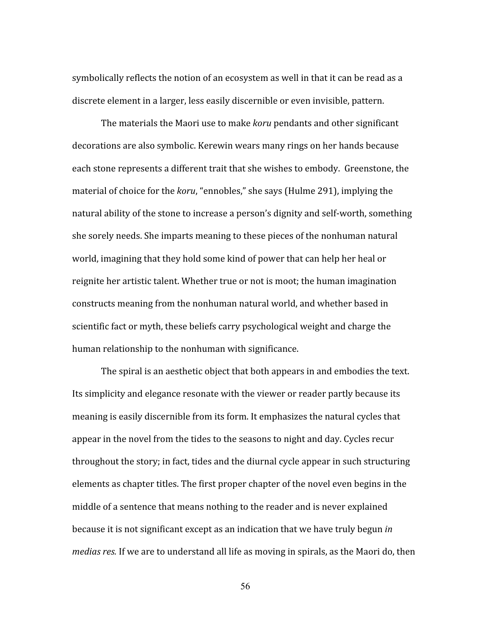symbolically reflects the notion of an ecosystem as well in that it can be read as a discrete element in a larger, less easily discernible or even invisible, pattern.

The materials the Maori use to make *koru* pendants and other significant decorations are also symbolic. Kerewin wears many rings on her hands because each stone represents a different trait that she wishes to embody. Greenstone, the material of choice for the *koru*, "ennobles," she says (Hulme 291), implying the natural ability of the stone to increase a person's dignity and self‐worth, something she sorely needs. She imparts meaning to these pieces of the nonhuman natural world, imagining that they hold some kind of power that can help her heal or reignite her artistic talent. Whether true or not is moot; the human imagination constructs meaning from the nonhuman natural world, and whether based in scientific fact or myth, these beliefs carry psychological weight and charge the human relationship to the nonhuman with significance.

The spiral is an aesthetic object that both appears in and embodies the text. Its simplicity and elegance resonate with the viewer or reader partly because its meaning is easily discernible from its form. It emphasizes the natural cycles that appear in the novel from the tides to the seasons to night and day. Cycles recur throughout the story; in fact, tides and the diurnal cycle appear in such structuring elements as chapter titles. The first proper chapter of the novel even begins in the middle of a sentence that means nothing to the reader and is never explained because it is not significant except as an indication that we have truly begun *in medias res.* If we are to understand all life as moving in spirals, as the Maori do, then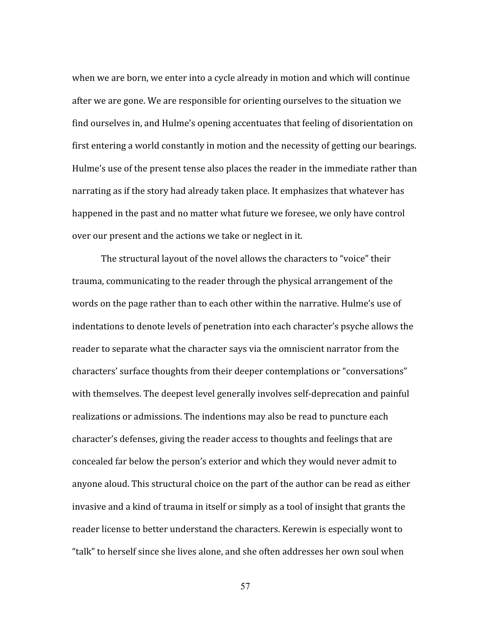when we are born, we enter into a cycle already in motion and which will continue after we are gone. We are responsible for orienting ourselves to the situation we find ourselves in, and Hulme's opening accentuates that feeling of disorientation on first entering a world constantly in motion and the necessity of getting our bearings. Hulme's use of the present tense also places the reader in the immediate rather than narrating as if the story had already taken place. It emphasizes that whatever has happened in the past and no matter what future we foresee, we only have control over our present and the actions we take or neglect in it.

The structural layout of the novel allows the characters to "voice" their trauma, communicating to the reader through the physical arrangement of the words on the page rather than to each other within the narrative. Hulme's use of indentations to denote levels of penetration into each character's psyche allows the reader to separate what the character says via the omniscient narrator from the characters' surface thoughts from their deeper contemplations or "conversations" with themselves. The deepest level generally involves self-deprecation and painful realizations or admissions. The indentions may also be read to puncture each character's defenses, giving the reader access to thoughts and feelings that are concealed far below the person's exterior and which they would never admit to anyone aloud. This structural choice on the part of the author can be read as either invasive and a kind of trauma in itself or simply as a tool of insight that grants the reader license to better understand the characters. Kerewin is especially wont to "talk" to herself since she lives alone, and she often addresses her own soul when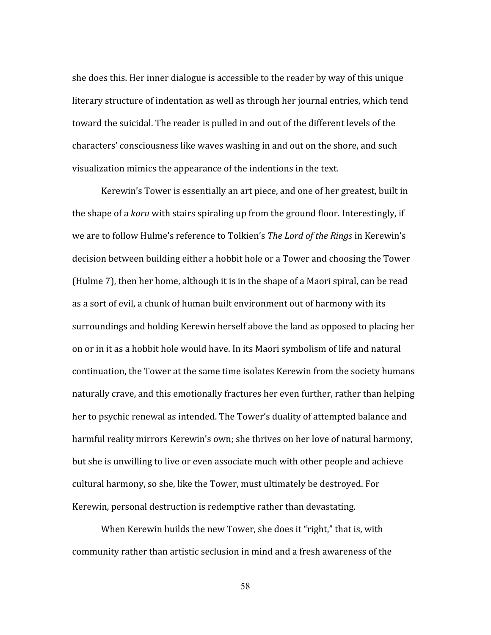she does this. Her inner dialogue is accessible to the reader by way of this unique literary structure of indentation as well as through her journal entries, which tend toward the suicidal. The reader is pulled in and out of the different levels of the characters' consciousness like waves washing in and out on the shore, and such visualization mimics the appearance of the indentions in the text.

Kerewin's Tower is essentially an art piece, and one of her greatest, built in the shape of a *koru* with stairs spiraling up from the ground floor. Interestingly, if we are to follow Hulme's reference to Tolkien's *The Lord of the Rings* in Kerewin's decision between building either a hobbit hole or a Tower and choosing the Tower (Hulme 7), then her home, although it is in the shape of a Maori spiral, can be read as a sort of evil, a chunk of human built environment out of harmony with its surroundings and holding Kerewin herself above the land as opposed to placing her on or in it as a hobbit hole would have. In its Maori symbolism of life and natural continuation, the Tower at the same time isolates Kerewin from the society humans naturally crave, and this emotionally fractures her even further, rather than helping her to psychic renewal as intended. The Tower's duality of attempted balance and harmful reality mirrors Kerewin's own; she thrives on her love of natural harmony, but she is unwilling to live or even associate much with other people and achieve cultural harmony, so she, like the Tower, must ultimately be destroyed. For Kerewin, personal destruction is redemptive rather than devastating.

When Kerewin builds the new Tower, she does it "right," that is, with community rather than artistic seclusion in mind and a fresh awareness of the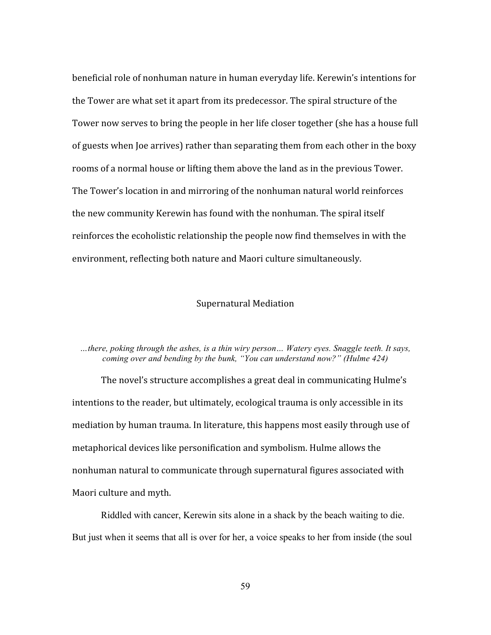beneficial role of nonhuman nature in human everyday life. Kerewin's intentions for the Tower are what set it apart from its predecessor. The spiral structure of the Tower now serves to bring the people in her life closer together (she has a house full of guests when Joe arrives) rather than separating them from each other in the boxy rooms of a normal house or lifting them above the land as in the previous Tower. The Tower's location in and mirroring of the nonhuman natural world reinforces the new community Kerewin has found with the nonhuman. The spiral itself reinforces the ecoholistic relationship the people now find themselves in with the environment, reflecting both nature and Maori culture simultaneously.

## Supernatural Mediation

# *…there, poking through the ashes, is a thin wiry person… Watery eyes. Snaggle teeth. It says, coming over and bending by the bunk, "You can understand now?" (Hulme 424)*

The novel's structure accomplishes a great deal in communicating Hulme's intentions to the reader, but ultimately, ecological trauma is only accessible in its mediation by human trauma. In literature, this happens most easily through use of metaphorical devices like personification and symbolism. Hulme allows the nonhuman natural to communicate through supernatural figures associated with Maori culture and myth.

Riddled with cancer, Kerewin sits alone in a shack by the beach waiting to die. But just when it seems that all is over for her, a voice speaks to her from inside (the soul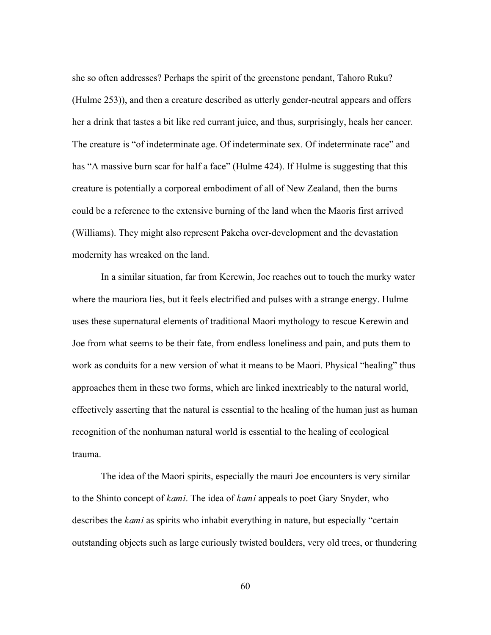she so often addresses? Perhaps the spirit of the greenstone pendant, Tahoro Ruku? (Hulme 253)), and then a creature described as utterly gender-neutral appears and offers her a drink that tastes a bit like red currant juice, and thus, surprisingly, heals her cancer. The creature is "of indeterminate age. Of indeterminate sex. Of indeterminate race" and has "A massive burn scar for half a face" (Hulme 424). If Hulme is suggesting that this creature is potentially a corporeal embodiment of all of New Zealand, then the burns could be a reference to the extensive burning of the land when the Maoris first arrived (Williams). They might also represent Pakeha over-development and the devastation modernity has wreaked on the land.

In a similar situation, far from Kerewin, Joe reaches out to touch the murky water where the mauriora lies, but it feels electrified and pulses with a strange energy. Hulme uses these supernatural elements of traditional Maori mythology to rescue Kerewin and Joe from what seems to be their fate, from endless loneliness and pain, and puts them to work as conduits for a new version of what it means to be Maori. Physical "healing" thus approaches them in these two forms, which are linked inextricably to the natural world, effectively asserting that the natural is essential to the healing of the human just as human recognition of the nonhuman natural world is essential to the healing of ecological trauma.

The idea of the Maori spirits, especially the mauri Joe encounters is very similar to the Shinto concept of *kami*. The idea of *kami* appeals to poet Gary Snyder, who describes the *kami* as spirits who inhabit everything in nature, but especially "certain outstanding objects such as large curiously twisted boulders, very old trees, or thundering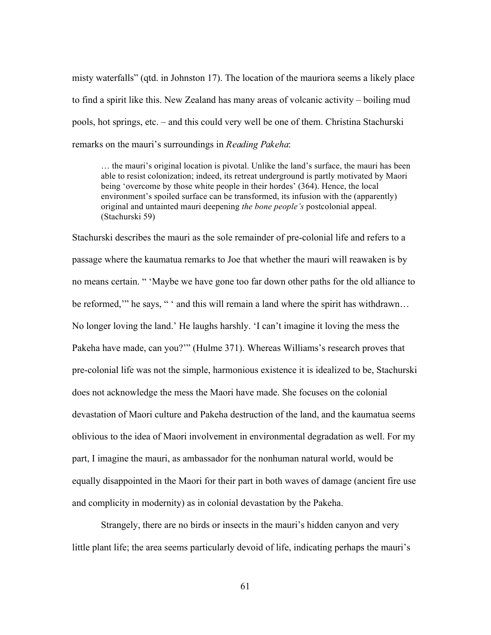misty waterfalls" (qtd. in Johnston 17). The location of the mauriora seems a likely place to find a spirit like this. New Zealand has many areas of volcanic activity – boiling mud pools, hot springs, etc. – and this could very well be one of them. Christina Stachurski remarks on the mauri's surroundings in *Reading Pakeha*:

… the mauri's original location is pivotal. Unlike the land's surface, the mauri has been able to resist colonization; indeed, its retreat underground is partly motivated by Maori being 'overcome by those white people in their hordes' (364). Hence, the local environment's spoiled surface can be transformed, its infusion with the (apparently) original and untainted mauri deepening *the bone people's* postcolonial appeal. (Stachurski 59)

Stachurski describes the mauri as the sole remainder of pre-colonial life and refers to a passage where the kaumatua remarks to Joe that whether the mauri will reawaken is by no means certain. " 'Maybe we have gone too far down other paths for the old alliance to be reformed," he says, " ' and this will remain a land where the spirit has withdrawn... No longer loving the land.' He laughs harshly. 'I can't imagine it loving the mess the Pakeha have made, can you?'" (Hulme 371). Whereas Williams's research proves that pre-colonial life was not the simple, harmonious existence it is idealized to be, Stachurski does not acknowledge the mess the Maori have made. She focuses on the colonial devastation of Maori culture and Pakeha destruction of the land, and the kaumatua seems oblivious to the idea of Maori involvement in environmental degradation as well. For my part, I imagine the mauri, as ambassador for the nonhuman natural world, would be equally disappointed in the Maori for their part in both waves of damage (ancient fire use and complicity in modernity) as in colonial devastation by the Pakeha.

Strangely, there are no birds or insects in the mauri's hidden canyon and very little plant life; the area seems particularly devoid of life, indicating perhaps the mauri's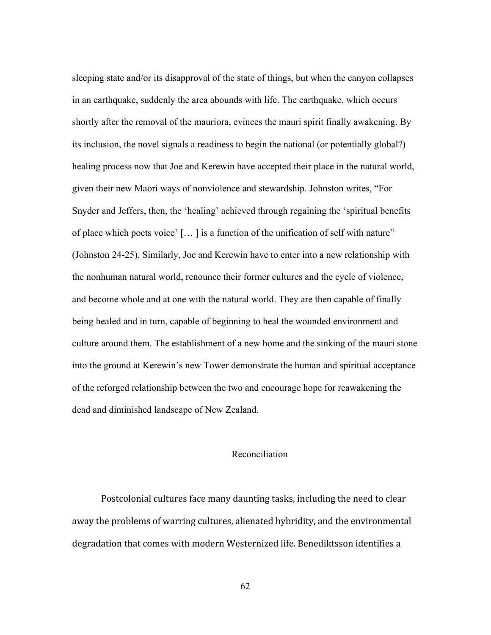sleeping state and/or its disapproval of the state of things, but when the canyon collapses in an earthquake, suddenly the area abounds with life. The earthquake, which occurs shortly after the removal of the mauriora, evinces the mauri spirit finally awakening. By its inclusion, the novel signals a readiness to begin the national (or potentially global?) healing process now that Joe and Kerewin have accepted their place in the natural world, given their new Maori ways of nonviolence and stewardship. Johnston writes, "For Snyder and Jeffers, then, the 'healing' achieved through regaining the 'spiritual benefits of place which poets voice' [… ] is a function of the unification of self with nature" (Johnston 24-25). Similarly, Joe and Kerewin have to enter into a new relationship with the nonhuman natural world, renounce their former cultures and the cycle of violence, and become whole and at one with the natural world. They are then capable of finally being healed and in turn, capable of beginning to heal the wounded environment and culture around them. The establishment of a new home and the sinking of the mauri stone into the ground at Kerewin's new Tower demonstrate the human and spiritual acceptance of the reforged relationship between the two and encourage hope for reawakening the dead and diminished landscape of New Zealand.

## Reconciliation

Postcolonial cultures face many daunting tasks, including the need to clear away the problems of warring cultures, alienated hybridity, and the environmental degradation that comes with modern Westernized life. Benediktsson identifies a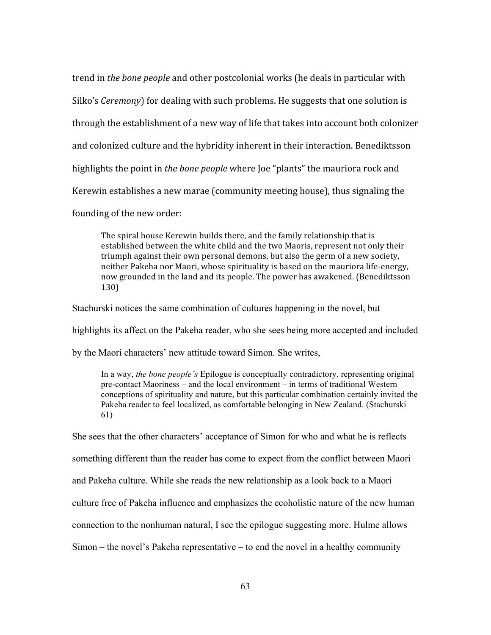trend in *the bone people* and other postcolonial works (he deals in particular with Silko's *Ceremony*) for dealing with such problems. He suggests that one solution is through the establishment of a new way of life that takes into account both colonizer and colonized culture and the hybridity inherent in their interaction. Benediktsson highlights the point in *the bone people* where Joe "plants" the mauriora rock and Kerewin establishes a new marae (community meeting house), thus signaling the founding of the new order:

The spiral house Kerewin builds there, and the family relationship that is established between the white child and the two Maoris, represent not only their triumph against their own personal demons, but also the germ of a new society, neither Pakeha nor Maori, whose spirituality is based on the mauriora life‐energy, now grounded in the land and its people. The power has awakened. (Benediktsson 130)

Stachurski notices the same combination of cultures happening in the novel, but

highlights its affect on the Pakeha reader, who she sees being more accepted and included

by the Maori characters' new attitude toward Simon. She writes,

In a way, *the bone people's* Epilogue is conceptually contradictory, representing original pre-contact Maoriness – and the local environment – in terms of traditional Western conceptions of spirituality and nature, but this particular combination certainly invited the Pakeha reader to feel localized, as comfortable belonging in New Zealand. (Stachurski 61)

She sees that the other characters' acceptance of Simon for who and what he is reflects something different than the reader has come to expect from the conflict between Maori and Pakeha culture. While she reads the new relationship as a look back to a Maori culture free of Pakeha influence and emphasizes the ecoholistic nature of the new human connection to the nonhuman natural, I see the epilogue suggesting more. Hulme allows Simon – the novel's Pakeha representative – to end the novel in a healthy community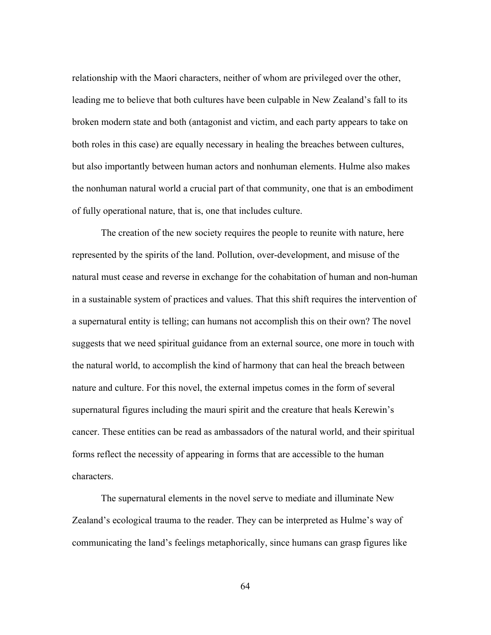relationship with the Maori characters, neither of whom are privileged over the other, leading me to believe that both cultures have been culpable in New Zealand's fall to its broken modern state and both (antagonist and victim, and each party appears to take on both roles in this case) are equally necessary in healing the breaches between cultures, but also importantly between human actors and nonhuman elements. Hulme also makes the nonhuman natural world a crucial part of that community, one that is an embodiment of fully operational nature, that is, one that includes culture.

The creation of the new society requires the people to reunite with nature, here represented by the spirits of the land. Pollution, over-development, and misuse of the natural must cease and reverse in exchange for the cohabitation of human and non-human in a sustainable system of practices and values. That this shift requires the intervention of a supernatural entity is telling; can humans not accomplish this on their own? The novel suggests that we need spiritual guidance from an external source, one more in touch with the natural world, to accomplish the kind of harmony that can heal the breach between nature and culture. For this novel, the external impetus comes in the form of several supernatural figures including the mauri spirit and the creature that heals Kerewin's cancer. These entities can be read as ambassadors of the natural world, and their spiritual forms reflect the necessity of appearing in forms that are accessible to the human characters.

The supernatural elements in the novel serve to mediate and illuminate New Zealand's ecological trauma to the reader. They can be interpreted as Hulme's way of communicating the land's feelings metaphorically, since humans can grasp figures like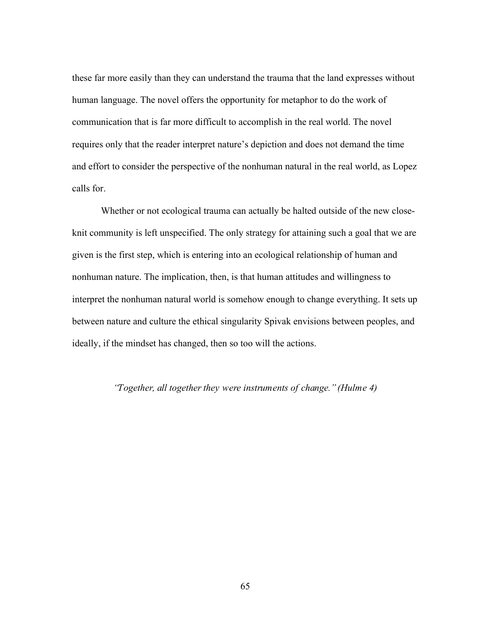these far more easily than they can understand the trauma that the land expresses without human language. The novel offers the opportunity for metaphor to do the work of communication that is far more difficult to accomplish in the real world. The novel requires only that the reader interpret nature's depiction and does not demand the time and effort to consider the perspective of the nonhuman natural in the real world, as Lopez calls for.

Whether or not ecological trauma can actually be halted outside of the new closeknit community is left unspecified. The only strategy for attaining such a goal that we are given is the first step, which is entering into an ecological relationship of human and nonhuman nature. The implication, then, is that human attitudes and willingness to interpret the nonhuman natural world is somehow enough to change everything. It sets up between nature and culture the ethical singularity Spivak envisions between peoples, and ideally, if the mindset has changed, then so too will the actions.

### *"Together, all together they were instruments of change." (Hulme 4)*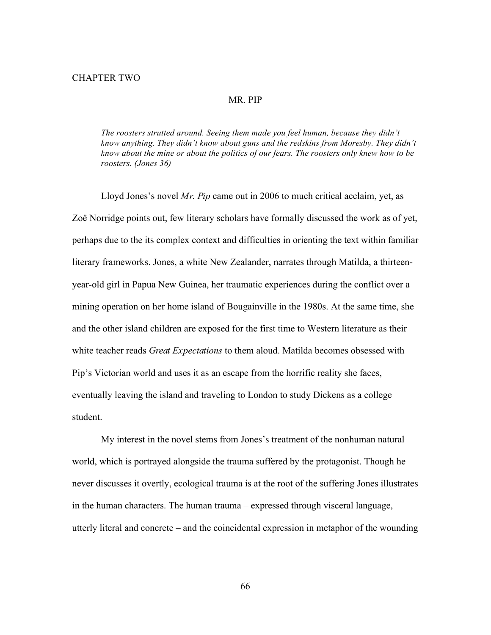#### MR. PIP

*The roosters strutted around. Seeing them made you feel human, because they didn't know anything. They didn't know about guns and the redskins from Moresby. They didn't know about the mine or about the politics of our fears. The roosters only knew how to be roosters. (Jones 36)*

Lloyd Jones's novel *Mr. Pip* came out in 2006 to much critical acclaim, yet, as Zoë Norridge points out, few literary scholars have formally discussed the work as of yet, perhaps due to the its complex context and difficulties in orienting the text within familiar literary frameworks. Jones, a white New Zealander, narrates through Matilda, a thirteenyear-old girl in Papua New Guinea, her traumatic experiences during the conflict over a mining operation on her home island of Bougainville in the 1980s. At the same time, she and the other island children are exposed for the first time to Western literature as their white teacher reads *Great Expectations* to them aloud. Matilda becomes obsessed with Pip's Victorian world and uses it as an escape from the horrific reality she faces, eventually leaving the island and traveling to London to study Dickens as a college student.

My interest in the novel stems from Jones's treatment of the nonhuman natural world, which is portrayed alongside the trauma suffered by the protagonist. Though he never discusses it overtly, ecological trauma is at the root of the suffering Jones illustrates in the human characters. The human trauma – expressed through visceral language, utterly literal and concrete – and the coincidental expression in metaphor of the wounding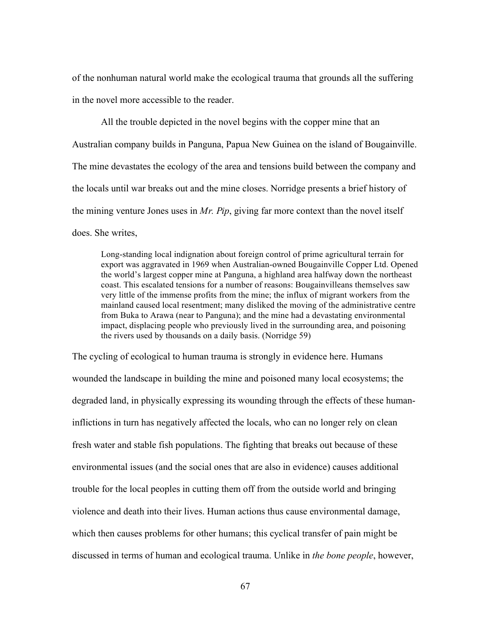of the nonhuman natural world make the ecological trauma that grounds all the suffering in the novel more accessible to the reader.

All the trouble depicted in the novel begins with the copper mine that an Australian company builds in Panguna, Papua New Guinea on the island of Bougainville. The mine devastates the ecology of the area and tensions build between the company and the locals until war breaks out and the mine closes. Norridge presents a brief history of the mining venture Jones uses in *Mr. Pip*, giving far more context than the novel itself does. She writes,

Long-standing local indignation about foreign control of prime agricultural terrain for export was aggravated in 1969 when Australian-owned Bougainville Copper Ltd. Opened the world's largest copper mine at Panguna, a highland area halfway down the northeast coast. This escalated tensions for a number of reasons: Bougainvilleans themselves saw very little of the immense profits from the mine; the influx of migrant workers from the mainland caused local resentment; many disliked the moving of the administrative centre from Buka to Arawa (near to Panguna); and the mine had a devastating environmental impact, displacing people who previously lived in the surrounding area, and poisoning the rivers used by thousands on a daily basis. (Norridge 59)

The cycling of ecological to human trauma is strongly in evidence here. Humans wounded the landscape in building the mine and poisoned many local ecosystems; the degraded land, in physically expressing its wounding through the effects of these humaninflictions in turn has negatively affected the locals, who can no longer rely on clean fresh water and stable fish populations. The fighting that breaks out because of these environmental issues (and the social ones that are also in evidence) causes additional trouble for the local peoples in cutting them off from the outside world and bringing violence and death into their lives. Human actions thus cause environmental damage, which then causes problems for other humans; this cyclical transfer of pain might be discussed in terms of human and ecological trauma. Unlike in *the bone people*, however,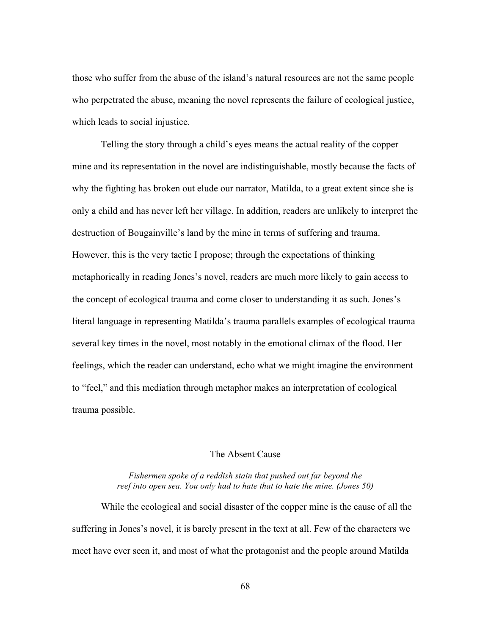those who suffer from the abuse of the island's natural resources are not the same people who perpetrated the abuse, meaning the novel represents the failure of ecological justice, which leads to social injustice.

Telling the story through a child's eyes means the actual reality of the copper mine and its representation in the novel are indistinguishable, mostly because the facts of why the fighting has broken out elude our narrator, Matilda, to a great extent since she is only a child and has never left her village. In addition, readers are unlikely to interpret the destruction of Bougainville's land by the mine in terms of suffering and trauma. However, this is the very tactic I propose; through the expectations of thinking metaphorically in reading Jones's novel, readers are much more likely to gain access to the concept of ecological trauma and come closer to understanding it as such. Jones's literal language in representing Matilda's trauma parallels examples of ecological trauma several key times in the novel, most notably in the emotional climax of the flood. Her feelings, which the reader can understand, echo what we might imagine the environment to "feel," and this mediation through metaphor makes an interpretation of ecological trauma possible.

# The Absent Cause

## *Fishermen spoke of a reddish stain that pushed out far beyond the reef into open sea. You only had to hate that to hate the mine. (Jones 50)*

While the ecological and social disaster of the copper mine is the cause of all the suffering in Jones's novel, it is barely present in the text at all. Few of the characters we meet have ever seen it, and most of what the protagonist and the people around Matilda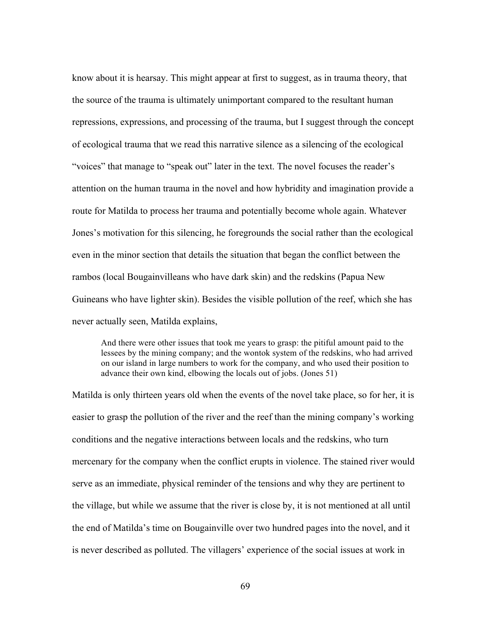know about it is hearsay. This might appear at first to suggest, as in trauma theory, that the source of the trauma is ultimately unimportant compared to the resultant human repressions, expressions, and processing of the trauma, but I suggest through the concept of ecological trauma that we read this narrative silence as a silencing of the ecological "voices" that manage to "speak out" later in the text. The novel focuses the reader's attention on the human trauma in the novel and how hybridity and imagination provide a route for Matilda to process her trauma and potentially become whole again. Whatever Jones's motivation for this silencing, he foregrounds the social rather than the ecological even in the minor section that details the situation that began the conflict between the rambos (local Bougainvilleans who have dark skin) and the redskins (Papua New Guineans who have lighter skin). Besides the visible pollution of the reef, which she has never actually seen, Matilda explains,

And there were other issues that took me years to grasp: the pitiful amount paid to the lessees by the mining company; and the wontok system of the redskins, who had arrived on our island in large numbers to work for the company, and who used their position to advance their own kind, elbowing the locals out of jobs. (Jones 51)

Matilda is only thirteen years old when the events of the novel take place, so for her, it is easier to grasp the pollution of the river and the reef than the mining company's working conditions and the negative interactions between locals and the redskins, who turn mercenary for the company when the conflict erupts in violence. The stained river would serve as an immediate, physical reminder of the tensions and why they are pertinent to the village, but while we assume that the river is close by, it is not mentioned at all until the end of Matilda's time on Bougainville over two hundred pages into the novel, and it is never described as polluted. The villagers' experience of the social issues at work in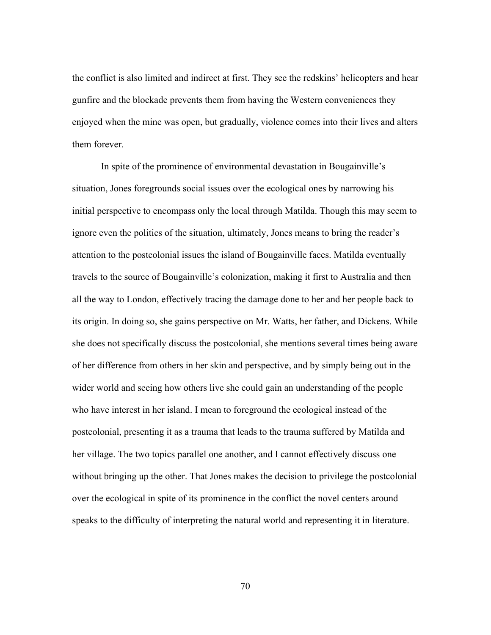the conflict is also limited and indirect at first. They see the redskins' helicopters and hear gunfire and the blockade prevents them from having the Western conveniences they enjoyed when the mine was open, but gradually, violence comes into their lives and alters them forever.

In spite of the prominence of environmental devastation in Bougainville's situation, Jones foregrounds social issues over the ecological ones by narrowing his initial perspective to encompass only the local through Matilda. Though this may seem to ignore even the politics of the situation, ultimately, Jones means to bring the reader's attention to the postcolonial issues the island of Bougainville faces. Matilda eventually travels to the source of Bougainville's colonization, making it first to Australia and then all the way to London, effectively tracing the damage done to her and her people back to its origin. In doing so, she gains perspective on Mr. Watts, her father, and Dickens. While she does not specifically discuss the postcolonial, she mentions several times being aware of her difference from others in her skin and perspective, and by simply being out in the wider world and seeing how others live she could gain an understanding of the people who have interest in her island. I mean to foreground the ecological instead of the postcolonial, presenting it as a trauma that leads to the trauma suffered by Matilda and her village. The two topics parallel one another, and I cannot effectively discuss one without bringing up the other. That Jones makes the decision to privilege the postcolonial over the ecological in spite of its prominence in the conflict the novel centers around speaks to the difficulty of interpreting the natural world and representing it in literature.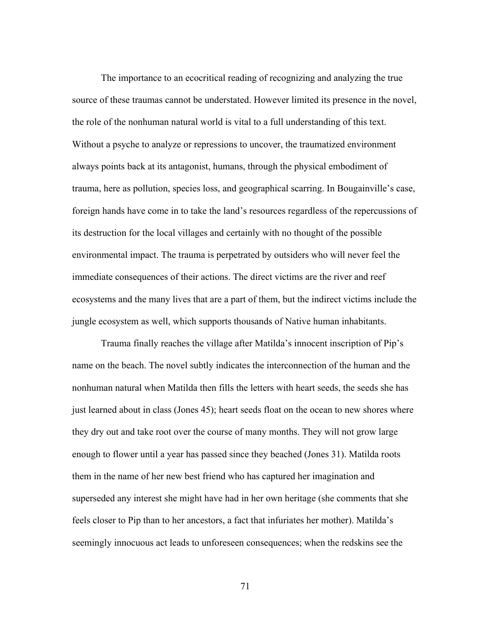The importance to an ecocritical reading of recognizing and analyzing the true source of these traumas cannot be understated. However limited its presence in the novel, the role of the nonhuman natural world is vital to a full understanding of this text. Without a psyche to analyze or repressions to uncover, the traumatized environment always points back at its antagonist, humans, through the physical embodiment of trauma, here as pollution, species loss, and geographical scarring. In Bougainville's case, foreign hands have come in to take the land's resources regardless of the repercussions of its destruction for the local villages and certainly with no thought of the possible environmental impact. The trauma is perpetrated by outsiders who will never feel the immediate consequences of their actions. The direct victims are the river and reef ecosystems and the many lives that are a part of them, but the indirect victims include the jungle ecosystem as well, which supports thousands of Native human inhabitants.

Trauma finally reaches the village after Matilda's innocent inscription of Pip's name on the beach. The novel subtly indicates the interconnection of the human and the nonhuman natural when Matilda then fills the letters with heart seeds, the seeds she has just learned about in class (Jones 45); heart seeds float on the ocean to new shores where they dry out and take root over the course of many months. They will not grow large enough to flower until a year has passed since they beached (Jones 31). Matilda roots them in the name of her new best friend who has captured her imagination and superseded any interest she might have had in her own heritage (she comments that she feels closer to Pip than to her ancestors, a fact that infuriates her mother). Matilda's seemingly innocuous act leads to unforeseen consequences; when the redskins see the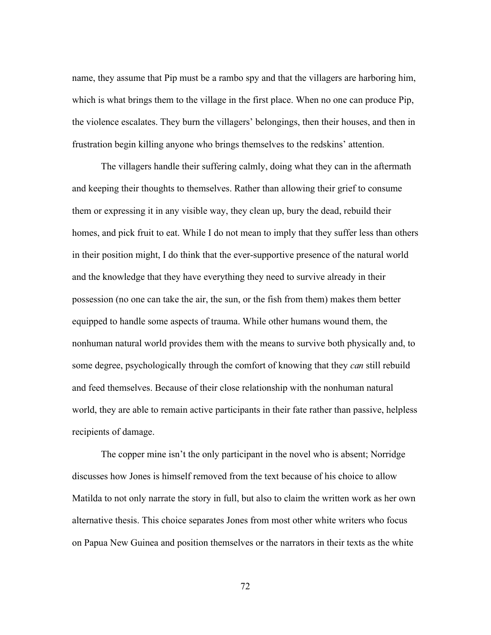name, they assume that Pip must be a rambo spy and that the villagers are harboring him, which is what brings them to the village in the first place. When no one can produce Pip, the violence escalates. They burn the villagers' belongings, then their houses, and then in frustration begin killing anyone who brings themselves to the redskins' attention.

The villagers handle their suffering calmly, doing what they can in the aftermath and keeping their thoughts to themselves. Rather than allowing their grief to consume them or expressing it in any visible way, they clean up, bury the dead, rebuild their homes, and pick fruit to eat. While I do not mean to imply that they suffer less than others in their position might, I do think that the ever-supportive presence of the natural world and the knowledge that they have everything they need to survive already in their possession (no one can take the air, the sun, or the fish from them) makes them better equipped to handle some aspects of trauma. While other humans wound them, the nonhuman natural world provides them with the means to survive both physically and, to some degree, psychologically through the comfort of knowing that they *can* still rebuild and feed themselves. Because of their close relationship with the nonhuman natural world, they are able to remain active participants in their fate rather than passive, helpless recipients of damage.

The copper mine isn't the only participant in the novel who is absent; Norridge discusses how Jones is himself removed from the text because of his choice to allow Matilda to not only narrate the story in full, but also to claim the written work as her own alternative thesis. This choice separates Jones from most other white writers who focus on Papua New Guinea and position themselves or the narrators in their texts as the white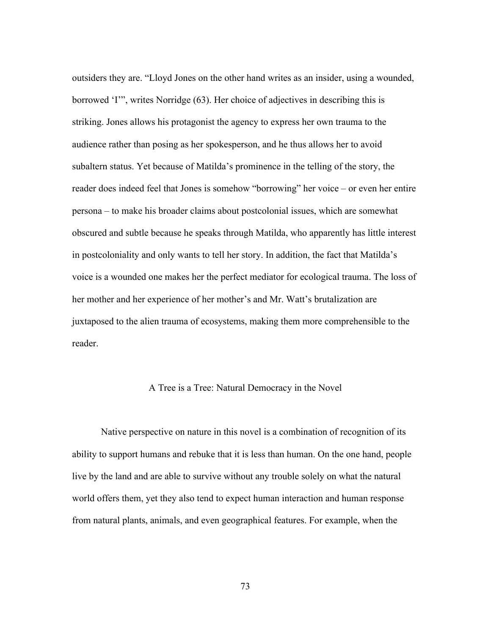outsiders they are. "Lloyd Jones on the other hand writes as an insider, using a wounded, borrowed 'I'", writes Norridge (63). Her choice of adjectives in describing this is striking. Jones allows his protagonist the agency to express her own trauma to the audience rather than posing as her spokesperson, and he thus allows her to avoid subaltern status. Yet because of Matilda's prominence in the telling of the story, the reader does indeed feel that Jones is somehow "borrowing" her voice – or even her entire persona – to make his broader claims about postcolonial issues, which are somewhat obscured and subtle because he speaks through Matilda, who apparently has little interest in postcoloniality and only wants to tell her story. In addition, the fact that Matilda's voice is a wounded one makes her the perfect mediator for ecological trauma. The loss of her mother and her experience of her mother's and Mr. Watt's brutalization are juxtaposed to the alien trauma of ecosystems, making them more comprehensible to the reader.

## A Tree is a Tree: Natural Democracy in the Novel

Native perspective on nature in this novel is a combination of recognition of its ability to support humans and rebuke that it is less than human. On the one hand, people live by the land and are able to survive without any trouble solely on what the natural world offers them, yet they also tend to expect human interaction and human response from natural plants, animals, and even geographical features. For example, when the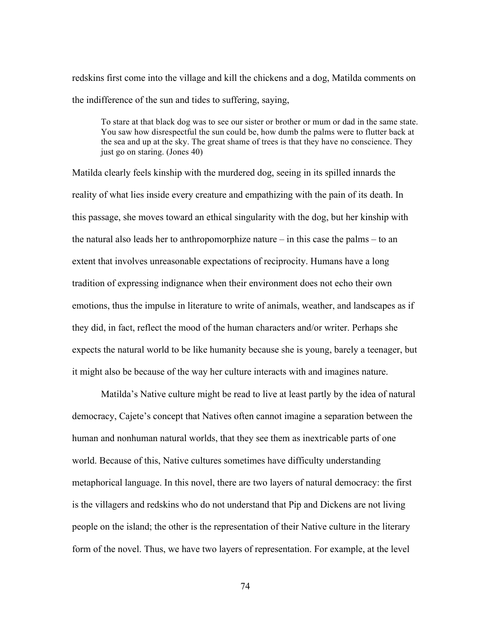redskins first come into the village and kill the chickens and a dog, Matilda comments on the indifference of the sun and tides to suffering, saying,

To stare at that black dog was to see our sister or brother or mum or dad in the same state. You saw how disrespectful the sun could be, how dumb the palms were to flutter back at the sea and up at the sky. The great shame of trees is that they have no conscience. They just go on staring. (Jones 40)

Matilda clearly feels kinship with the murdered dog, seeing in its spilled innards the reality of what lies inside every creature and empathizing with the pain of its death. In this passage, she moves toward an ethical singularity with the dog, but her kinship with the natural also leads her to anthropomorphize nature – in this case the palms – to an extent that involves unreasonable expectations of reciprocity. Humans have a long tradition of expressing indignance when their environment does not echo their own emotions, thus the impulse in literature to write of animals, weather, and landscapes as if they did, in fact, reflect the mood of the human characters and/or writer. Perhaps she expects the natural world to be like humanity because she is young, barely a teenager, but it might also be because of the way her culture interacts with and imagines nature.

Matilda's Native culture might be read to live at least partly by the idea of natural democracy, Cajete's concept that Natives often cannot imagine a separation between the human and nonhuman natural worlds, that they see them as inextricable parts of one world. Because of this, Native cultures sometimes have difficulty understanding metaphorical language. In this novel, there are two layers of natural democracy: the first is the villagers and redskins who do not understand that Pip and Dickens are not living people on the island; the other is the representation of their Native culture in the literary form of the novel. Thus, we have two layers of representation. For example, at the level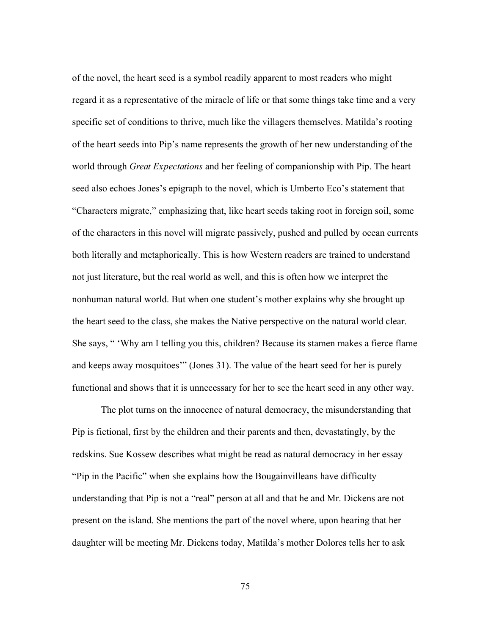of the novel, the heart seed is a symbol readily apparent to most readers who might regard it as a representative of the miracle of life or that some things take time and a very specific set of conditions to thrive, much like the villagers themselves. Matilda's rooting of the heart seeds into Pip's name represents the growth of her new understanding of the world through *Great Expectations* and her feeling of companionship with Pip. The heart seed also echoes Jones's epigraph to the novel, which is Umberto Eco's statement that "Characters migrate," emphasizing that, like heart seeds taking root in foreign soil, some of the characters in this novel will migrate passively, pushed and pulled by ocean currents both literally and metaphorically. This is how Western readers are trained to understand not just literature, but the real world as well, and this is often how we interpret the nonhuman natural world. But when one student's mother explains why she brought up the heart seed to the class, she makes the Native perspective on the natural world clear. She says, " 'Why am I telling you this, children? Because its stamen makes a fierce flame and keeps away mosquitoes'" (Jones 31). The value of the heart seed for her is purely functional and shows that it is unnecessary for her to see the heart seed in any other way.

The plot turns on the innocence of natural democracy, the misunderstanding that Pip is fictional, first by the children and their parents and then, devastatingly, by the redskins. Sue Kossew describes what might be read as natural democracy in her essay "Pip in the Pacific" when she explains how the Bougainvilleans have difficulty understanding that Pip is not a "real" person at all and that he and Mr. Dickens are not present on the island. She mentions the part of the novel where, upon hearing that her daughter will be meeting Mr. Dickens today, Matilda's mother Dolores tells her to ask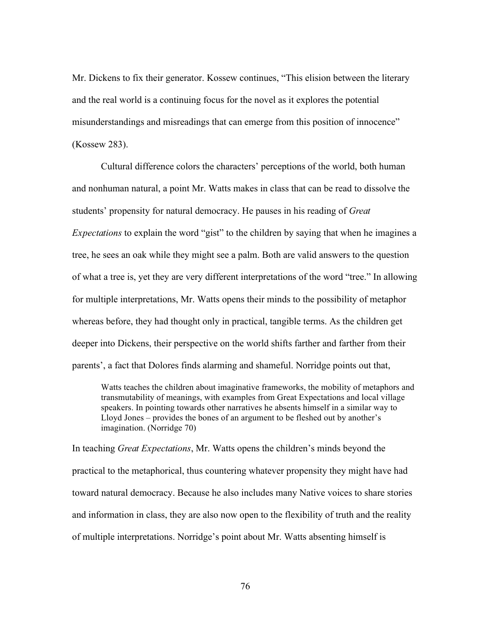Mr. Dickens to fix their generator. Kossew continues, "This elision between the literary and the real world is a continuing focus for the novel as it explores the potential misunderstandings and misreadings that can emerge from this position of innocence" (Kossew 283).

Cultural difference colors the characters' perceptions of the world, both human and nonhuman natural, a point Mr. Watts makes in class that can be read to dissolve the students' propensity for natural democracy. He pauses in his reading of *Great Expectations* to explain the word "gist" to the children by saying that when he imagines a tree, he sees an oak while they might see a palm. Both are valid answers to the question of what a tree is, yet they are very different interpretations of the word "tree." In allowing for multiple interpretations, Mr. Watts opens their minds to the possibility of metaphor whereas before, they had thought only in practical, tangible terms. As the children get deeper into Dickens, their perspective on the world shifts farther and farther from their parents', a fact that Dolores finds alarming and shameful. Norridge points out that,

Watts teaches the children about imaginative frameworks, the mobility of metaphors and transmutability of meanings, with examples from Great Expectations and local village speakers. In pointing towards other narratives he absents himself in a similar way to Lloyd Jones – provides the bones of an argument to be fleshed out by another's imagination. (Norridge 70)

In teaching *Great Expectations*, Mr. Watts opens the children's minds beyond the practical to the metaphorical, thus countering whatever propensity they might have had toward natural democracy. Because he also includes many Native voices to share stories and information in class, they are also now open to the flexibility of truth and the reality of multiple interpretations. Norridge's point about Mr. Watts absenting himself is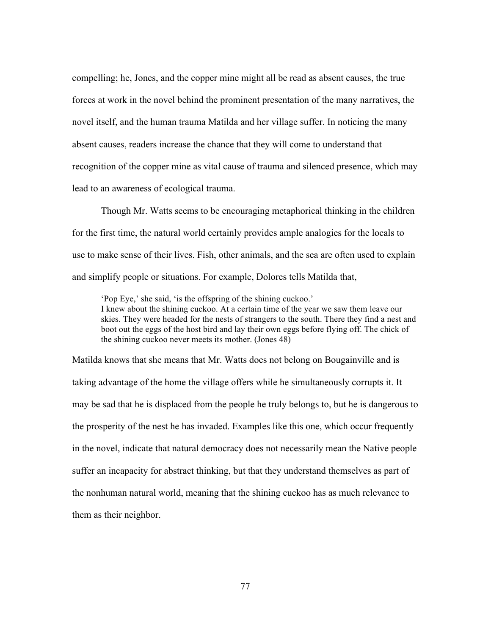compelling; he, Jones, and the copper mine might all be read as absent causes, the true forces at work in the novel behind the prominent presentation of the many narratives, the novel itself, and the human trauma Matilda and her village suffer. In noticing the many absent causes, readers increase the chance that they will come to understand that recognition of the copper mine as vital cause of trauma and silenced presence, which may lead to an awareness of ecological trauma.

Though Mr. Watts seems to be encouraging metaphorical thinking in the children for the first time, the natural world certainly provides ample analogies for the locals to use to make sense of their lives. Fish, other animals, and the sea are often used to explain and simplify people or situations. For example, Dolores tells Matilda that,

'Pop Eye,' she said, 'is the offspring of the shining cuckoo.' I knew about the shining cuckoo. At a certain time of the year we saw them leave our skies. They were headed for the nests of strangers to the south. There they find a nest and boot out the eggs of the host bird and lay their own eggs before flying off. The chick of the shining cuckoo never meets its mother. (Jones 48)

Matilda knows that she means that Mr. Watts does not belong on Bougainville and is taking advantage of the home the village offers while he simultaneously corrupts it. It may be sad that he is displaced from the people he truly belongs to, but he is dangerous to the prosperity of the nest he has invaded. Examples like this one, which occur frequently in the novel, indicate that natural democracy does not necessarily mean the Native people suffer an incapacity for abstract thinking, but that they understand themselves as part of the nonhuman natural world, meaning that the shining cuckoo has as much relevance to them as their neighbor.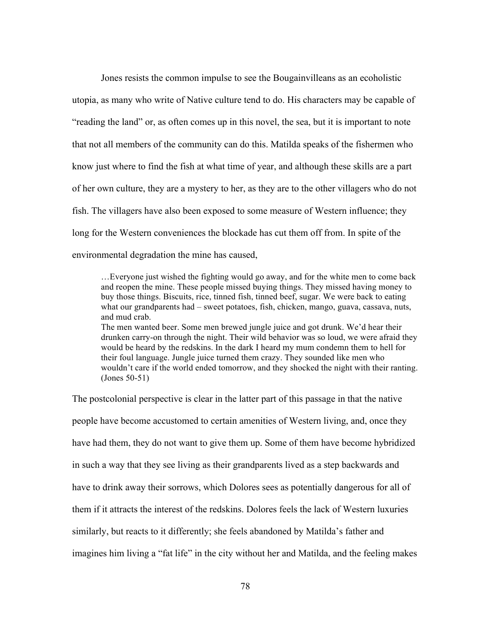Jones resists the common impulse to see the Bougainvilleans as an ecoholistic utopia, as many who write of Native culture tend to do. His characters may be capable of "reading the land" or, as often comes up in this novel, the sea, but it is important to note that not all members of the community can do this. Matilda speaks of the fishermen who know just where to find the fish at what time of year, and although these skills are a part of her own culture, they are a mystery to her, as they are to the other villagers who do not fish. The villagers have also been exposed to some measure of Western influence; they long for the Western conveniences the blockade has cut them off from. In spite of the environmental degradation the mine has caused,

…Everyone just wished the fighting would go away, and for the white men to come back and reopen the mine. These people missed buying things. They missed having money to buy those things. Biscuits, rice, tinned fish, tinned beef, sugar. We were back to eating what our grandparents had – sweet potatoes, fish, chicken, mango, guava, cassava, nuts, and mud crab.

The men wanted beer. Some men brewed jungle juice and got drunk. We'd hear their drunken carry-on through the night. Their wild behavior was so loud, we were afraid they would be heard by the redskins. In the dark I heard my mum condemn them to hell for their foul language. Jungle juice turned them crazy. They sounded like men who wouldn't care if the world ended tomorrow, and they shocked the night with their ranting. (Jones 50-51)

The postcolonial perspective is clear in the latter part of this passage in that the native people have become accustomed to certain amenities of Western living, and, once they have had them, they do not want to give them up. Some of them have become hybridized in such a way that they see living as their grandparents lived as a step backwards and have to drink away their sorrows, which Dolores sees as potentially dangerous for all of them if it attracts the interest of the redskins. Dolores feels the lack of Western luxuries similarly, but reacts to it differently; she feels abandoned by Matilda's father and imagines him living a "fat life" in the city without her and Matilda, and the feeling makes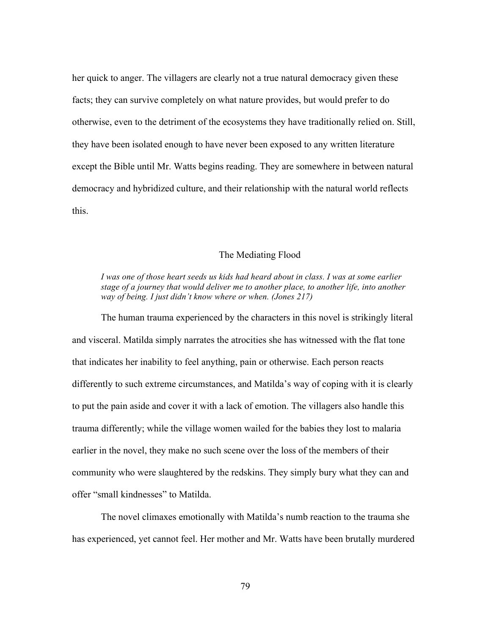her quick to anger. The villagers are clearly not a true natural democracy given these facts; they can survive completely on what nature provides, but would prefer to do otherwise, even to the detriment of the ecosystems they have traditionally relied on. Still, they have been isolated enough to have never been exposed to any written literature except the Bible until Mr. Watts begins reading. They are somewhere in between natural democracy and hybridized culture, and their relationship with the natural world reflects this.

## The Mediating Flood

*I was one of those heart seeds us kids had heard about in class. I was at some earlier stage of a journey that would deliver me to another place, to another life, into another way of being. I just didn't know where or when. (Jones 217)*

The human trauma experienced by the characters in this novel is strikingly literal and visceral. Matilda simply narrates the atrocities she has witnessed with the flat tone that indicates her inability to feel anything, pain or otherwise. Each person reacts differently to such extreme circumstances, and Matilda's way of coping with it is clearly to put the pain aside and cover it with a lack of emotion. The villagers also handle this trauma differently; while the village women wailed for the babies they lost to malaria earlier in the novel, they make no such scene over the loss of the members of their community who were slaughtered by the redskins. They simply bury what they can and offer "small kindnesses" to Matilda.

The novel climaxes emotionally with Matilda's numb reaction to the trauma she has experienced, yet cannot feel. Her mother and Mr. Watts have been brutally murdered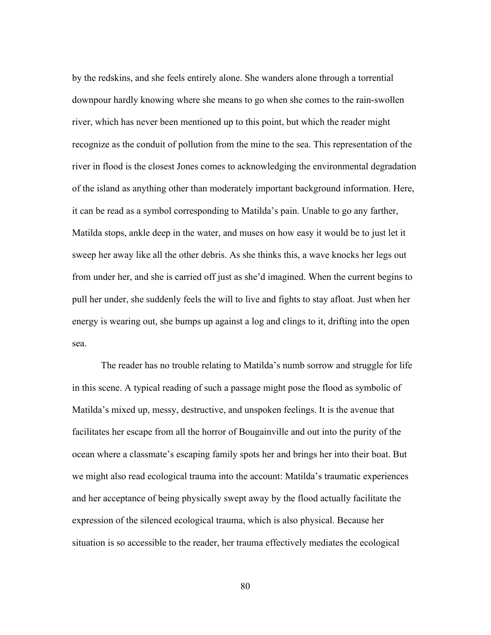by the redskins, and she feels entirely alone. She wanders alone through a torrential downpour hardly knowing where she means to go when she comes to the rain-swollen river, which has never been mentioned up to this point, but which the reader might recognize as the conduit of pollution from the mine to the sea. This representation of the river in flood is the closest Jones comes to acknowledging the environmental degradation of the island as anything other than moderately important background information. Here, it can be read as a symbol corresponding to Matilda's pain. Unable to go any farther, Matilda stops, ankle deep in the water, and muses on how easy it would be to just let it sweep her away like all the other debris. As she thinks this, a wave knocks her legs out from under her, and she is carried off just as she'd imagined. When the current begins to pull her under, she suddenly feels the will to live and fights to stay afloat. Just when her energy is wearing out, she bumps up against a log and clings to it, drifting into the open sea.

The reader has no trouble relating to Matilda's numb sorrow and struggle for life in this scene. A typical reading of such a passage might pose the flood as symbolic of Matilda's mixed up, messy, destructive, and unspoken feelings. It is the avenue that facilitates her escape from all the horror of Bougainville and out into the purity of the ocean where a classmate's escaping family spots her and brings her into their boat. But we might also read ecological trauma into the account: Matilda's traumatic experiences and her acceptance of being physically swept away by the flood actually facilitate the expression of the silenced ecological trauma, which is also physical. Because her situation is so accessible to the reader, her trauma effectively mediates the ecological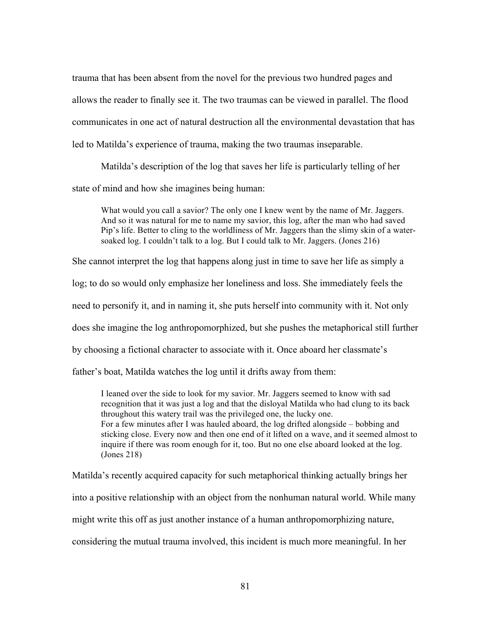trauma that has been absent from the novel for the previous two hundred pages and allows the reader to finally see it. The two traumas can be viewed in parallel. The flood communicates in one act of natural destruction all the environmental devastation that has led to Matilda's experience of trauma, making the two traumas inseparable.

Matilda's description of the log that saves her life is particularly telling of her state of mind and how she imagines being human:

What would you call a savior? The only one I knew went by the name of Mr. Jaggers. And so it was natural for me to name my savior, this log, after the man who had saved Pip's life. Better to cling to the worldliness of Mr. Jaggers than the slimy skin of a watersoaked log. I couldn't talk to a log. But I could talk to Mr. Jaggers. (Jones 216)

She cannot interpret the log that happens along just in time to save her life as simply a log; to do so would only emphasize her loneliness and loss. She immediately feels the need to personify it, and in naming it, she puts herself into community with it. Not only does she imagine the log anthropomorphized, but she pushes the metaphorical still further by choosing a fictional character to associate with it. Once aboard her classmate's father's boat, Matilda watches the log until it drifts away from them:

I leaned over the side to look for my savior. Mr. Jaggers seemed to know with sad recognition that it was just a log and that the disloyal Matilda who had clung to its back throughout this watery trail was the privileged one, the lucky one. For a few minutes after I was hauled aboard, the log drifted alongside – bobbing and sticking close. Every now and then one end of it lifted on a wave, and it seemed almost to inquire if there was room enough for it, too. But no one else aboard looked at the log. (Jones 218)

Matilda's recently acquired capacity for such metaphorical thinking actually brings her into a positive relationship with an object from the nonhuman natural world. While many might write this off as just another instance of a human anthropomorphizing nature, considering the mutual trauma involved, this incident is much more meaningful. In her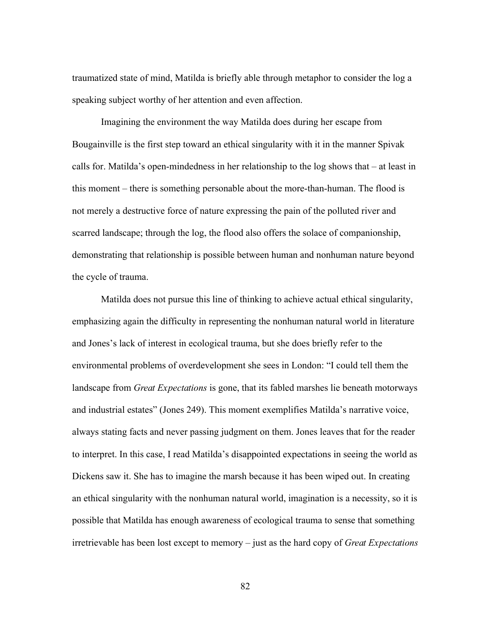traumatized state of mind, Matilda is briefly able through metaphor to consider the log a speaking subject worthy of her attention and even affection.

Imagining the environment the way Matilda does during her escape from Bougainville is the first step toward an ethical singularity with it in the manner Spivak calls for. Matilda's open-mindedness in her relationship to the log shows that – at least in this moment – there is something personable about the more-than-human. The flood is not merely a destructive force of nature expressing the pain of the polluted river and scarred landscape; through the log, the flood also offers the solace of companionship, demonstrating that relationship is possible between human and nonhuman nature beyond the cycle of trauma.

Matilda does not pursue this line of thinking to achieve actual ethical singularity, emphasizing again the difficulty in representing the nonhuman natural world in literature and Jones's lack of interest in ecological trauma, but she does briefly refer to the environmental problems of overdevelopment she sees in London: "I could tell them the landscape from *Great Expectations* is gone, that its fabled marshes lie beneath motorways and industrial estates" (Jones 249). This moment exemplifies Matilda's narrative voice, always stating facts and never passing judgment on them. Jones leaves that for the reader to interpret. In this case, I read Matilda's disappointed expectations in seeing the world as Dickens saw it. She has to imagine the marsh because it has been wiped out. In creating an ethical singularity with the nonhuman natural world, imagination is a necessity, so it is possible that Matilda has enough awareness of ecological trauma to sense that something irretrievable has been lost except to memory – just as the hard copy of *Great Expectations*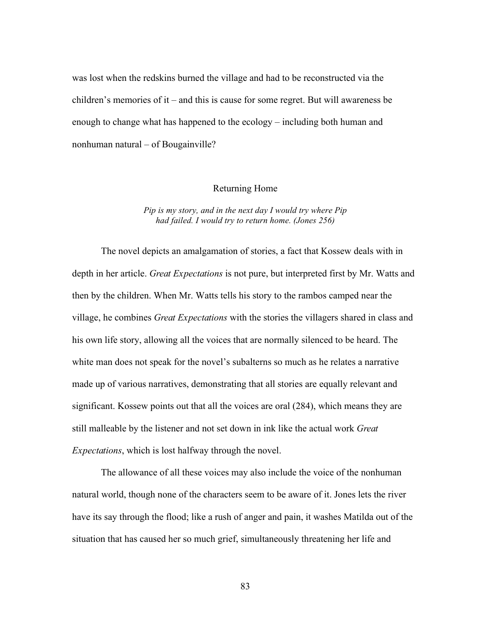was lost when the redskins burned the village and had to be reconstructed via the children's memories of it – and this is cause for some regret. But will awareness be enough to change what has happened to the ecology – including both human and nonhuman natural – of Bougainville?

# Returning Home

## *Pip is my story, and in the next day I would try where Pip had failed. I would try to return home. (Jones 256)*

The novel depicts an amalgamation of stories, a fact that Kossew deals with in depth in her article. *Great Expectations* is not pure, but interpreted first by Mr. Watts and then by the children. When Mr. Watts tells his story to the rambos camped near the village, he combines *Great Expectations* with the stories the villagers shared in class and his own life story, allowing all the voices that are normally silenced to be heard. The white man does not speak for the novel's subalterns so much as he relates a narrative made up of various narratives, demonstrating that all stories are equally relevant and significant. Kossew points out that all the voices are oral (284), which means they are still malleable by the listener and not set down in ink like the actual work *Great Expectations*, which is lost halfway through the novel.

The allowance of all these voices may also include the voice of the nonhuman natural world, though none of the characters seem to be aware of it. Jones lets the river have its say through the flood; like a rush of anger and pain, it washes Matilda out of the situation that has caused her so much grief, simultaneously threatening her life and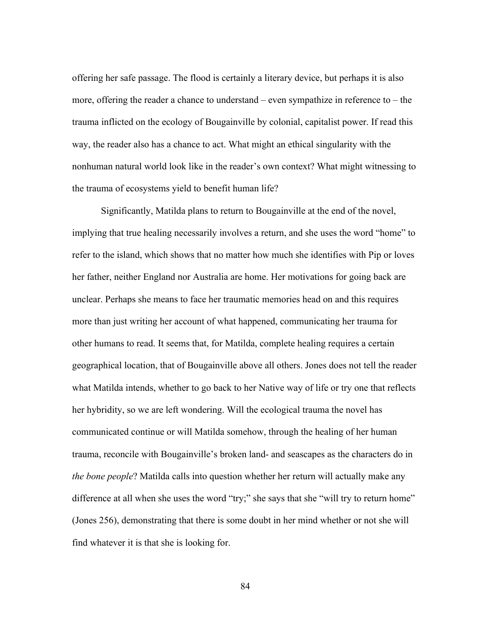offering her safe passage. The flood is certainly a literary device, but perhaps it is also more, offering the reader a chance to understand – even sympathize in reference to – the trauma inflicted on the ecology of Bougainville by colonial, capitalist power. If read this way, the reader also has a chance to act. What might an ethical singularity with the nonhuman natural world look like in the reader's own context? What might witnessing to the trauma of ecosystems yield to benefit human life?

Significantly, Matilda plans to return to Bougainville at the end of the novel, implying that true healing necessarily involves a return, and she uses the word "home" to refer to the island, which shows that no matter how much she identifies with Pip or loves her father, neither England nor Australia are home. Her motivations for going back are unclear. Perhaps she means to face her traumatic memories head on and this requires more than just writing her account of what happened, communicating her trauma for other humans to read. It seems that, for Matilda, complete healing requires a certain geographical location, that of Bougainville above all others. Jones does not tell the reader what Matilda intends, whether to go back to her Native way of life or try one that reflects her hybridity, so we are left wondering. Will the ecological trauma the novel has communicated continue or will Matilda somehow, through the healing of her human trauma, reconcile with Bougainville's broken land- and seascapes as the characters do in *the bone people*? Matilda calls into question whether her return will actually make any difference at all when she uses the word "try;" she says that she "will try to return home" (Jones 256), demonstrating that there is some doubt in her mind whether or not she will find whatever it is that she is looking for.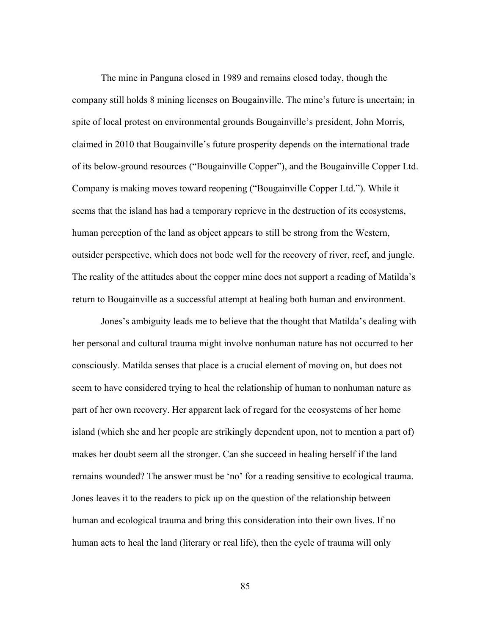The mine in Panguna closed in 1989 and remains closed today, though the company still holds 8 mining licenses on Bougainville. The mine's future is uncertain; in spite of local protest on environmental grounds Bougainville's president, John Morris, claimed in 2010 that Bougainville's future prosperity depends on the international trade of its below-ground resources ("Bougainville Copper"), and the Bougainville Copper Ltd. Company is making moves toward reopening ("Bougainville Copper Ltd."). While it seems that the island has had a temporary reprieve in the destruction of its ecosystems, human perception of the land as object appears to still be strong from the Western, outsider perspective, which does not bode well for the recovery of river, reef, and jungle. The reality of the attitudes about the copper mine does not support a reading of Matilda's return to Bougainville as a successful attempt at healing both human and environment.

Jones's ambiguity leads me to believe that the thought that Matilda's dealing with her personal and cultural trauma might involve nonhuman nature has not occurred to her consciously. Matilda senses that place is a crucial element of moving on, but does not seem to have considered trying to heal the relationship of human to nonhuman nature as part of her own recovery. Her apparent lack of regard for the ecosystems of her home island (which she and her people are strikingly dependent upon, not to mention a part of) makes her doubt seem all the stronger. Can she succeed in healing herself if the land remains wounded? The answer must be 'no' for a reading sensitive to ecological trauma. Jones leaves it to the readers to pick up on the question of the relationship between human and ecological trauma and bring this consideration into their own lives. If no human acts to heal the land (literary or real life), then the cycle of trauma will only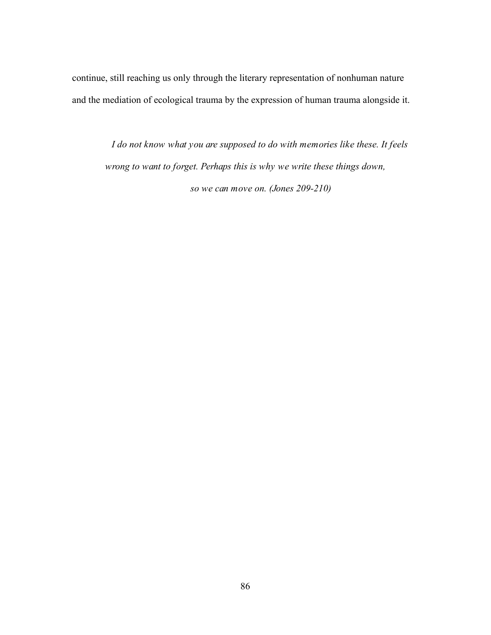continue, still reaching us only through the literary representation of nonhuman nature and the mediation of ecological trauma by the expression of human trauma alongside it.

*I do not know what you are supposed to do with memories like these. It feels wrong to want to forget. Perhaps this is why we write these things down, so we can move on. (Jones 209-210)*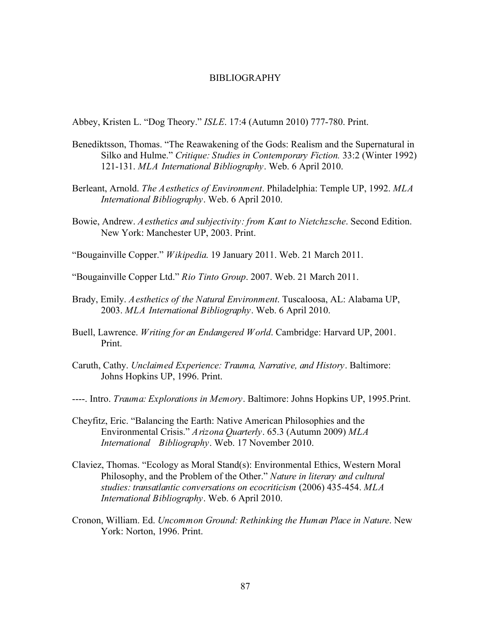#### BIBLIOGRAPHY

Abbey, Kristen L. "Dog Theory." *ISLE*. 17:4 (Autumn 2010) 777-780. Print.

- Benediktsson, Thomas. "The Reawakening of the Gods: Realism and the Supernatural in Silko and Hulme." *Critique: Studies in Contemporary Fiction.* 33:2 (Winter 1992) 121-131. *MLA International Bibliography*. Web. 6 April 2010.
- Berleant, Arnold. *The Aesthetics of Environment*. Philadelphia: Temple UP, 1992. *MLA International Bibliography*. Web. 6 April 2010.
- Bowie, Andrew. *Aesthetics and subjectivity: from Kant to Nietchzsche*. Second Edition. New York: Manchester UP, 2003. Print.

"Bougainville Copper." *Wikipedia*. 19 January 2011. Web. 21 March 2011.

"Bougainville Copper Ltd." *Rio Tinto Group*. 2007. Web. 21 March 2011.

- Brady, Emily. *Aesthetics of the Natural Environment*. Tuscaloosa, AL: Alabama UP, 2003. *MLA International Bibliography*. Web. 6 April 2010.
- Buell, Lawrence. *Writing for an Endangered World*. Cambridge: Harvard UP, 2001. Print.
- Caruth, Cathy. *Unclaimed Experience: Trauma, Narrative, and History*. Baltimore: Johns Hopkins UP, 1996. Print.
- ----. Intro. *Trauma: Explorations in Memory*. Baltimore: Johns Hopkins UP, 1995.Print.
- Cheyfitz, Eric. "Balancing the Earth: Native American Philosophies and the Environmental Crisis." *Arizona Quarterly*. 65.3 (Autumn 2009) *MLA International Bibliography*. Web. 17 November 2010.
- Claviez, Thomas. "Ecology as Moral Stand(s): Environmental Ethics, Western Moral Philosophy, and the Problem of the Other." *Nature in literary and cultural studies: transatlantic conversations on ecocriticism* (2006) 435-454. *MLA International Bibliography*. Web. 6 April 2010.
- Cronon, William. Ed. *Uncommon Ground: Rethinking the Human Place in Nature*. New York: Norton, 1996. Print.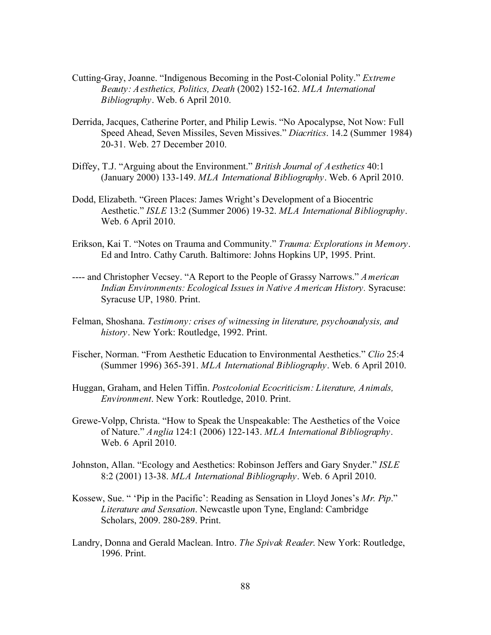- Cutting-Gray, Joanne. "Indigenous Becoming in the Post-Colonial Polity." *Extreme Beauty: Aesthetics, Politics, Death* (2002) 152-162. *MLA International Bibliography*. Web. 6 April 2010.
- Derrida, Jacques, Catherine Porter, and Philip Lewis. "No Apocalypse, Not Now: Full Speed Ahead, Seven Missiles, Seven Missives." *Diacritics*. 14.2 (Summer 1984) 20-31. Web. 27 December 2010.
- Diffey, T.J. "Arguing about the Environment." *British Journal of Aesthetics* 40:1 (January 2000) 133-149. *MLA International Bibliography*. Web. 6 April 2010.
- Dodd, Elizabeth. "Green Places: James Wright's Development of a Biocentric Aesthetic." *ISLE* 13:2 (Summer 2006) 19-32. *MLA International Bibliography*. Web. 6 April 2010.
- Erikson, Kai T. "Notes on Trauma and Community." *Trauma: Explorations in Memory*. Ed and Intro. Cathy Caruth. Baltimore: Johns Hopkins UP, 1995. Print.
- ---- and Christopher Vecsey. "A Report to the People of Grassy Narrows." *American Indian Environments: Ecological Issues in Native American History.* Syracuse: Syracuse UP, 1980. Print.
- Felman, Shoshana. *Testimony: crises of witnessing in literature, psychoanalysis, and history*. New York: Routledge, 1992. Print.
- Fischer, Norman. "From Aesthetic Education to Environmental Aesthetics." *Clio* 25:4 (Summer 1996) 365-391. *MLA International Bibliography*. Web. 6 April 2010.
- Huggan, Graham, and Helen Tiffin. *Postcolonial Ecocriticism: Literature, Animals, Environment*. New York: Routledge, 2010. Print.
- Grewe-Volpp, Christa. "How to Speak the Unspeakable: The Aesthetics of the Voice of Nature." *Anglia* 124:1 (2006) 122-143. *MLA International Bibliography*. Web. 6 April 2010.
- Johnston, Allan. "Ecology and Aesthetics: Robinson Jeffers and Gary Snyder." *ISLE* 8:2 (2001) 13-38. *MLA International Bibliography*. Web. 6 April 2010.
- Kossew, Sue. " 'Pip in the Pacific': Reading as Sensation in Lloyd Jones's *Mr. Pip*." *Literature and Sensation*. Newcastle upon Tyne, England: Cambridge Scholars, 2009. 280-289. Print.
- Landry, Donna and Gerald Maclean. Intro. *The Spivak Reader*. New York: Routledge, 1996. Print.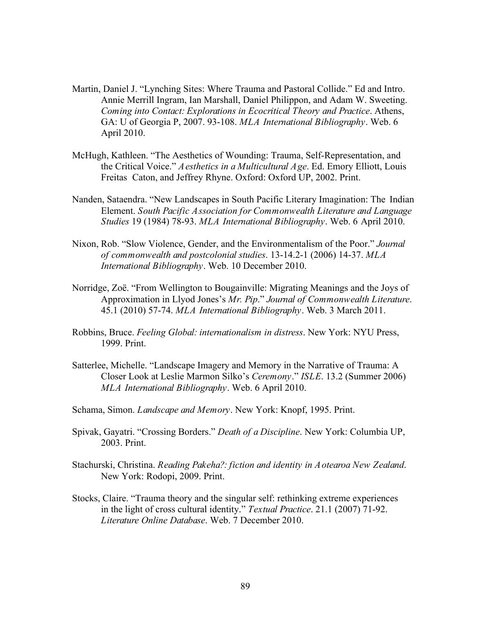- Martin, Daniel J. "Lynching Sites: Where Trauma and Pastoral Collide." Ed and Intro. Annie Merrill Ingram, Ian Marshall, Daniel Philippon, and Adam W. Sweeting. *Coming into Contact: Explorations in Ecocritical Theory and Practice*. Athens, GA: U of Georgia P, 2007. 93-108. *MLA International Bibliography*. Web. 6 April 2010.
- McHugh, Kathleen. "The Aesthetics of Wounding: Trauma, Self-Representation, and the Critical Voice." *Aesthetics in a Multicultural Age*. Ed. Emory Elliott, Louis Freitas Caton, and Jeffrey Rhyne. Oxford: Oxford UP, 2002. Print.
- Nanden, Sataendra. "New Landscapes in South Pacific Literary Imagination: The Indian Element. *South Pacific Association for Commonwealth Literature and Language Studies* 19 (1984) 78-93. *MLA International Bibliography*. Web. 6 April 2010.
- Nixon, Rob. "Slow Violence, Gender, and the Environmentalism of the Poor." *Journal of commonwealth and postcolonial studies*. 13-14.2-1 (2006) 14-37. *MLA International Bibliography*. Web. 10 December 2010.
- Norridge, Zoë. "From Wellington to Bougainville: Migrating Meanings and the Joys of Approximation in Llyod Jones's *Mr. Pip*." *Journal of Commonwealth Literature*. 45.1 (2010) 57-74. *MLA International Bibliography*. Web. 3 March 2011.
- Robbins, Bruce. *Feeling Global: internationalism in distress*. New York: NYU Press, 1999. Print.
- Satterlee, Michelle. "Landscape Imagery and Memory in the Narrative of Trauma: A Closer Look at Leslie Marmon Silko's *Ceremony*." *ISLE*. 13.2 (Summer 2006) *MLA International Bibliography*. Web. 6 April 2010.
- Schama, Simon. *Landscape and Memory*. New York: Knopf, 1995. Print.
- Spivak, Gayatri. "Crossing Borders." *Death of a Discipline*. New York: Columbia UP, 2003. Print.
- Stachurski, Christina. *Reading Pakeha?: fiction and identity in Aotearoa New Zealand*. New York: Rodopi, 2009. Print.
- Stocks, Claire. "Trauma theory and the singular self: rethinking extreme experiences in the light of cross cultural identity." *Textual Practice*. 21.1 (2007) 71-92. *Literature Online Database*. Web. 7 December 2010.